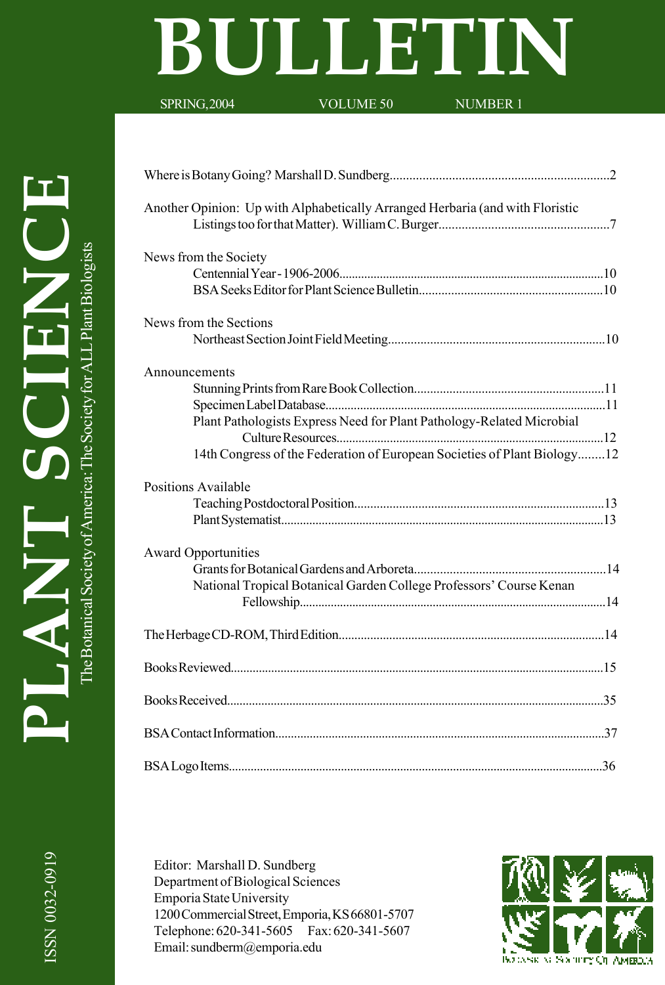# **BULLETIN**

SPRING, 2004 VOLUME 50 NUMBER 1

ISSN 0032-0919

ISSN 0032-0919

| Another Opinion: Up with Alphabetically Arranged Herbaria (and with Floristic |  |
|-------------------------------------------------------------------------------|--|
| News from the Society                                                         |  |
|                                                                               |  |
|                                                                               |  |
| News from the Sections                                                        |  |
|                                                                               |  |
| Announcements                                                                 |  |
|                                                                               |  |
|                                                                               |  |
| Plant Pathologists Express Need for Plant Pathology-Related Microbial         |  |
|                                                                               |  |
| 14th Congress of the Federation of European Societies of Plant Biology12      |  |
| <b>Positions Available</b>                                                    |  |
|                                                                               |  |
|                                                                               |  |
| <b>Award Opportunities</b>                                                    |  |
|                                                                               |  |
| National Tropical Botanical Garden College Professors' Course Kenan           |  |
|                                                                               |  |
|                                                                               |  |
|                                                                               |  |
|                                                                               |  |
|                                                                               |  |
|                                                                               |  |
|                                                                               |  |

Editor: Marshall D. Sundberg Department of Biological Sciences Emporia State University 1200 Commercial Street, Emporia, KS 66801-5707 Telephone: 620-341-5605 Fax: 620-341-5607 Email: sundberm@emporia.edu

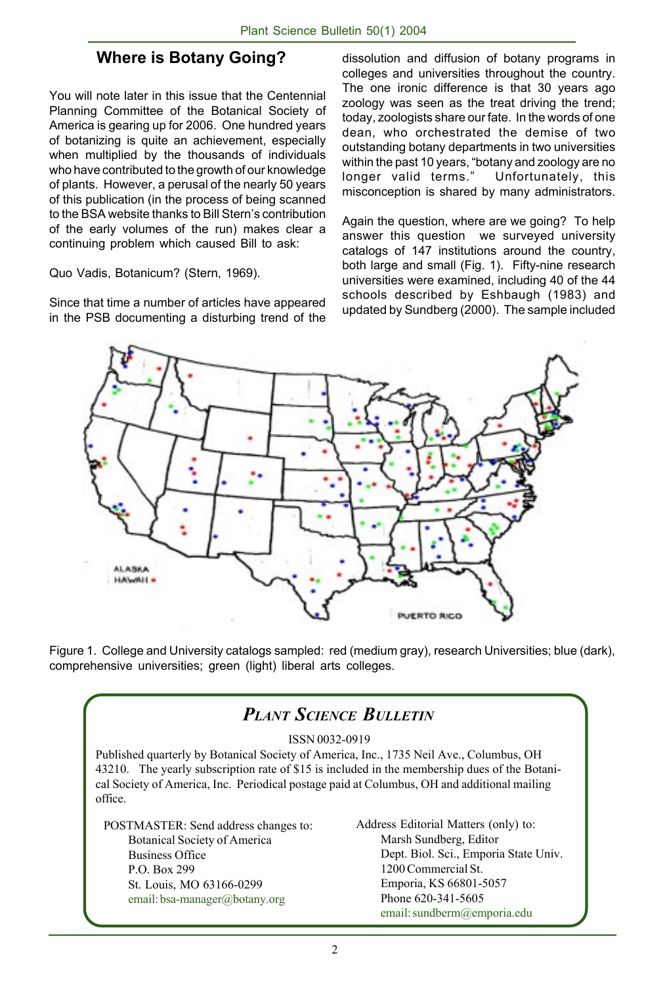### **Where is Botany Going?**

You will note later in this issue that the Centennial Planning Committee of the Botanical Society of America is gearing up for 2006. One hundred years of botanizing is quite an achievement, especially when multiplied by the thousands of individuals who have contributed to the growth of our knowledge of plants. However, a perusal of the nearly 50 years of this publication (in the process of being scanned to the BSA website thanks to Bill Stern's contribution of the early volumes of the run) makes clear a continuing problem which caused Bill to ask:

Quo Vadis, Botanicum? (Stern, 1969).

Since that time a number of articles have appeared in the PSB documenting a disturbing trend of the

dissolution and diffusion of botany programs in colleges and universities throughout the country. The one ironic difference is that 30 years ago zoology was seen as the treat driving the trend; today, zoologists share our fate. In the words of one dean, who orchestrated the demise of two outstanding botany departments in two universities within the past 10 years, "botany and zoology are no longer valid terms." Unfortunately, this misconception is shared by many administrators.

Again the question, where are we going? To help answer this question we surveyed university catalogs of 147 institutions around the country, both large and small (Fig. 1). Fifty-nine research universities were examined, including 40 of the 44 schools described by Eshbaugh (1983) and updated by Sundberg (2000). The sample included



Figure 1. College and University catalogs sampled: red (medium gray), research Universities; blue (dark), comprehensive universities; green (light) liberal arts colleges.

## *PLANT SCIENCE BULLETIN*

#### ISSN 0032-0919

Published quarterly by Botanical Society of America, Inc., 1735 Neil Ave., Columbus, OH 43210. The yearly subscription rate of \$15 is included in the membership dues of the Botanical Society of America, Inc. Periodical postage paid at Columbus, OH and additional mailing office.

| POSTMASTER: Send address changes to: |
|--------------------------------------|
| Botanical Society of America         |
| <b>Business Office</b>               |
| P.O. Box 299                         |
| St. Louis, MO 63166-0299             |
| email: bsa-manager@botany.org        |

Address Editorial Matters (only) to: Marsh Sundberg, Editor Dept. Biol. Sci., Emporia State Univ. 1200 Commercial St. Emporia, KS 66801-5057 Phone 620-341-5605 email: sundberm@emporia.edu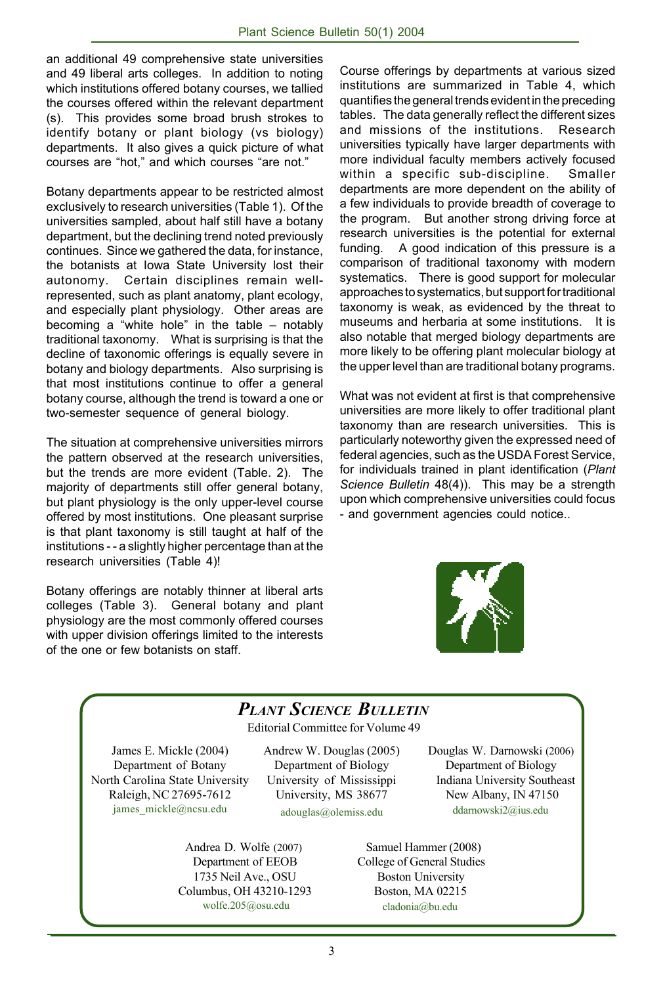an additional 49 comprehensive state universities and 49 liberal arts colleges. In addition to noting which institutions offered botany courses, we tallied the courses offered within the relevant department (s). This provides some broad brush strokes to identify botany or plant biology (vs biology) departments. It also gives a quick picture of what courses are "hot," and which courses "are not."

Botany departments appear to be restricted almost exclusively to research universities (Table 1). Of the universities sampled, about half still have a botany department, but the declining trend noted previously continues. Since we gathered the data, for instance, the botanists at Iowa State University lost their autonomy. Certain disciplines remain wellrepresented, such as plant anatomy, plant ecology, and especially plant physiology. Other areas are becoming a "white hole" in the table – notably traditional taxonomy. What is surprising is that the decline of taxonomic offerings is equally severe in botany and biology departments. Also surprising is that most institutions continue to offer a general botany course, although the trend is toward a one or two-semester sequence of general biology.

The situation at comprehensive universities mirrors the pattern observed at the research universities, but the trends are more evident (Table. 2). The majority of departments still offer general botany, but plant physiology is the only upper-level course offered by most institutions. One pleasant surprise is that plant taxonomy is still taught at half of the institutions - - a slightly higher percentage than at the research universities (Table 4)!

Botany offerings are notably thinner at liberal arts colleges (Table 3). General botany and plant physiology are the most commonly offered courses with upper division offerings limited to the interests of the one or few botanists on staff.

Course offerings by departments at various sized institutions are summarized in Table 4, which quantifies the general trends evident in the preceding tables. The data generally reflect the different sizes and missions of the institutions. Research universities typically have larger departments with more individual faculty members actively focused within a specific sub-discipline. Smaller departments are more dependent on the ability of a few individuals to provide breadth of coverage to the program. But another strong driving force at research universities is the potential for external funding. A good indication of this pressure is a comparison of traditional taxonomy with modern systematics. There is good support for molecular approaches to systematics, but support for traditional taxonomy is weak, as evidenced by the threat to museums and herbaria at some institutions. It is also notable that merged biology departments are more likely to be offering plant molecular biology at the upper level than are traditional botany programs.

What was not evident at first is that comprehensive universities are more likely to offer traditional plant taxonomy than are research universities. This is particularly noteworthy given the expressed need of federal agencies, such as the USDA Forest Service, for individuals trained in plant identification (*Plant Science Bulletin* 48(4)). This may be a strength upon which comprehensive universities could focus - and government agencies could notice..



## *PLANT SCIENCE BULLETIN*

Editorial Committee for Volume 49

James E. Mickle (2004) Department of Botany North Carolina State University Raleigh, NC 27695-7612 james\_mickle@ncsu.edu

Andrew W. Douglas (2005) Department of Biology University of Mississippi University, MS 38677 adouglas@olemiss.edu

Andrea D. Wolfe (2007) Department of EEOB 1735 Neil Ave., OSU Columbus, OH 43210-1293 wolfe.205@osu.edu

 Douglas W. Darnowski (2006) Department of Biology Indiana University Southeast New Albany, IN 47150 ddarnowski2@ius.edu

 Samuel Hammer (2008) College of General Studies Boston University Boston, MA 02215 cladonia@bu.edu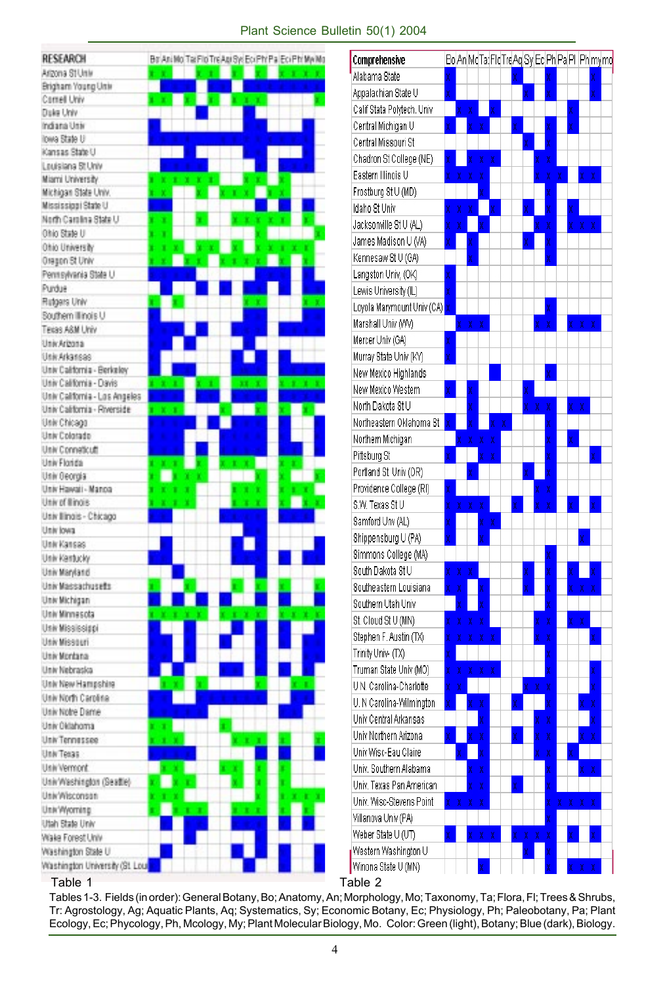#### Plant Science Bulletin 50(1) 2004

| RESEARCH                                    |   |     | Bo Ani No Tai Fio Tre Ani Syl Eci Ph' Pa Eci Ph' My Mo |   | Comprehensiv                  |
|---------------------------------------------|---|-----|--------------------------------------------------------|---|-------------------------------|
| Arizona St Univ                             |   |     |                                                        |   | Alabama State                 |
| Brigham Young Unix                          |   |     |                                                        |   | Appalachian S                 |
| Cornell Univ                                |   |     |                                                        |   | Calif Stata Poly              |
| Duke Univ                                   |   |     |                                                        |   |                               |
| Indiana Usiv<br>lowa State U                |   |     |                                                        |   | Central Michiga               |
| Kansas State U                              |   |     |                                                        |   | Central Missou                |
| Louisiana St.Univ                           |   |     |                                                        |   | Chadron St Co                 |
| Miami University                            |   |     |                                                        |   | Eastern Illinois              |
| Michigan State Univ.                        |   |     |                                                        |   | Frostburg St U                |
| Mississippi State U                         |   |     |                                                        |   | Idaho St Univ                 |
| North Carolina State U                      | ٠ |     |                                                        |   | Jacksonville St               |
| Ohio State U                                |   |     |                                                        |   |                               |
| Ohio University                             |   |     |                                                        |   | James Madiso                  |
| Oragon St Univ                              |   |     |                                                        |   | Kennesaw St l                 |
| Pennsylvania State U                        |   |     |                                                        |   | Langston Univ                 |
| Purdue                                      |   |     |                                                        |   | Lewis Universi                |
| Rutgers Univ                                |   |     |                                                        |   | Loyola Marymo                 |
| Southern Illinois U                         |   |     |                                                        |   |                               |
| Tecas A&M Univ                              |   |     |                                                        |   | Marshall Univ                 |
| Univ.Arizona                                |   |     |                                                        |   | Mercer Univ (G                |
| Univ.Arkansas                               |   |     |                                                        |   | Murray State U                |
| Univ California - Berkeloy                  |   |     |                                                        |   | New Mexico Hi                 |
| Univ California - Davis                     |   |     |                                                        |   | New Mexico W                  |
| Univ California - Los Angeles               |   |     |                                                        |   | North Dakota S                |
| Univ California - Riverside<br>Univ Chicago |   | ٠   |                                                        |   | Northeastern (                |
| Univ Colorado                               |   |     |                                                        |   |                               |
| Univ Conneticutt                            |   |     |                                                        |   | Northern Michi                |
| Univ Florida                                |   |     |                                                        |   | Pittsburg St                  |
| Univ Georgia                                |   |     |                                                        |   | Portland St. Ur               |
| Univ Hawaii - Manoa                         |   |     | ٠                                                      |   | Providence Co                 |
| Univ of Illinois                            |   |     | ٠                                                      |   | S.W. Texas St!                |
| Usiv Ilinois - Chicago                      |   |     |                                                        |   | Samford Unv (                 |
| Univ lowa                                   |   |     |                                                        |   |                               |
| Univ Kansas                                 |   |     |                                                        |   | Shippensburg                  |
| Univ Kantucky                               |   |     |                                                        |   | Simmons Coll                  |
| Univ Maryland                               |   |     |                                                        |   | South Dakota 9                |
| Univ Massachusetts                          |   |     |                                                        |   | Southeastern I                |
| Univ Michigan                               |   |     |                                                        |   | Southern Utah                 |
| Univ Minnesota                              |   |     |                                                        |   | St. Cloud St U                |
| Usiv Mississippi                            |   |     |                                                        |   |                               |
| <b>Univ Missouri</b>                        |   |     |                                                        |   | Stephen F. Aus                |
| Univ Montana                                |   |     |                                                        |   | Trinity Univ- (T)             |
| Univ Nebraska                               |   |     |                                                        |   | Truman State I                |
| Univ New Hampshire                          |   |     |                                                        |   | U.N. Carolina-i               |
| Univ North Carolina                         |   |     |                                                        |   | U. N Carolina-Y               |
| Univ Notre Dame                             |   |     |                                                        |   | Univ Central Ar               |
| Univ Oklahoma                               |   |     |                                                        |   | Univ Northern                 |
| Univ Tennessee                              |   |     |                                                        |   |                               |
| Univ Texas                                  |   |     |                                                        |   | Univ Wisc-Eau                 |
| Univ'Vermont                                |   |     | ۴                                                      | ٠ | Univ. Southern                |
| Univ Washington (Seattle)                   |   |     | ×,                                                     | ı | Univ. Texas Pa                |
| Univ/Wisconson                              |   |     | ŕ.                                                     | ٠ | Univ. Wisc-Ste                |
| Univ/Wyoming                                |   | t x | ٠                                                      |   | Villanova Univ                |
|                                             |   |     |                                                        |   |                               |
| Utah State Univ                             |   |     | ٠                                                      |   |                               |
| Wake Forest Univ<br>Washington State U      |   |     |                                                        |   | Weber State U<br>Western Wash |

| Comprehensive              |   |   | Bo An McTa: Fic TreAq Sy Ec Ph Pa Pi   Ph my mo |    |   |   |   |   |   |   |   |   |   |   |
|----------------------------|---|---|-------------------------------------------------|----|---|---|---|---|---|---|---|---|---|---|
| Alabama State              | X |   |                                                 |    |   |   | X |   |   | X |   |   |   | X |
| Appalachian State U        | X |   |                                                 |    |   |   |   | X |   | X |   |   |   | X |
| Calif Stata Polytech. Univ |   | X | X                                               |    | X |   |   |   |   |   |   | X |   |   |
| Central Michigan U         | X |   | X                                               | χ  |   |   | X |   |   | X |   | X |   |   |
| Central Missouri St        |   |   |                                                 |    |   |   |   | X |   | X |   |   |   |   |
| Chadron St College (NE)    | X |   | χ                                               | χ  | X |   |   |   | X | X |   |   |   |   |
| Eastern Illinois U         | X | X | X                                               | X  |   |   |   |   | X | X | X |   | X | X |
| Frostburg St U (MD)        |   |   |                                                 | X  |   |   |   |   |   | X |   |   |   |   |
| Idaho St Univ              | X | X | X                                               |    | X |   |   | X |   | X |   | χ |   |   |
| Jacksonville St U (AL)     | X | X |                                                 | X  |   |   |   |   | X | X |   | X | χ | X |
| James Madison U (VA)       | X |   | X                                               |    |   |   |   | X |   | X |   |   |   |   |
| Kennesaw St U (GA)         |   |   | X                                               |    |   |   |   |   |   | X |   |   |   |   |
| Langston Univ, (OK)        | X |   |                                                 |    |   |   |   |   |   |   |   |   |   |   |
| Lewis University (IL)      | X |   |                                                 |    |   |   |   |   |   |   |   |   |   |   |
| Loyola Marymount Univ (CA) | X |   |                                                 |    |   |   |   |   |   | X |   |   |   |   |
| Marshall Univ (VVV)        |   | X | X                                               | X  |   |   |   |   | X | X |   | X | χ | Χ |
| Mercer Univ (GA)           | X |   |                                                 |    |   |   |   |   |   |   |   |   |   |   |
| Murray State Univ (KY)     | X |   |                                                 |    |   |   |   |   |   |   |   |   |   |   |
| New Mexico Highlands       |   |   |                                                 |    |   |   |   |   |   | X |   |   |   |   |
| New Mexico Western         | X |   | χ                                               |    |   |   |   | X |   |   |   |   |   |   |
| North Dakota St U          |   |   | χ                                               |    |   |   |   | χ | χ | X |   | X | X |   |
| Northeastern Oklahoma St   |   |   | X                                               |    | X | X |   |   |   | X |   |   |   |   |
| Northern Michigan          |   | X | X                                               | X  | X |   |   |   |   | X |   | X |   |   |
| Pittsburg St               | X |   |                                                 | X  | X |   |   |   |   | X |   |   |   | X |
| Portland St. Univ (OR)     |   |   | X                                               |    |   |   |   | X |   | X |   |   |   |   |
| Providence College (RI)    | X |   |                                                 |    |   |   |   |   | χ | χ |   |   |   |   |
| S.W. Texas St U            | X | X | X                                               | χ  |   |   | X |   | χ | χ |   | X |   | X |
| Samford Unv (AL)           | X |   |                                                 | X  | X |   |   |   |   |   |   |   |   |   |
| Shippensburg U (PA)        | X |   |                                                 | χ  |   |   |   |   |   |   |   |   | X |   |
| Simmons College (MA)       |   |   |                                                 |    |   |   |   |   |   | X |   |   |   |   |
| South Dakota St U          | X | X | χ                                               |    |   |   |   | X |   | X |   | X |   | X |
| Southeastern Louisiana     | X | X |                                                 | X  |   |   |   | χ |   | X |   | χ | χ | χ |
| Southern Utah Univ         |   | X |                                                 | X  |   |   |   |   |   | X |   |   |   |   |
| St. Cloud St U (MN)        | X | X | X                                               | χ  |   |   |   |   | χ | X |   | X | χ |   |
| Stephen F. Austin (TX)     | X | χ | X                                               | X. | Χ |   |   |   | χ | X |   |   |   | X |
| Trinity Univ- (TX)         | X |   |                                                 |    |   |   |   |   |   | X |   |   |   |   |
| Truman State Univ (MO)     | X | X | X                                               | X  | X |   |   |   |   | X |   |   |   | X |
| U N. Carolina-Charlotte    | X | χ |                                                 |    |   |   |   | X | X | χ |   |   |   | χ |
| U. N Carolina-Wilmington   | X |   | X                                               | X  |   |   | X |   |   | X |   |   | χ | χ |
| Univ Central Arkansas      |   |   |                                                 | X  |   |   |   |   | X | X |   |   |   | X |
| Univ Northern Arizona      | X |   |                                                 | X  |   |   | X |   | χ | χ |   |   | χ | X |
| Univ Wisc-Eau Claire       |   |   |                                                 | X  |   |   |   |   | χ | X |   | X |   |   |
| Univ. Southern Alabama     |   |   | X                                               | χ  |   |   |   |   |   | X |   |   |   | X |
| Univ. Texas Pan American   |   |   |                                                 |    |   |   |   |   |   | X |   |   | χ |   |
| Univ. Wisc-Stevens Point   |   |   | X                                               | X  |   |   | χ |   |   |   |   |   |   |   |
| Villanova Univ (PA)        | X | X | X                                               | X  |   |   |   |   |   | X | X | X | χ | X |
| Weber State U (UT)         |   |   |                                                 |    |   |   |   |   |   | X |   |   |   |   |
| Western Washington U       | X |   | X                                               | X. | χ |   | X | χ | χ | X |   | X |   | X |
|                            |   |   |                                                 |    |   |   |   | χ |   | X |   |   |   |   |

#### Table 1

Tables 1-3. Fields (in order): General Botany, Bo; Anatomy, An; Morphology, Mo; Taxonomy, Ta; Flora, Fl; Trees & Shrubs, Tr: Agrostology, Ag; Aquatic Plants, Aq; Systematics, Sy; Economic Botany, Ec; Physiology, Ph; Paleobotany, Pa; Plant Ecology, Ec; Phycology, Ph, Mcology, My; Plant Molecular Biology, Mo. Color: Green (light), Botany; Blue (dark), Biology.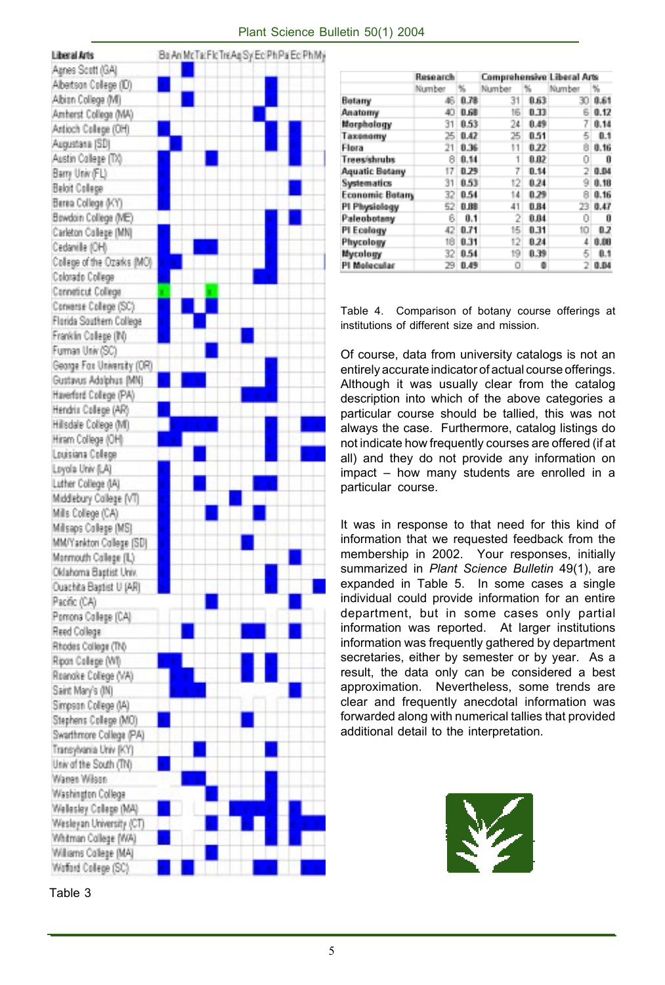

| Plant Science Bulletin 50(1) 2004 |  |  |  |
|-----------------------------------|--|--|--|
|-----------------------------------|--|--|--|

|                        | Research |      |        |      | <b>Comprehensive Liberal Arts</b> |      |  |
|------------------------|----------|------|--------|------|-----------------------------------|------|--|
|                        | Number   | ч.   | Number | ч,   | Number                            | %    |  |
| Botany                 | 46       | 0.78 | 31     | 0.63 | 30                                | 0.61 |  |
| Anatomy                | 40       | 0.68 | 16     | 0.33 | Б                                 | 0.12 |  |
| Morphology             | 31       | 0.53 | 24     | 0.49 | 7                                 | 0.14 |  |
| Таховотту              | 25       | 0.42 | 25     | 0.51 | 5                                 | 0.1  |  |
| Flora                  | 21       | 0.36 | 11     | 0.22 | 8                                 | 0.16 |  |
| Trees/shrubs           | 8        | 0.14 | 1      | 0.02 | 0                                 | 0    |  |
| <b>Aquatic Betany</b>  | 17       | 0.29 | 7      | 0.14 | 2                                 | 0.04 |  |
| Systematics            | 31       | 0.53 | 12     | 0.24 | 9                                 | 0.18 |  |
| <b>Economic Botary</b> | 32       | 8.54 | 14     | 0.29 | 8                                 | 0.16 |  |
| PI Physiology          | 52       | 0.88 | 41     | 0.84 | 23                                | 0.47 |  |
| Paleobotany            | в        | 0.1  | 2      | 0.04 | 0                                 | Ũ    |  |
| PI Ecology             | 42       | 0.71 | 15     | 0.31 | 10                                | 0.2  |  |
| Phycology              | 18       | 0.31 | 12     | 0.24 | 1                                 | 0.00 |  |
| Mycology               | 32       | 0.54 | 19     | 0.39 | 5                                 | 0.1  |  |
| PI Molecular           | 29       | 0.49 | o      |      | 2                                 | 0.04 |  |

Table 4. Comparison of botany course offerings at institutions of different size and mission.

Of course, data from university catalogs is not an entirely accurate indicator of actual course offerings. Although it was usually clear from the catalog description into which of the above categories a particular course should be tallied, this was not always the case. Furthermore, catalog listings do not indicate how frequently courses are offered (if at all) and they do not provide any information on impact – how many students are enrolled in a particular course.

It was in response to that need for this kind of information that we requested feedback from the membership in 2002. Your responses, initially summarized in *Plant Science Bulletin* 49(1), are expanded in Table 5. In some cases a single individual could provide information for an entire department, but in some cases only partial information was reported. At larger institutions information was frequently gathered by department secretaries, either by semester or by year. As a result, the data only can be considered a best approximation. Nevertheless, some trends are clear and frequently anecdotal information was forwarded along with numerical tallies that provided additional detail to the interpretation.



Table 3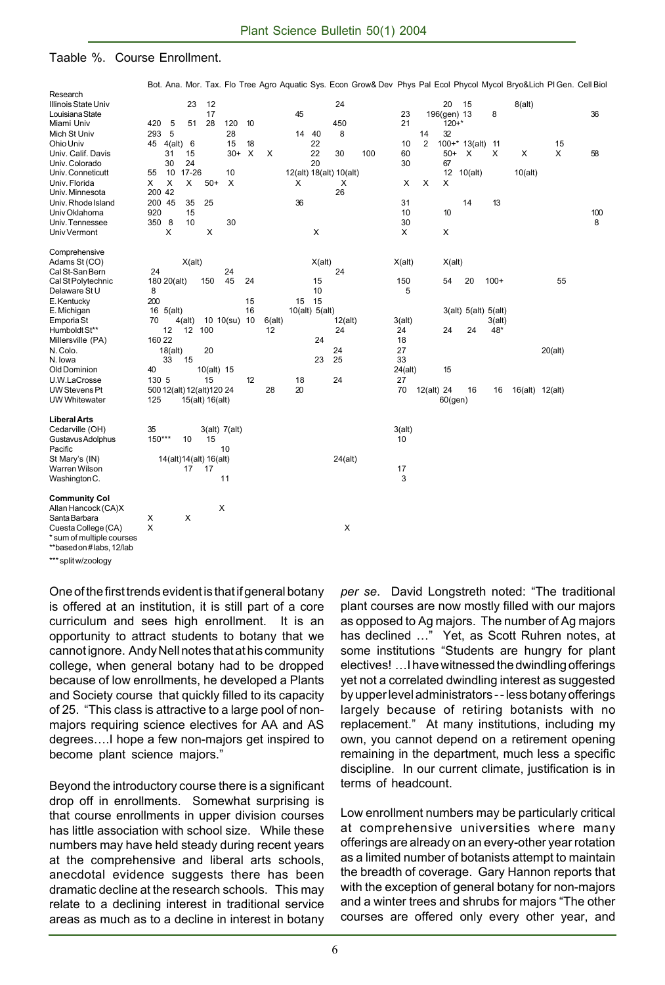#### Taable %. Course Enrollment.

|                           |        |             |           |                            |               |          |        |    |                |                         |     |         |                |             |                      |        |         | Bot. Ana. Mor. Tax. Flo Tree Agro Aquatic Sys. Econ Grow& Dev Phys Pal Ecol Phycol Mycol Bryo&Lich Pl Gen. Cell Biol |     |
|---------------------------|--------|-------------|-----------|----------------------------|---------------|----------|--------|----|----------------|-------------------------|-----|---------|----------------|-------------|----------------------|--------|---------|----------------------------------------------------------------------------------------------------------------------|-----|
| Research                  |        |             |           |                            |               |          |        |    |                |                         |     |         |                |             |                      |        |         |                                                                                                                      |     |
| Illinois State Univ       |        |             | 23        | 12                         |               |          |        |    |                | 24                      |     |         |                | 20          | - 15                 |        | 8(alt)  |                                                                                                                      |     |
| Louisiana State           |        |             |           | 17                         |               |          |        | 45 |                |                         |     | 23      |                | 196(gen) 13 |                      | 8      |         |                                                                                                                      | 36  |
| Miami Univ                | 420    | 5           | 51        | 28                         | 120           | 10       |        |    |                | 450                     |     | 21      |                | $120 + *$   |                      |        |         |                                                                                                                      |     |
| Mich St Univ              | 293    | 5           |           |                            | 28            |          |        | 14 | 40             | 8                       |     |         | 14             | 32          |                      |        |         |                                                                                                                      |     |
| Ohio Univ                 |        | 45 4(alt)   | 6         |                            | 15            | 18       |        |    | 22             |                         |     | 10      | $\overline{2}$ |             | $100+* 13(alt)$      | 11     |         | 15                                                                                                                   |     |
| Univ. Calif. Davis        |        | 31          | 15        |                            | $30+$         | $\times$ | X      |    | 22             | 30                      | 100 | 60      |                | $50+$       | X                    | X      | X       | X                                                                                                                    | 58  |
| Univ. Colorado            |        | 30          | 24        |                            |               |          |        |    | 20             |                         |     | 30      |                | 67          |                      |        |         |                                                                                                                      |     |
| Univ. Conneticutt         | 55     | 10          | $17 - 26$ |                            | 10            |          |        |    |                | 12(alt) 18(alt) 10(alt) |     |         |                | 12          | 10(alt)              |        | 10(alt) |                                                                                                                      |     |
| Univ. Florida             | X      | X           | X         | $50+$                      | X             |          |        | X  |                | Х                       |     | X       | X              | X           |                      |        |         |                                                                                                                      |     |
| Univ. Minnesota           | 200 42 |             |           |                            |               |          |        |    |                | 26                      |     |         |                |             |                      |        |         |                                                                                                                      |     |
| Univ. Rhode Island        | 200 45 |             | 35        | 25                         |               |          |        | 36 |                |                         |     | 31      |                |             | 14                   | 13     |         |                                                                                                                      |     |
| Univ Oklahoma             | 920    |             | 15        |                            |               |          |        |    |                |                         |     | 10      |                | 10          |                      |        |         |                                                                                                                      | 100 |
| Univ. Tennessee           | 350 8  |             | 10        |                            | 30            |          |        |    |                |                         |     | 30      |                |             |                      |        |         |                                                                                                                      | 8   |
| Univ Vermont              |        | X           |           | X                          |               |          |        |    | X              |                         |     | X       |                | X           |                      |        |         |                                                                                                                      |     |
| Comprehensive             |        |             |           |                            |               |          |        |    |                |                         |     |         |                |             |                      |        |         |                                                                                                                      |     |
| Adams St (CO)             |        |             | X(alt)    |                            |               |          |        |    | X(alt)         |                         |     | X(alt)  |                | X(alt)      |                      |        |         |                                                                                                                      |     |
| Cal St-San Bern           | 24     |             |           |                            | 24            |          |        |    |                | 24                      |     |         |                |             |                      |        |         |                                                                                                                      |     |
| Cal St Polytechnic        |        | 180 20(alt) |           | 150                        | 45            | 24       |        |    | 15             |                         |     | 150     |                | 54          | 20                   | $100+$ |         | 55                                                                                                                   |     |
| Delaware St U             | 8      |             |           |                            |               |          |        |    | 10             |                         |     | 5       |                |             |                      |        |         |                                                                                                                      |     |
| E. Kentucky               | 200    |             |           |                            |               | 15       |        | 15 | 15             |                         |     |         |                |             |                      |        |         |                                                                                                                      |     |
| E. Michigan               |        | 16 5(alt)   |           |                            |               | 16       |        |    | 10(alt) 5(alt) |                         |     |         |                |             | 3(alt) 5(alt) 5(alt) |        |         |                                                                                                                      |     |
| Emporia St                | 70     |             | 4(alt)    |                            | 10 10(su) 10  |          | 6(alt) |    |                | 12(alt)                 |     | 3(alt)  |                |             |                      | 3(alt) |         |                                                                                                                      |     |
| Humboldt St**             |        | 12          | 12        | 100                        |               |          | 12     |    |                | 24                      |     | 24      |                | 24          | 24                   | 48*    |         |                                                                                                                      |     |
| Millersville (PA)         | 160 22 |             |           |                            |               |          |        |    | 24             |                         |     | 18      |                |             |                      |        |         |                                                                                                                      |     |
| N. Colo.                  |        | 18(alt)     |           | 20                         |               |          |        |    |                | 24                      |     | 27      |                |             |                      |        |         | 20(alt)                                                                                                              |     |
| N. Iowa                   |        | 33          | 15        |                            |               |          |        |    | 23             | 25                      |     | 33      |                |             |                      |        |         |                                                                                                                      |     |
| Old Dominion              | 40     |             |           | 10(alt) 15                 |               |          |        |    |                |                         |     | 24(alt) |                | 15          |                      |        |         |                                                                                                                      |     |
| U.W.LaCrosse              | 130 5  |             |           | 15                         |               | 12       |        | 18 |                | 24                      |     | 27      |                |             |                      |        |         |                                                                                                                      |     |
| UW Stevens Pt             |        |             |           | 500 12(alt) 12(alt) 120 24 |               |          | 28     | 20 |                |                         |     | 70      |                | 12(alt) 24  | 16                   | 16     |         | 16(alt) 12(alt)                                                                                                      |     |
| <b>UW Whitewater</b>      | 125    |             |           | 15(alt) 16(alt)            |               |          |        |    |                |                         |     |         |                | $60$ (gen)  |                      |        |         |                                                                                                                      |     |
|                           |        |             |           |                            |               |          |        |    |                |                         |     |         |                |             |                      |        |         |                                                                                                                      |     |
| <b>Liberal Arts</b>       |        |             |           |                            |               |          |        |    |                |                         |     |         |                |             |                      |        |         |                                                                                                                      |     |
| Cedarville (OH)           | 35     |             |           |                            | 3(alt) 7(alt) |          |        |    |                |                         |     | 3(alt)  |                |             |                      |        |         |                                                                                                                      |     |
| Gustavus Adolphus         | 150*** |             | 10        | 15                         |               |          |        |    |                |                         |     | 10      |                |             |                      |        |         |                                                                                                                      |     |
| Pacific                   |        |             |           |                            | 10            |          |        |    |                |                         |     |         |                |             |                      |        |         |                                                                                                                      |     |
| St Mary's (IN)            |        |             |           | 14(alt)14(alt) 16(alt)     |               |          |        |    |                | 24(alt)                 |     |         |                |             |                      |        |         |                                                                                                                      |     |
| Warren Wilson             |        |             | 17        | 17                         |               |          |        |    |                |                         |     | 17      |                |             |                      |        |         |                                                                                                                      |     |
| Washington C.             |        |             |           |                            | 11            |          |        |    |                |                         |     | 3       |                |             |                      |        |         |                                                                                                                      |     |
| <b>Community Col</b>      |        |             |           |                            |               |          |        |    |                |                         |     |         |                |             |                      |        |         |                                                                                                                      |     |
| Allan Hancock (CA)X       |        |             |           |                            | X             |          |        |    |                |                         |     |         |                |             |                      |        |         |                                                                                                                      |     |
| Santa Barbara             | х      |             | X         |                            |               |          |        |    |                |                         |     |         |                |             |                      |        |         |                                                                                                                      |     |
| Cuesta College (CA)       | X      |             |           |                            |               |          |        |    |                | X                       |     |         |                |             |                      |        |         |                                                                                                                      |     |
| * sum of multiple courses |        |             |           |                            |               |          |        |    |                |                         |     |         |                |             |                      |        |         |                                                                                                                      |     |
| **based on#labs, 12/lab   |        |             |           |                            |               |          |        |    |                |                         |     |         |                |             |                      |        |         |                                                                                                                      |     |
|                           |        |             |           |                            |               |          |        |    |                |                         |     |         |                |             |                      |        |         |                                                                                                                      |     |

split w/zoology

One of the first trends evident is that if general botany is offered at an institution, it is still part of a core curriculum and sees high enrollment. It is an opportunity to attract students to botany that we cannot ignore. Andy Nell notes that at his community college, when general botany had to be dropped because of low enrollments, he developed a Plants and Society course that quickly filled to its capacity of 25. "This class is attractive to a large pool of nonmajors requiring science electives for AA and AS degrees….I hope a few non-majors get inspired to become plant science majors."

Beyond the introductory course there is a significant drop off in enrollments. Somewhat surprising is that course enrollments in upper division courses has little association with school size. While these numbers may have held steady during recent years at the comprehensive and liberal arts schools, anecdotal evidence suggests there has been dramatic decline at the research schools. This may relate to a declining interest in traditional service areas as much as to a decline in interest in botany

*per se*. David Longstreth noted: "The traditional plant courses are now mostly filled with our majors as opposed to Ag majors. The number of Ag majors has declined …" Yet, as Scott Ruhren notes, at some institutions "Students are hungry for plant electives! …I have witnessed the dwindling offerings yet not a correlated dwindling interest as suggested by upper level administrators - - less botany offerings largely because of retiring botanists with no replacement." At many institutions, including my own, you cannot depend on a retirement opening remaining in the department, much less a specific discipline. In our current climate, justification is in terms of headcount.

Low enrollment numbers may be particularly critical at comprehensive universities where many offerings are already on an every-other year rotation as a limited number of botanists attempt to maintain the breadth of coverage. Gary Hannon reports that with the exception of general botany for non-majors and a winter trees and shrubs for majors "The other courses are offered only every other year, and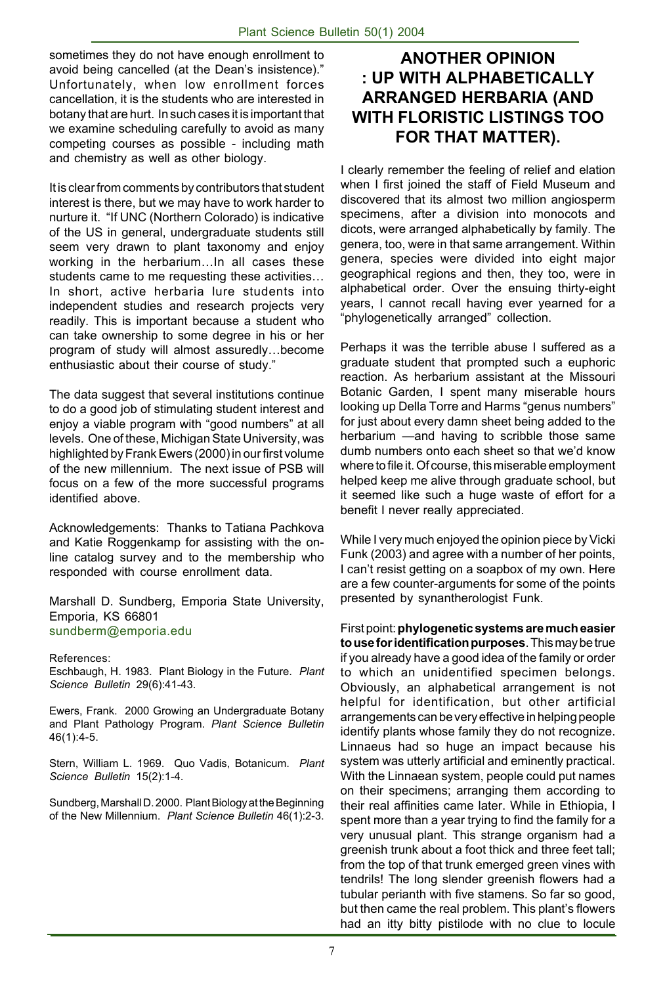sometimes they do not have enough enrollment to avoid being cancelled (at the Dean's insistence)." Unfortunately, when low enrollment forces cancellation, it is the students who are interested in botany that are hurt. In such cases it is important that we examine scheduling carefully to avoid as many competing courses as possible - including math and chemistry as well as other biology.

It is clear from comments by contributors that student interest is there, but we may have to work harder to nurture it. "If UNC (Northern Colorado) is indicative of the US in general, undergraduate students still seem very drawn to plant taxonomy and enjoy working in the herbarium…In all cases these students came to me requesting these activities… In short, active herbaria lure students into independent studies and research projects very readily. This is important because a student who can take ownership to some degree in his or her program of study will almost assuredly…become enthusiastic about their course of study."

The data suggest that several institutions continue to do a good job of stimulating student interest and enjoy a viable program with "good numbers" at all levels. One of these, Michigan State University, was highlighted by Frank Ewers (2000) in our first volume of the new millennium. The next issue of PSB will focus on a few of the more successful programs identified above.

Acknowledgements: Thanks to Tatiana Pachkova and Katie Roggenkamp for assisting with the online catalog survey and to the membership who responded with course enrollment data.

Marshall D. Sundberg, Emporia State University, Emporia, KS 66801 sundberm@emporia.edu

References:

Eschbaugh, H. 1983. Plant Biology in the Future. *Plant Science Bulletin* 29(6):41-43.

Ewers, Frank. 2000 Growing an Undergraduate Botany and Plant Pathology Program. *Plant Science Bulletin* 46(1):4-5.

Stern, William L. 1969. Quo Vadis, Botanicum. *Plant Science Bulletin* 15(2):1-4.

Sundberg, Marshall D. 2000. Plant Biology at the Beginning of the New Millennium. *Plant Science Bulletin* 46(1):2-3.

## **ANOTHER OPINION : UP WITH ALPHABETICALLY ARRANGED HERBARIA (AND WITH FLORISTIC LISTINGS TOO FOR THAT MATTER).**

I clearly remember the feeling of relief and elation when I first joined the staff of Field Museum and discovered that its almost two million angiosperm specimens, after a division into monocots and dicots, were arranged alphabetically by family. The genera, too, were in that same arrangement. Within genera, species were divided into eight major geographical regions and then, they too, were in alphabetical order. Over the ensuing thirty-eight years, I cannot recall having ever yearned for a "phylogenetically arranged" collection.

Perhaps it was the terrible abuse I suffered as a graduate student that prompted such a euphoric reaction. As herbarium assistant at the Missouri Botanic Garden, I spent many miserable hours looking up Della Torre and Harms "genus numbers" for just about every damn sheet being added to the herbarium —and having to scribble those same dumb numbers onto each sheet so that we'd know where to file it. Of course, this miserable employment helped keep me alive through graduate school, but it seemed like such a huge waste of effort for a benefit I never really appreciated.

While I very much enjoyed the opinion piece by Vicki Funk (2003) and agree with a number of her points, I can't resist getting on a soapbox of my own. Here are a few counter-arguments for some of the points presented by synantherologist Funk.

First point: **phylogenetic systems are much easier to use for identification purposes**. This may be true if you already have a good idea of the family or order to which an unidentified specimen belongs. Obviously, an alphabetical arrangement is not helpful for identification, but other artificial arrangements can be very effective in helping people identify plants whose family they do not recognize. Linnaeus had so huge an impact because his system was utterly artificial and eminently practical. With the Linnaean system, people could put names on their specimens; arranging them according to their real affinities came later. While in Ethiopia, I spent more than a year trying to find the family for a very unusual plant. This strange organism had a greenish trunk about a foot thick and three feet tall; from the top of that trunk emerged green vines with tendrils! The long slender greenish flowers had a tubular perianth with five stamens. So far so good, but then came the real problem. This plant's flowers had an itty bitty pistilode with no clue to locule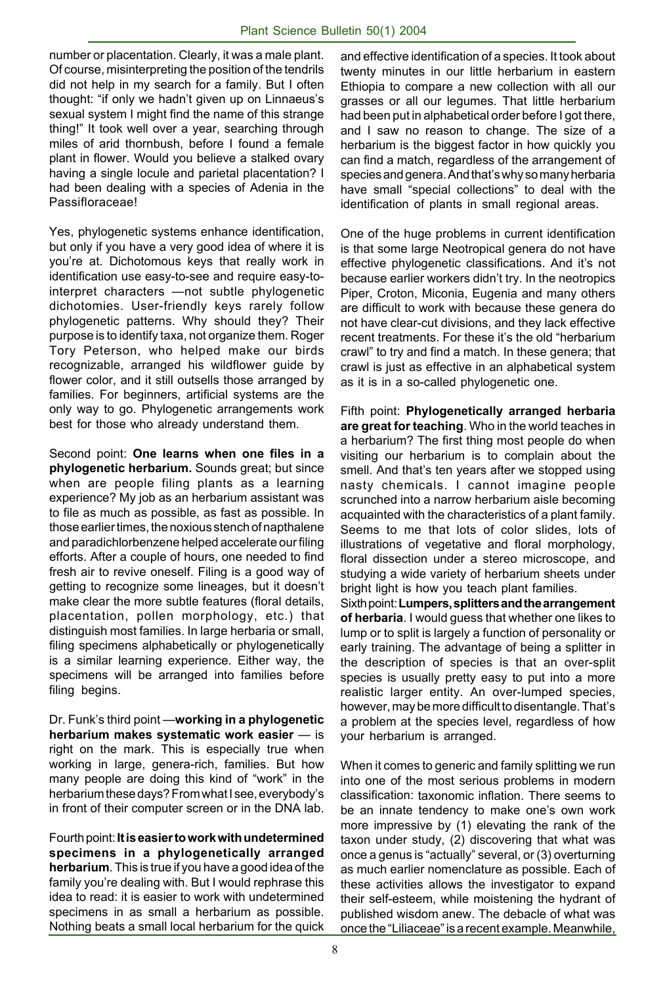number or placentation. Clearly, it was a male plant. Of course, misinterpreting the position of the tendrils did not help in my search for a family. But I often thought: "if only we hadn't given up on Linnaeus's sexual system I might find the name of this strange thing!" It took well over a year, searching through miles of arid thornbush, before I found a female plant in flower. Would you believe a stalked ovary having a single locule and parietal placentation? I had been dealing with a species of Adenia in the Passifloraceae!

Yes, phylogenetic systems enhance identification, but only if you have a very good idea of where it is you're at. Dichotomous keys that really work in identification use easy-to-see and require easy-tointerpret characters —not subtle phylogenetic dichotomies. User-friendly keys rarely follow phylogenetic patterns. Why should they? Their purpose is to identify taxa, not organize them. Roger Tory Peterson, who helped make our birds recognizable, arranged his wildflower guide by flower color, and it still outsells those arranged by families. For beginners, artificial systems are the only way to go. Phylogenetic arrangements work best for those who already understand them.

Second point: **One learns when one files in a phylogenetic herbarium.** Sounds great; but since when are people filing plants as a learning experience? My job as an herbarium assistant was to file as much as possible, as fast as possible. In those earlier times, the noxious stench of napthalene and paradichlorbenzene helped accelerate our filing efforts. After a couple of hours, one needed to find fresh air to revive oneself. Filing is a good way of getting to recognize some lineages, but it doesn't make clear the more subtle features (floral details, placentation, pollen morphology, etc.) that distinguish most families. In large herbaria or small, filing specimens alphabetically or phylogenetically is a similar learning experience. Either way, the specimens will be arranged into families before filing begins.

Dr. Funk's third point —**working in a phylogenetic herbarium makes systematic work easier** — is right on the mark. This is especially true when working in large, genera-rich, families. But how many people are doing this kind of "work" in the herbarium these days? From what I see, everybody's in front of their computer screen or in the DNA lab.

Fourth point: **It is easier to work with undetermined specimens in a phylogenetically arranged herbarium**. This is true if you have a good idea of the family you're dealing with. But I would rephrase this idea to read: it is easier to work with undetermined specimens in as small a herbarium as possible. Nothing beats a small local herbarium for the quick

and effective identification of a species. It took about twenty minutes in our little herbarium in eastern Ethiopia to compare a new collection with all our grasses or all our legumes. That little herbarium had been put in alphabetical order before I got there, and I saw no reason to change. The size of a herbarium is the biggest factor in how quickly you can find a match, regardless of the arrangement of species and genera. And that's why so many herbaria have small "special collections" to deal with the identification of plants in small regional areas.

One of the huge problems in current identification is that some large Neotropical genera do not have effective phylogenetic classifications. And it's not because earlier workers didn't try. In the neotropics Piper, Croton, Miconia, Eugenia and many others are difficult to work with because these genera do not have clear-cut divisions, and they lack effective recent treatments. For these it's the old "herbarium crawl" to try and find a match. In these genera; that crawl is just as effective in an alphabetical system as it is in a so-called phylogenetic one.

Fifth point: **Phylogenetically arranged herbaria are great for teaching**. Who in the world teaches in a herbarium? The first thing most people do when visiting our herbarium is to complain about the smell. And that's ten years after we stopped using nasty chemicals. I cannot imagine people scrunched into a narrow herbarium aisle becoming acquainted with the characteristics of a plant family. Seems to me that lots of color slides, lots of illustrations of vegetative and floral morphology, floral dissection under a stereo microscope, and studying a wide variety of herbarium sheets under bright light is how you teach plant families.

Sixth point: **Lumpers, splitters and the arrangement of herbaria**. I would guess that whether one likes to lump or to split is largely a function of personality or early training. The advantage of being a splitter in the description of species is that an over-split species is usually pretty easy to put into a more realistic larger entity. An over-lumped species, however, may be more difficult to disentangle. That's a problem at the species level, regardless of how your herbarium is arranged.

When it comes to generic and family splitting we run into one of the most serious problems in modern classification: taxonomic inflation. There seems to be an innate tendency to make one's own work more impressive by (1) elevating the rank of the taxon under study, (2) discovering that what was once a genus is "actually" several, or (3) overturning as much earlier nomenclature as possible. Each of these activities allows the investigator to expand their self-esteem, while moistening the hydrant of published wisdom anew. The debacle of what was once the "Liliaceae" is a recent example. Meanwhile,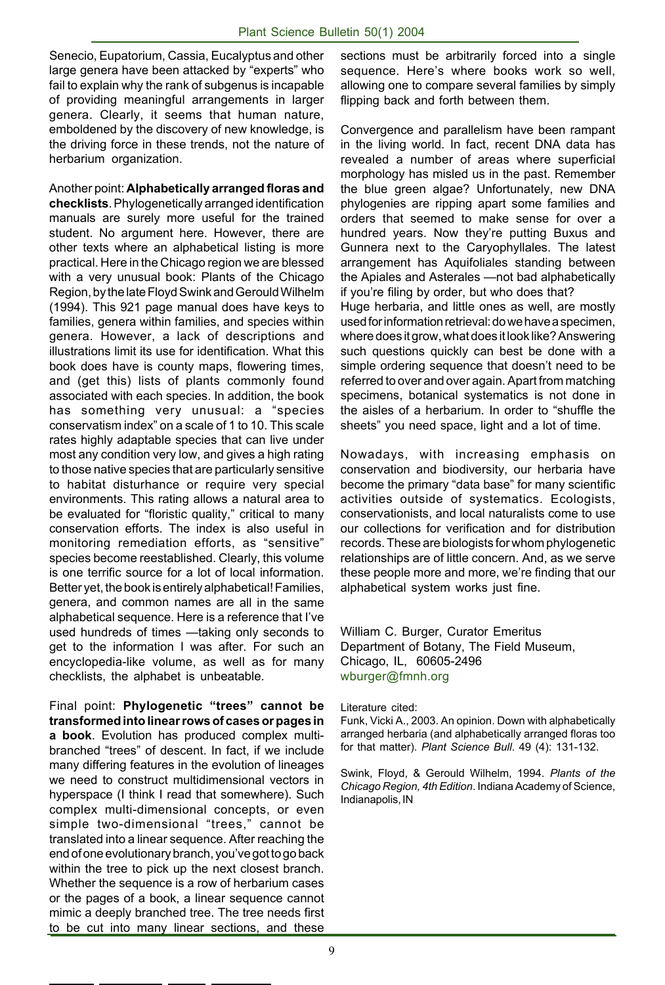Senecio, Eupatorium, Cassia, Eucalyptus and other large genera have been attacked by "experts" who fail to explain why the rank of subgenus is incapable of providing meaningful arrangements in larger genera. Clearly, it seems that human nature, emboldened by the discovery of new knowledge, is the driving force in these trends, not the nature of herbarium organization.

Another point: **Alphabetically arranged floras and checklists**. Phylogenetically arranged identification manuals are surely more useful for the trained student. No argument here. However, there are other texts where an alphabetical listing is more practical. Here in the Chicago region we are blessed with a very unusual book: Plants of the Chicago Region, by the late Floyd Swink and Gerould Wilhelm (1994). This 921 page manual does have keys to families, genera within families, and species within genera. However, a lack of descriptions and illustrations limit its use for identification. What this book does have is county maps, flowering times, and (get this) lists of plants commonly found associated with each species. In addition, the book has something very unusual: a "species conservatism index" on a scale of 1 to 10. This scale rates highly adaptable species that can live under most any condition very low, and gives a high rating to those native species that are particularly sensitive to habitat disturhance or require very special environments. This rating allows a natural area to be evaluated for "floristic quality," critical to many conservation efforts. The index is also useful in monitoring remediation efforts, as "sensitive" species become reestablished. Clearly, this volume is one terrific source for a lot of local information. Better yet, the book is entirely alphabetical! Families, genera, and common names are all in the same alphabetical sequence. Here is a reference that I've used hundreds of times —taking only seconds to get to the information I was after. For such an encyclopedia-like volume, as well as for many checklists, the alphabet is unbeatable.

Final point: **Phylogenetic "trees" cannot be transformed into linear rows of cases or pages in a book**. Evolution has produced complex multibranched "trees" of descent. In fact, if we include many differing features in the evolution of lineages we need to construct multidimensional vectors in hyperspace (I think I read that somewhere). Such complex multi-dimensional concepts, or even simple two-dimensional "trees," cannot be translated into a linear sequence. After reaching the end of one evolutionary branch, you've got to go back within the tree to pick up the next closest branch. Whether the sequence is a row of herbarium cases or the pages of a book, a linear sequence cannot mimic a deeply branched tree. The tree needs first to be cut into many linear sections, and these sections must be arbitrarily forced into a single sequence. Here's where books work so well, allowing one to compare several families by simply flipping back and forth between them.

Convergence and parallelism have been rampant in the living world. In fact, recent DNA data has revealed a number of areas where superficial morphology has misled us in the past. Remember the blue green algae? Unfortunately, new DNA phylogenies are ripping apart some families and orders that seemed to make sense for over a hundred years. Now they're putting Buxus and Gunnera next to the Caryophyllales. The latest arrangement has Aquifoliales standing between the Apiales and Asterales —not bad alphabetically if you're filing by order, but who does that? Huge herbaria, and little ones as well, are mostly used for information retrieval: do we have a specimen, where does it grow, what does it look like? Answering such questions quickly can best be done with a simple ordering sequence that doesn't need to be referred to over and over again. Apart from matching specimens, botanical systematics is not done in the aisles of a herbarium. In order to "shuffle the sheets" you need space, light and a lot of time.

Nowadays, with increasing emphasis on conservation and biodiversity, our herbaria have become the primary "data base" for many scientific activities outside of systematics. Ecologists, conservationists, and local naturalists come to use our collections for verification and for distribution records. These are biologists for whom phylogenetic relationships are of little concern. And, as we serve these people more and more, we're finding that our alphabetical system works just fine.

William C. Burger, Curator Emeritus Department of Botany, The Field Museum, Chicago, IL, 60605-2496 wburger@fmnh.org

Literature cited:

Funk, Vicki A., 2003. An opinion. Down with alphabetically arranged herbaria (and alphabetically arranged floras too for that matter). *Plant Science Bull*. 49 (4): 131-132.

Swink, Floyd, & Gerould Wilhelm, 1994. *Plants of the Chicago Region, 4th Edition*. Indiana Academy of Science, Indianapolis, IN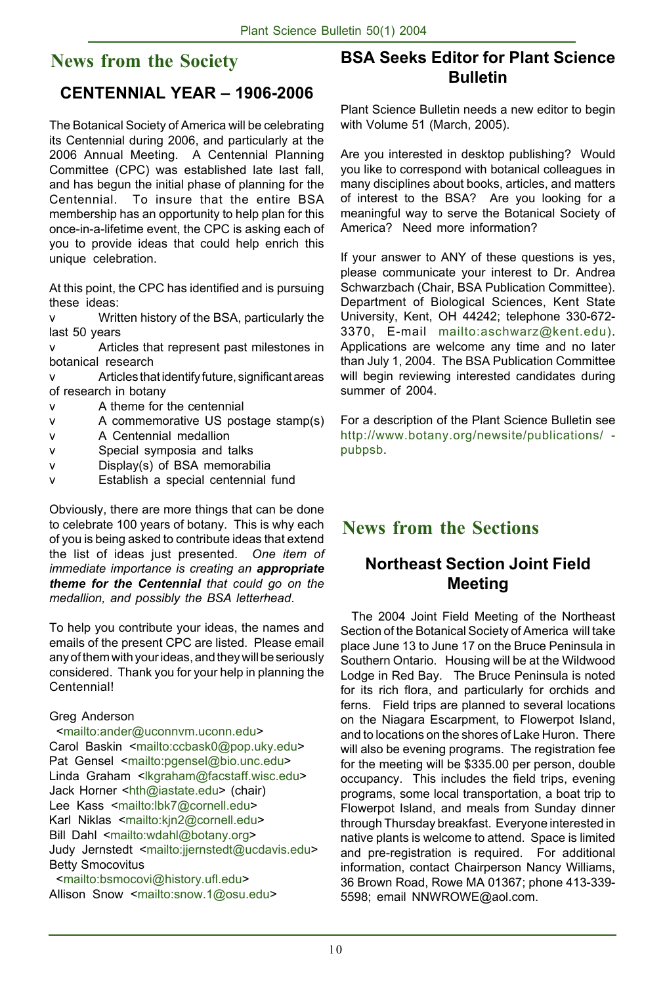## **News from the Society**

## **CENTENNIAL YEAR – 1906-2006**

The Botanical Society of America will be celebrating its Centennial during 2006, and particularly at the 2006 Annual Meeting. A Centennial Planning Committee (CPC) was established late last fall, and has begun the initial phase of planning for the Centennial. To insure that the entire BSA membership has an opportunity to help plan for this once-in-a-lifetime event, the CPC is asking each of you to provide ideas that could help enrich this unique celebration.

At this point, the CPC has identified and is pursuing these ideas:

v Written history of the BSA, particularly the last 50 years

v Articles that represent past milestones in botanical research

v Articles that identify future, significant areas of research in botany

- v A theme for the centennial
- v A commemorative US postage stamp(s)
- v A Centennial medallion
- v Special symposia and talks
- v Display(s) of BSA memorabilia
- v Establish a special centennial fund

Obviously, there are more things that can be done to celebrate 100 years of botany. This is why each of you is being asked to contribute ideas that extend the list of ideas just presented. *One item of immediate importance is creating an appropriate theme for the Centennial that could go on the medallion, and possibly the BSA letterhead*.

To help you contribute your ideas, the names and emails of the present CPC are listed. Please email any of them with your ideas, and they will be seriously considered. Thank you for your help in planning the Centennial!

#### Greg Anderson

 <mailto:ander@uconnvm.uconn.edu> Carol Baskin <mailto:ccbask0@pop.uky.edu> Pat Gensel <mailto:pgensel@bio.unc.edu> Linda Graham <lkgraham@facstaff.wisc.edu> Jack Horner <hth@iastate.edu> (chair) Lee Kass <mailto:lbk7@cornell.edu> Karl Niklas <mailto:kjn2@cornell.edu> Bill Dahl <mailto:wdahl@botany.org> Judy Jernstedt <mailto:jjernstedt@ucdavis.edu> Betty Smocovitus

 <mailto:bsmocovi@history.ufl.edu> Allison Snow <mailto:snow.1@osu.edu>

## **BSA Seeks Editor for Plant Science Bulletin**

Plant Science Bulletin needs a new editor to begin with Volume 51 (March, 2005).

Are you interested in desktop publishing? Would you like to correspond with botanical colleagues in many disciplines about books, articles, and matters of interest to the BSA? Are you looking for a meaningful way to serve the Botanical Society of America? Need more information?

If your answer to ANY of these questions is yes, please communicate your interest to Dr. Andrea Schwarzbach (Chair, BSA Publication Committee). Department of Biological Sciences, Kent State University, Kent, OH 44242; telephone 330-672- 3370, E-mail mailto:aschwarz@kent.edu). Applications are welcome any time and no later than July 1, 2004. The BSA Publication Committee will begin reviewing interested candidates during summer of 2004.

For a description of the Plant Science Bulletin see http://www.botany.org/newsite/publications/ pubpsb.

## **News from the Sections**

## **Northeast Section Joint Field Meeting**

 The 2004 Joint Field Meeting of the Northeast Section of the Botanical Society of America will take place June 13 to June 17 on the Bruce Peninsula in Southern Ontario. Housing will be at the Wildwood Lodge in Red Bay. The Bruce Peninsula is noted for its rich flora, and particularly for orchids and ferns. Field trips are planned to several locations on the Niagara Escarpment, to Flowerpot Island, and to locations on the shores of Lake Huron. There will also be evening programs. The registration fee for the meeting will be \$335.00 per person, double occupancy. This includes the field trips, evening programs, some local transportation, a boat trip to Flowerpot Island, and meals from Sunday dinner through Thursday breakfast. Everyone interested in native plants is welcome to attend. Space is limited and pre-registration is required. For additional information, contact Chairperson Nancy Williams, 36 Brown Road, Rowe MA 01367; phone 413-339- 5598; email NNWROWE@aol.com.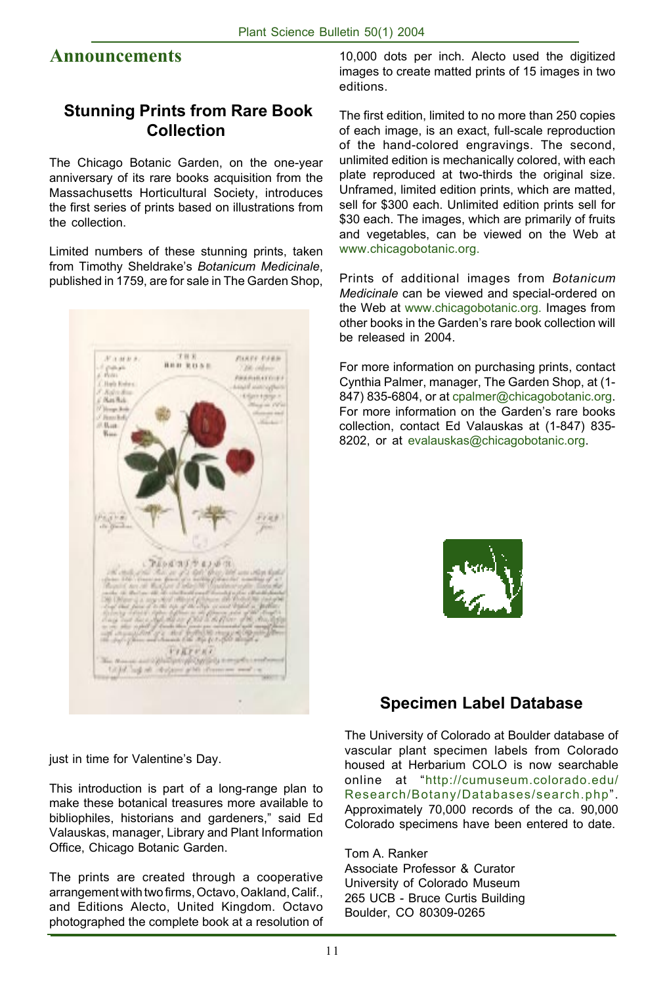## **Announcements**

#### **Stunning Prints from Rare Book Collection**

The Chicago Botanic Garden, on the one-year anniversary of its rare books acquisition from the Massachusetts Horticultural Society, introduces the first series of prints based on illustrations from the collection.

Limited numbers of these stunning prints, taken from Timothy Sheldrake's *Botanicum Medicinale*, published in 1759, are for sale in The Garden Shop,



10,000 dots per inch. Alecto used the digitized images to create matted prints of 15 images in two editions.

The first edition, limited to no more than 250 copies of each image, is an exact, full-scale reproduction of the hand-colored engravings. The second, unlimited edition is mechanically colored, with each plate reproduced at two-thirds the original size. Unframed, limited edition prints, which are matted, sell for \$300 each. Unlimited edition prints sell for \$30 each. The images, which are primarily of fruits and vegetables, can be viewed on the Web at www.chicagobotanic.org.

Prints of additional images from *Botanicum Medicinale* can be viewed and special-ordered on the Web at www.chicagobotanic.org. Images from other books in the Garden's rare book collection will be released in 2004.

For more information on purchasing prints, contact Cynthia Palmer, manager, The Garden Shop, at (1- 847) 835-6804, or at cpalmer@chicagobotanic.org. For more information on the Garden's rare books collection, contact Ed Valauskas at (1-847) 835- 8202, or at evalauskas@chicagobotanic.org.



## **Specimen Label Database**

The University of Colorado at Boulder database of vascular plant specimen labels from Colorado housed at Herbarium COLO is now searchable online at "http://cumuseum.colorado.edu/ Research/Botany/Databases/search.php". Approximately 70,000 records of the ca. 90,000 Colorado specimens have been entered to date.

Tom A. Ranker

Associate Professor & Curator University of Colorado Museum 265 UCB - Bruce Curtis Building Boulder, CO 80309-0265

just in time for Valentine's Day.

This introduction is part of a long-range plan to make these botanical treasures more available to bibliophiles, historians and gardeners," said Ed Valauskas, manager, Library and Plant Information Office, Chicago Botanic Garden.

The prints are created through a cooperative arrangement with two firms, Octavo, Oakland, Calif., and Editions Alecto, United Kingdom. Octavo photographed the complete book at a resolution of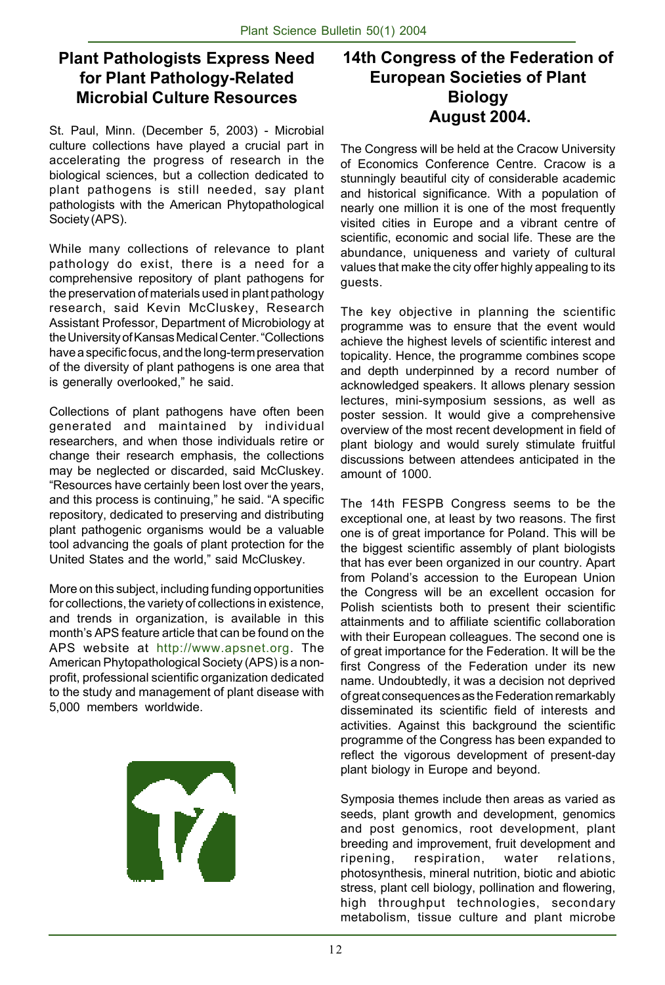## **Plant Pathologists Express Need for Plant Pathology-Related Microbial Culture Resources**

St. Paul, Minn. (December 5, 2003) - Microbial culture collections have played a crucial part in accelerating the progress of research in the biological sciences, but a collection dedicated to plant pathogens is still needed, say plant pathologists with the American Phytopathological Society (APS).

While many collections of relevance to plant pathology do exist, there is a need for a comprehensive repository of plant pathogens for the preservation of materials used in plant pathology research, said Kevin McCluskey, Research Assistant Professor, Department of Microbiology at the University of Kansas Medical Center. "Collections have a specific focus, and the long-term preservation of the diversity of plant pathogens is one area that is generally overlooked," he said.

Collections of plant pathogens have often been generated and maintained by individual researchers, and when those individuals retire or change their research emphasis, the collections may be neglected or discarded, said McCluskey. "Resources have certainly been lost over the years, and this process is continuing," he said. "A specific repository, dedicated to preserving and distributing plant pathogenic organisms would be a valuable tool advancing the goals of plant protection for the United States and the world," said McCluskey.

More on this subject, including funding opportunities for collections, the variety of collections in existence, and trends in organization, is available in this month's APS feature article that can be found on the APS website at http://www.apsnet.org. The American Phytopathological Society (APS) is a nonprofit, professional scientific organization dedicated to the study and management of plant disease with 5,000 members worldwide.

T

## **14th Congress of the Federation of European Societies of Plant Biology August 2004.**

The Congress will be held at the Cracow University of Economics Conference Centre. Cracow is a stunningly beautiful city of considerable academic and historical significance. With a population of nearly one million it is one of the most frequently visited cities in Europe and a vibrant centre of scientific, economic and social life. These are the abundance, uniqueness and variety of cultural values that make the city offer highly appealing to its guests.

The key objective in planning the scientific programme was to ensure that the event would achieve the highest levels of scientific interest and topicality. Hence, the programme combines scope and depth underpinned by a record number of acknowledged speakers. It allows plenary session lectures, mini-symposium sessions, as well as poster session. It would give a comprehensive overview of the most recent development in field of plant biology and would surely stimulate fruitful discussions between attendees anticipated in the amount of 1000.

The 14th FESPB Congress seems to be the exceptional one, at least by two reasons. The first one is of great importance for Poland. This will be the biggest scientific assembly of plant biologists that has ever been organized in our country. Apart from Poland's accession to the European Union the Congress will be an excellent occasion for Polish scientists both to present their scientific attainments and to affiliate scientific collaboration with their European colleagues. The second one is of great importance for the Federation. It will be the first Congress of the Federation under its new name. Undoubtedly, it was a decision not deprived of great consequences as the Federation remarkably disseminated its scientific field of interests and activities. Against this background the scientific programme of the Congress has been expanded to reflect the vigorous development of present-day plant biology in Europe and beyond.

Symposia themes include then areas as varied as seeds, plant growth and development, genomics and post genomics, root development, plant breeding and improvement, fruit development and ripening, respiration, water relations, photosynthesis, mineral nutrition, biotic and abiotic stress, plant cell biology, pollination and flowering, high throughput technologies, secondary metabolism, tissue culture and plant microbe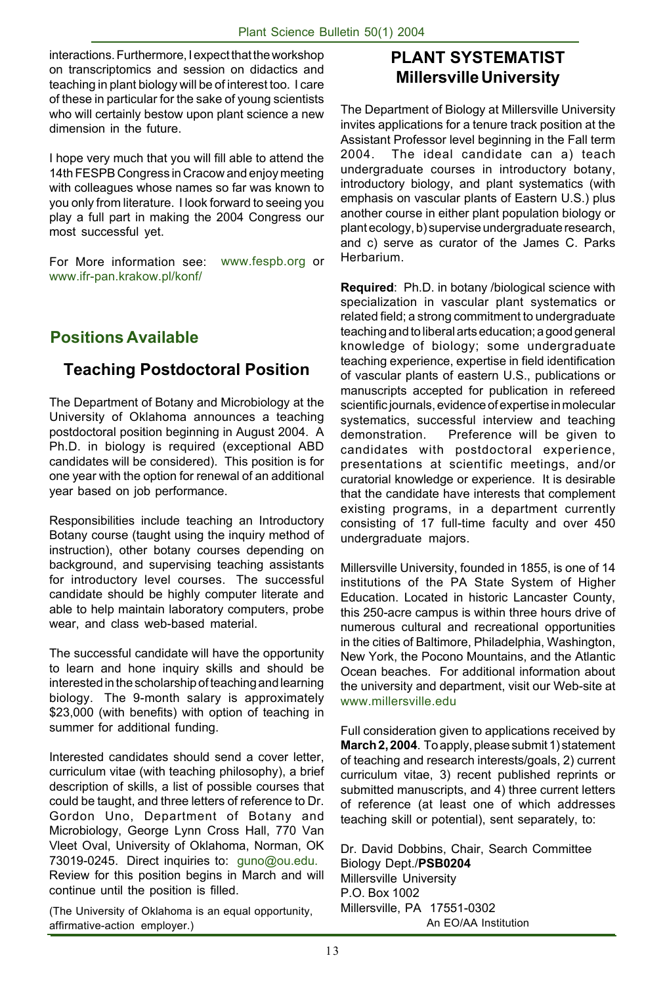interactions. Furthermore, I expect that the workshop on transcriptomics and session on didactics and teaching in plant biology will be of interest too. I care of these in particular for the sake of young scientists who will certainly bestow upon plant science a new dimension in the future.

I hope very much that you will fill able to attend the 14th FESPB Congress in Cracow and enjoy meeting with colleagues whose names so far was known to you only from literature. I look forward to seeing you play a full part in making the 2004 Congress our most successful yet.

For More information see: www.fespb.org or www.ifr-pan.krakow.pl/konf/

## **Positions Available**

## **Teaching Postdoctoral Position**

The Department of Botany and Microbiology at the University of Oklahoma announces a teaching postdoctoral position beginning in August 2004. A Ph.D. in biology is required (exceptional ABD candidates will be considered). This position is for one year with the option for renewal of an additional year based on job performance.

Responsibilities include teaching an Introductory Botany course (taught using the inquiry method of instruction), other botany courses depending on background, and supervising teaching assistants for introductory level courses. The successful candidate should be highly computer literate and able to help maintain laboratory computers, probe wear, and class web-based material.

The successful candidate will have the opportunity to learn and hone inquiry skills and should be interested in the scholarship of teaching and learning biology. The 9-month salary is approximately \$23,000 (with benefits) with option of teaching in summer for additional funding.

Interested candidates should send a cover letter, curriculum vitae (with teaching philosophy), a brief description of skills, a list of possible courses that could be taught, and three letters of reference to Dr. Gordon Uno, Department of Botany and Microbiology, George Lynn Cross Hall, 770 Van Vleet Oval, University of Oklahoma, Norman, OK 73019-0245. Direct inquiries to: guno@ou.edu. Review for this position begins in March and will continue until the position is filled.

(The University of Oklahoma is an equal opportunity, affirmative-action employer.)

## **PLANT SYSTEMATIST Millersville University**

The Department of Biology at Millersville University invites applications for a tenure track position at the Assistant Professor level beginning in the Fall term 2004. The ideal candidate can a) teach undergraduate courses in introductory botany, introductory biology, and plant systematics (with emphasis on vascular plants of Eastern U.S.) plus another course in either plant population biology or plant ecology, b) supervise undergraduate research, and c) serve as curator of the James C. Parks Herbarium.

**Required**: Ph.D. in botany /biological science with specialization in vascular plant systematics or related field; a strong commitment to undergraduate teaching and to liberal arts education; a good general knowledge of biology; some undergraduate teaching experience, expertise in field identification of vascular plants of eastern U.S., publications or manuscripts accepted for publication in refereed scientific journals, evidence of expertise in molecular systematics, successful interview and teaching demonstration. Preference will be given to candidates with postdoctoral experience, presentations at scientific meetings, and/or curatorial knowledge or experience. It is desirable that the candidate have interests that complement existing programs, in a department currently consisting of 17 full-time faculty and over 450 undergraduate majors.

Millersville University, founded in 1855, is one of 14 institutions of the PA State System of Higher Education. Located in historic Lancaster County, this 250-acre campus is within three hours drive of numerous cultural and recreational opportunities in the cities of Baltimore, Philadelphia, Washington, New York, the Pocono Mountains, and the Atlantic Ocean beaches. For additional information about the university and department, visit our Web-site at www.millersville.edu

Full consideration given to applications received by **March 2, 2004**. To apply, please submit 1) statement of teaching and research interests/goals, 2) current curriculum vitae, 3) recent published reprints or submitted manuscripts, and 4) three current letters of reference (at least one of which addresses teaching skill or potential), sent separately, to:

Dr. David Dobbins, Chair, Search Committee Biology Dept./**PSB0204** Millersville University P.O. Box 1002 Millersville, PA 17551-0302 An EO/AA Institution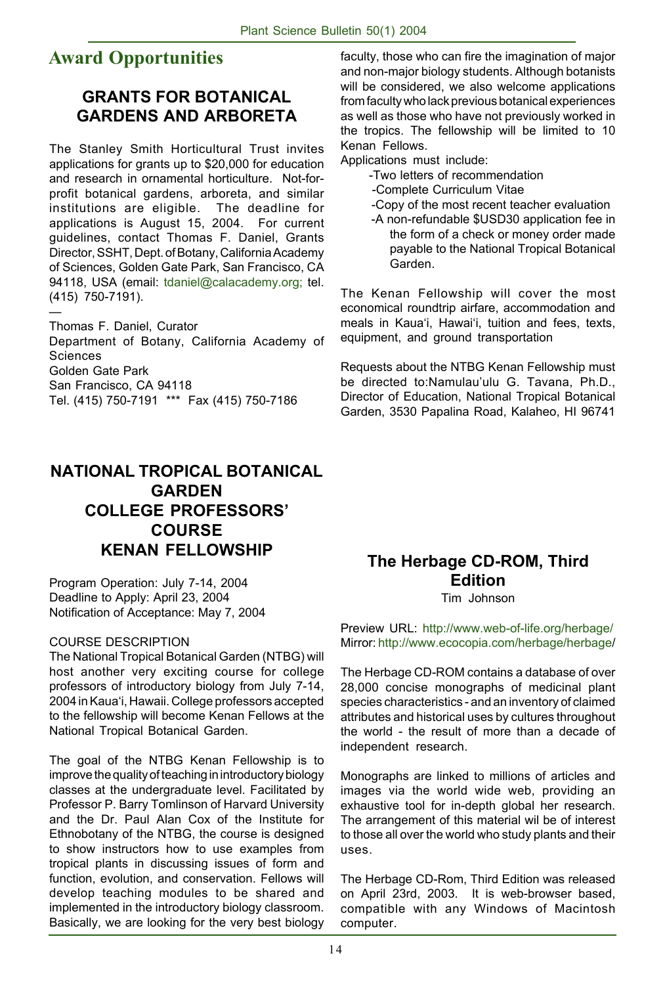## **Award Opportunities**

#### **GRANTS FOR BOTANICAL GARDENS AND ARBORETA**

The Stanley Smith Horticultural Trust invites applications for grants up to \$20,000 for education and research in ornamental horticulture. Not-forprofit botanical gardens, arboreta, and similar institutions are eligible. The deadline for applications is August 15, 2004. For current guidelines, contact Thomas F. Daniel, Grants Director, SSHT, Dept. of Botany, California Academy of Sciences, Golden Gate Park, San Francisco, CA 94118, USA (email: tdaniel@calacademy.org; tel. (415) 750-7191).

— Thomas F. Daniel, Curator Department of Botany, California Academy of Sciences Golden Gate Park San Francisco, CA 94118 Tel. (415) 750-7191 \*\*\* Fax (415) 750-7186

### **NATIONAL TROPICAL BOTANICAL GARDEN COLLEGE PROFESSORS' COURSE KENAN FELLOWSHIP**

Program Operation: July 7-14, 2004 Deadline to Apply: April 23, 2004 Notification of Acceptance: May 7, 2004

#### COURSE DESCRIPTION

The National Tropical Botanical Garden (NTBG) will host another very exciting course for college professors of introductory biology from July 7-14, 2004 in Kaua'i, Hawaii. College professors accepted to the fellowship will become Kenan Fellows at the National Tropical Botanical Garden.

The goal of the NTBG Kenan Fellowship is to improve the quality of teaching in introductory biology classes at the undergraduate level. Facilitated by Professor P. Barry Tomlinson of Harvard University and the Dr. Paul Alan Cox of the Institute for Ethnobotany of the NTBG, the course is designed to show instructors how to use examples from tropical plants in discussing issues of form and function, evolution, and conservation. Fellows will develop teaching modules to be shared and implemented in the introductory biology classroom. Basically, we are looking for the very best biology faculty, those who can fire the imagination of major and non-major biology students. Although botanists will be considered, we also welcome applications from faculty who lack previous botanical experiences as well as those who have not previously worked in the tropics. The fellowship will be limited to 10 Kenan Fellows.

Applications must include:

- -Two letters of recommendation
- -Complete Curriculum Vitae
- -Copy of the most recent teacher evaluation
- -A non-refundable \$USD30 application fee in the form of a check or money order made payable to the National Tropical Botanical Garden.

The Kenan Fellowship will cover the most economical roundtrip airfare, accommodation and meals in Kaua'i, Hawai'i, tuition and fees, texts, equipment, and ground transportation

Requests about the NTBG Kenan Fellowship must be directed to:Namulau'ulu G. Tavana, Ph.D., Director of Education, National Tropical Botanical Garden, 3530 Papalina Road, Kalaheo, HI 96741

## **The Herbage CD-ROM, Third Edition**

Tim Johnson

Preview URL: http://www.web-of-life.org/herbage/ Mirror: http://www.ecocopia.com/herbage/herbage/

The Herbage CD-ROM contains a database of over 28,000 concise monographs of medicinal plant species characteristics - and an inventory of claimed attributes and historical uses by cultures throughout the world - the result of more than a decade of independent research.

Monographs are linked to millions of articles and images via the world wide web, providing an exhaustive tool for in-depth global her research. The arrangement of this material wil be of interest to those all over the world who study plants and their uses.

The Herbage CD-Rom, Third Edition was released on April 23rd, 2003. It is web-browser based, compatible with any Windows of Macintosh computer.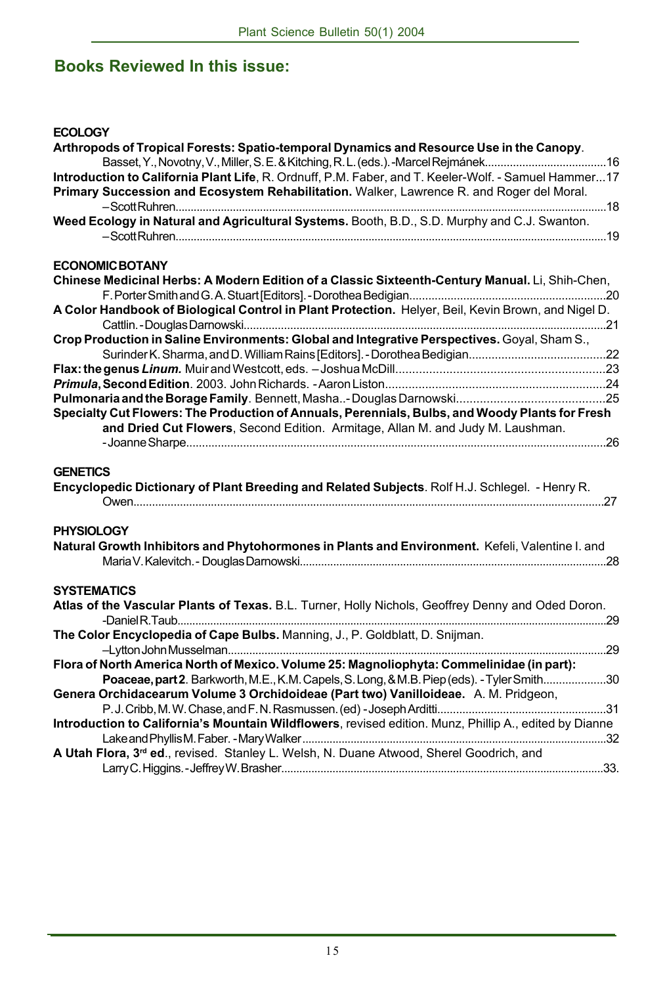## **Books Reviewed In this issue:**

#### **ECOLOGY**

| Arthropods of Tropical Forests: Spatio-temporal Dynamics and Resource Use in the Canopy.                          |  |
|-------------------------------------------------------------------------------------------------------------------|--|
| Introduction to California Plant Life, R. Ordnuff, P.M. Faber, and T. Keeler-Wolf. - Samuel Hammer17              |  |
| Primary Succession and Ecosystem Rehabilitation. Walker, Lawrence R. and Roger del Moral.                         |  |
|                                                                                                                   |  |
| Weed Ecology in Natural and Agricultural Systems. Booth, B.D., S.D. Murphy and C.J. Swanton.                      |  |
|                                                                                                                   |  |
|                                                                                                                   |  |
| <b>ECONOMIC BOTANY</b>                                                                                            |  |
| Chinese Medicinal Herbs: A Modern Edition of a Classic Sixteenth-Century Manual. Li, Shih-Chen,                   |  |
|                                                                                                                   |  |
| A Color Handbook of Biological Control in Plant Protection. Helyer, Beil, Kevin Brown, and Nigel D.               |  |
|                                                                                                                   |  |
| Crop Production in Saline Environments: Global and Integrative Perspectives. Goyal, Sham S.,                      |  |
|                                                                                                                   |  |
|                                                                                                                   |  |
|                                                                                                                   |  |
|                                                                                                                   |  |
| Specialty Cut Flowers: The Production of Annuals, Perennials, Bulbs, and Woody Plants for Fresh                   |  |
| and Dried Cut Flowers, Second Edition. Armitage, Allan M. and Judy M. Laushman.                                   |  |
|                                                                                                                   |  |
|                                                                                                                   |  |
| <b>GENETICS</b><br>Encyclopedic Dictionary of Plant Breeding and Related Subjects. Rolf H.J. Schlegel. - Henry R. |  |
| <b>PHYSIOLOGY</b>                                                                                                 |  |
| Natural Growth Inhibitors and Phytohormones in Plants and Environment. Kefeli, Valentine I. and                   |  |
|                                                                                                                   |  |
|                                                                                                                   |  |
| <b>SYSTEMATICS</b>                                                                                                |  |
| Atlas of the Vascular Plants of Texas. B.L. Turner, Holly Nichols, Geoffrey Denny and Oded Doron.                 |  |
|                                                                                                                   |  |
| The Color Encyclopedia of Cape Bulbs. Manning, J., P. Goldblatt, D. Snijman.                                      |  |
|                                                                                                                   |  |
| Flora of North America North of Mexico. Volume 25: Magnoliophyta: Commelinidae (in part):                         |  |
| Poaceae, part 2. Barkworth, M.E., K.M. Capels, S. Long, & M.B. Piep (eds). - Tyler Smith30                        |  |
| Genera Orchidacearum Volume 3 Orchidoideae (Part two) Vanilloideae. A. M. Pridgeon,                               |  |
|                                                                                                                   |  |
| Introduction to California's Mountain Wildflowers, revised edition. Munz, Phillip A., edited by Dianne            |  |
|                                                                                                                   |  |
| A Utah Flora, 3rd ed., revised. Stanley L. Welsh, N. Duane Atwood, Sherel Goodrich, and                           |  |
|                                                                                                                   |  |
|                                                                                                                   |  |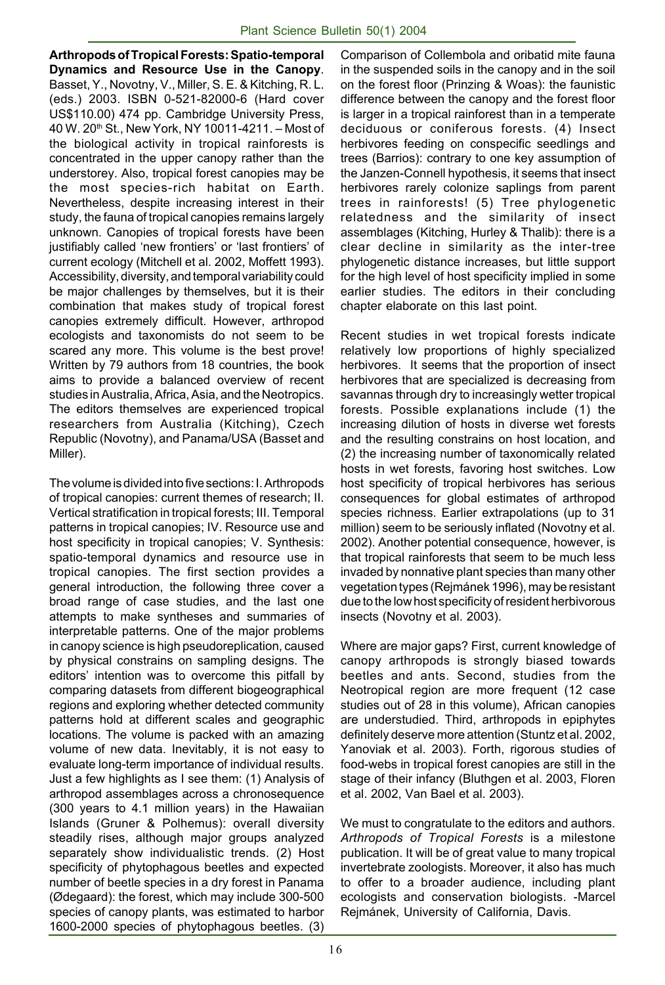**Arthropods of Tropical Forests: Spatio-temporal Dynamics and Resource Use in the Canopy**. Basset, Y., Novotny, V., Miller, S. E. & Kitching, R. L. (eds.) 2003. ISBN 0-521-82000-6 (Hard cover US\$110.00) 474 pp. Cambridge University Press, 40 W. 20th St., New York, NY 10011-4211. – Most of the biological activity in tropical rainforests is concentrated in the upper canopy rather than the understorey. Also, tropical forest canopies may be the most species-rich habitat on Earth. Nevertheless, despite increasing interest in their study, the fauna of tropical canopies remains largely unknown. Canopies of tropical forests have been justifiably called 'new frontiers' or 'last frontiers' of current ecology (Mitchell et al. 2002, Moffett 1993). Accessibility, diversity, and temporal variability could be major challenges by themselves, but it is their combination that makes study of tropical forest canopies extremely difficult. However, arthropod ecologists and taxonomists do not seem to be scared any more. This volume is the best prove! Written by 79 authors from 18 countries, the book aims to provide a balanced overview of recent studies in Australia, Africa, Asia, and the Neotropics. The editors themselves are experienced tropical researchers from Australia (Kitching), Czech Republic (Novotny), and Panama/USA (Basset and Miller).

The volume is divided into five sections: I. Arthropods of tropical canopies: current themes of research; II. Vertical stratification in tropical forests; III. Temporal patterns in tropical canopies; IV. Resource use and host specificity in tropical canopies; V. Synthesis: spatio-temporal dynamics and resource use in tropical canopies. The first section provides a general introduction, the following three cover a broad range of case studies, and the last one attempts to make syntheses and summaries of interpretable patterns. One of the major problems in canopy science is high pseudoreplication, caused by physical constrains on sampling designs. The editors' intention was to overcome this pitfall by comparing datasets from different biogeographical regions and exploring whether detected community patterns hold at different scales and geographic locations. The volume is packed with an amazing volume of new data. Inevitably, it is not easy to evaluate long-term importance of individual results. Just a few highlights as I see them: (1) Analysis of arthropod assemblages across a chronosequence (300 years to 4.1 million years) in the Hawaiian Islands (Gruner & Polhemus): overall diversity steadily rises, although major groups analyzed separately show individualistic trends. (2) Host specificity of phytophagous beetles and expected number of beetle species in a dry forest in Panama (Ødegaard): the forest, which may include 300-500 species of canopy plants, was estimated to harbor 1600-2000 species of phytophagous beetles. (3)

Comparison of Collembola and oribatid mite fauna in the suspended soils in the canopy and in the soil on the forest floor (Prinzing & Woas): the faunistic difference between the canopy and the forest floor is larger in a tropical rainforest than in a temperate deciduous or coniferous forests. (4) Insect herbivores feeding on conspecific seedlings and trees (Barrios): contrary to one key assumption of the Janzen-Connell hypothesis, it seems that insect herbivores rarely colonize saplings from parent trees in rainforests! (5) Tree phylogenetic relatedness and the similarity of insect assemblages (Kitching, Hurley & Thalib): there is a clear decline in similarity as the inter-tree phylogenetic distance increases, but little support for the high level of host specificity implied in some earlier studies. The editors in their concluding chapter elaborate on this last point.

Recent studies in wet tropical forests indicate relatively low proportions of highly specialized herbivores. It seems that the proportion of insect herbivores that are specialized is decreasing from savannas through dry to increasingly wetter tropical forests. Possible explanations include (1) the increasing dilution of hosts in diverse wet forests and the resulting constrains on host location, and (2) the increasing number of taxonomically related hosts in wet forests, favoring host switches. Low host specificity of tropical herbivores has serious consequences for global estimates of arthropod species richness. Earlier extrapolations (up to 31 million) seem to be seriously inflated (Novotny et al. 2002). Another potential consequence, however, is that tropical rainforests that seem to be much less invaded by nonnative plant species than many other vegetation types (Rejmánek 1996), may be resistant due to the low host specificity of resident herbivorous insects (Novotny et al. 2003).

Where are major gaps? First, current knowledge of canopy arthropods is strongly biased towards beetles and ants. Second, studies from the Neotropical region are more frequent (12 case studies out of 28 in this volume), African canopies are understudied. Third, arthropods in epiphytes definitely deserve more attention (Stuntz et al. 2002, Yanoviak et al. 2003). Forth, rigorous studies of food-webs in tropical forest canopies are still in the stage of their infancy (Bluthgen et al. 2003, Floren et al. 2002, Van Bael et al. 2003).

We must to congratulate to the editors and authors. *Arthropods of Tropical Forests* is a milestone publication. It will be of great value to many tropical invertebrate zoologists. Moreover, it also has much to offer to a broader audience, including plant ecologists and conservation biologists. -Marcel Rejmánek, University of California, Davis.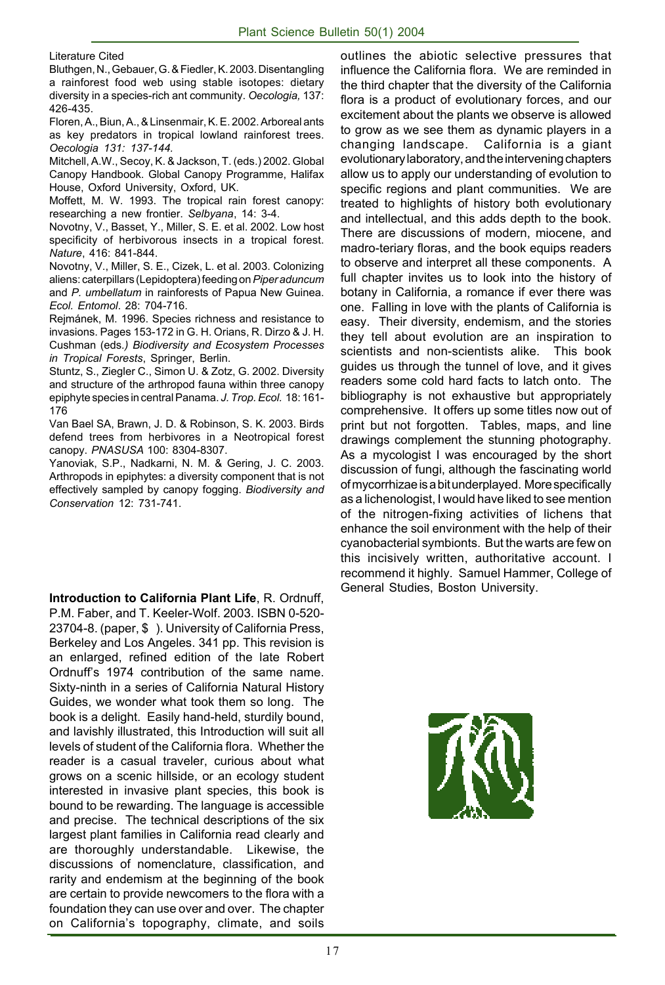Literature Cited

Bluthgen, N., Gebauer, G. & Fiedler, K. 2003. Disentangling a rainforest food web using stable isotopes: dietary diversity in a species-rich ant community. *Oecologia,* 137: 426-435.

Floren, A., Biun, A., & Linsenmair, K. E. 2002. Arboreal ants as key predators in tropical lowland rainforest trees. *Oecologia 131: 137-144.*

Mitchell, A.W., Secoy, K. & Jackson, T. (eds.) 2002. Global Canopy Handbook. Global Canopy Programme, Halifax House, Oxford University, Oxford, UK.

Moffett, M. W. 1993. The tropical rain forest canopy: researching a new frontier. *Selbyana*, 14: 3-4.

Novotny, V., Basset, Y., Miller, S. E. et al. 2002. Low host specificity of herbivorous insects in a tropical forest. *Nature*, 416: 841-844.

Novotny, V., Miller, S. E., Cizek, L. et al. 2003. Colonizing aliens: caterpillars (Lepidoptera) feeding on *Piper aduncum* and *P. umbellatum* in rainforests of Papua New Guinea. *Ecol. Entomol*. 28: 704-716.

Rejmánek, M. 1996. Species richness and resistance to invasions. Pages 153-172 in G. H. Orians, R. Dirzo & J. H. Cushman (eds*.) Biodiversity and Ecosystem Processes in Tropical Forests*, Springer, Berlin.

Stuntz, S., Ziegler C., Simon U. & Zotz, G. 2002. Diversity and structure of the arthropod fauna within three canopy epiphyte species in central Panama. *J. Trop. Ecol.* 18: 161- 176

Van Bael SA, Brawn, J. D. & Robinson, S. K. 2003. Birds defend trees from herbivores in a Neotropical forest canopy. *PNASUSA* 100: 8304-8307.

Yanoviak, S.P., Nadkarni, N. M. & Gering, J. C. 2003. Arthropods in epiphytes: a diversity component that is not effectively sampled by canopy fogging. *Biodiversity and Conservation* 12: 731-741.

**Introduction to California Plant Life**, R. Ordnuff, P.M. Faber, and T. Keeler-Wolf. 2003. ISBN 0-520- 23704-8. (paper, \$ ). University of California Press, Berkeley and Los Angeles. 341 pp. This revision is an enlarged, refined edition of the late Robert Ordnuff's 1974 contribution of the same name. Sixty-ninth in a series of California Natural History Guides, we wonder what took them so long. The book is a delight. Easily hand-held, sturdily bound, and lavishly illustrated, this Introduction will suit all levels of student of the California flora. Whether the reader is a casual traveler, curious about what grows on a scenic hillside, or an ecology student interested in invasive plant species, this book is bound to be rewarding. The language is accessible and precise. The technical descriptions of the six largest plant families in California read clearly and are thoroughly understandable. Likewise, the discussions of nomenclature, classification, and rarity and endemism at the beginning of the book are certain to provide newcomers to the flora with a foundation they can use over and over. The chapter on California's topography, climate, and soils

outlines the abiotic selective pressures that influence the California flora. We are reminded in the third chapter that the diversity of the California flora is a product of evolutionary forces, and our excitement about the plants we observe is allowed to grow as we see them as dynamic players in a changing landscape. California is a giant evolutionary laboratory, and the intervening chapters allow us to apply our understanding of evolution to specific regions and plant communities. We are treated to highlights of history both evolutionary and intellectual, and this adds depth to the book. There are discussions of modern, miocene, and madro-teriary floras, and the book equips readers to observe and interpret all these components. A full chapter invites us to look into the history of botany in California, a romance if ever there was one. Falling in love with the plants of California is easy. Their diversity, endemism, and the stories they tell about evolution are an inspiration to scientists and non-scientists alike. This book guides us through the tunnel of love, and it gives readers some cold hard facts to latch onto. The bibliography is not exhaustive but appropriately comprehensive. It offers up some titles now out of print but not forgotten. Tables, maps, and line drawings complement the stunning photography. As a mycologist I was encouraged by the short discussion of fungi, although the fascinating world of mycorrhizae is a bit underplayed. More specifically as a lichenologist, I would have liked to see mention of the nitrogen-fixing activities of lichens that enhance the soil environment with the help of their cyanobacterial symbionts. But the warts are few on this incisively written, authoritative account. I recommend it highly. Samuel Hammer, College of General Studies, Boston University.

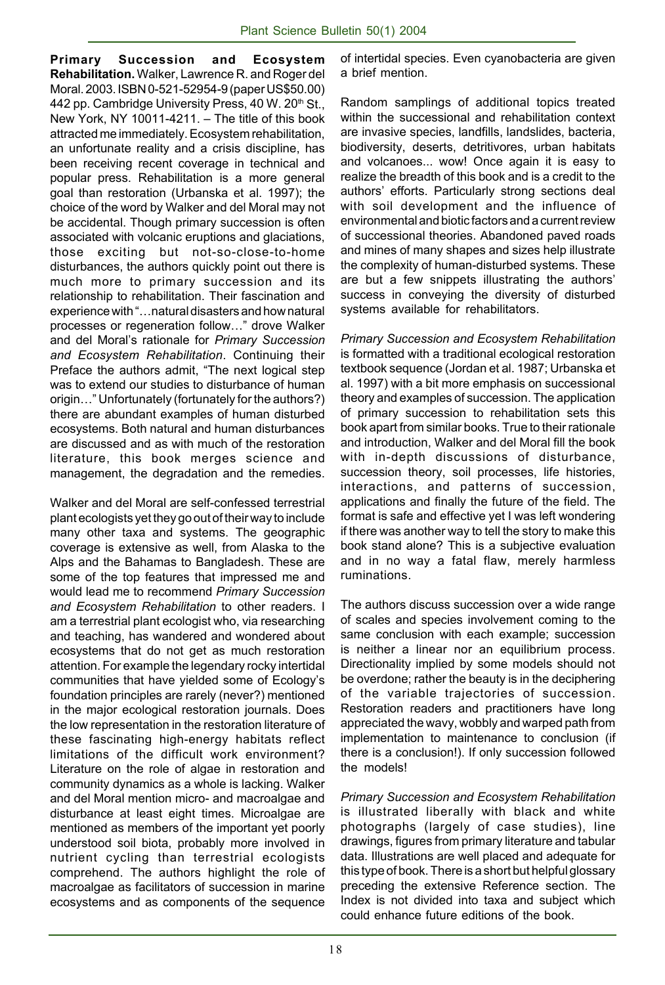**Primary Succession and Ecosystem Rehabilitation.** Walker, Lawrence R. and Roger del Moral. 2003. ISBN 0-521-52954-9 (paper US\$50.00) 442 pp. Cambridge University Press, 40 W. 20<sup>th</sup> St., New York, NY 10011-4211. – The title of this book attracted me immediately. Ecosystem rehabilitation, an unfortunate reality and a crisis discipline, has been receiving recent coverage in technical and popular press. Rehabilitation is a more general goal than restoration (Urbanska et al. 1997); the choice of the word by Walker and del Moral may not be accidental. Though primary succession is often associated with volcanic eruptions and glaciations, those exciting but not-so-close-to-home disturbances, the authors quickly point out there is much more to primary succession and its relationship to rehabilitation. Their fascination and experience with "…natural disasters and how natural processes or regeneration follow…" drove Walker and del Moral's rationale for *Primary Succession and Ecosystem Rehabilitation*. Continuing their Preface the authors admit, "The next logical step was to extend our studies to disturbance of human origin…" Unfortunately (fortunately for the authors?) there are abundant examples of human disturbed ecosystems. Both natural and human disturbances are discussed and as with much of the restoration literature, this book merges science and management, the degradation and the remedies.

Walker and del Moral are self-confessed terrestrial plant ecologists yet they go out of their way to include many other taxa and systems. The geographic coverage is extensive as well, from Alaska to the Alps and the Bahamas to Bangladesh. These are some of the top features that impressed me and would lead me to recommend *Primary Succession and Ecosystem Rehabilitation* to other readers. I am a terrestrial plant ecologist who, via researching and teaching, has wandered and wondered about ecosystems that do not get as much restoration attention. For example the legendary rocky intertidal communities that have yielded some of Ecology's foundation principles are rarely (never?) mentioned in the major ecological restoration journals. Does the low representation in the restoration literature of these fascinating high-energy habitats reflect limitations of the difficult work environment? Literature on the role of algae in restoration and community dynamics as a whole is lacking. Walker and del Moral mention micro- and macroalgae and disturbance at least eight times. Microalgae are mentioned as members of the important yet poorly understood soil biota, probably more involved in nutrient cycling than terrestrial ecologists comprehend. The authors highlight the role of macroalgae as facilitators of succession in marine ecosystems and as components of the sequence

of intertidal species. Even cyanobacteria are given a brief mention.

Random samplings of additional topics treated within the successional and rehabilitation context are invasive species, landfills, landslides, bacteria, biodiversity, deserts, detritivores, urban habitats and volcanoes... wow! Once again it is easy to realize the breadth of this book and is a credit to the authors' efforts. Particularly strong sections deal with soil development and the influence of environmental and biotic factors and a current review of successional theories. Abandoned paved roads and mines of many shapes and sizes help illustrate the complexity of human-disturbed systems. These are but a few snippets illustrating the authors' success in conveying the diversity of disturbed systems available for rehabilitators.

*Primary Succession and Ecosystem Rehabilitation* is formatted with a traditional ecological restoration textbook sequence (Jordan et al. 1987; Urbanska et al. 1997) with a bit more emphasis on successional theory and examples of succession. The application of primary succession to rehabilitation sets this book apart from similar books. True to their rationale and introduction, Walker and del Moral fill the book with in-depth discussions of disturbance, succession theory, soil processes, life histories, interactions, and patterns of succession, applications and finally the future of the field. The format is safe and effective yet I was left wondering if there was another way to tell the story to make this book stand alone? This is a subjective evaluation and in no way a fatal flaw, merely harmless ruminations.

The authors discuss succession over a wide range of scales and species involvement coming to the same conclusion with each example; succession is neither a linear nor an equilibrium process. Directionality implied by some models should not be overdone; rather the beauty is in the deciphering of the variable trajectories of succession. Restoration readers and practitioners have long appreciated the wavy, wobbly and warped path from implementation to maintenance to conclusion (if there is a conclusion!). If only succession followed the models!

*Primary Succession and Ecosystem Rehabilitation* is illustrated liberally with black and white photographs (largely of case studies), line drawings, figures from primary literature and tabular data. Illustrations are well placed and adequate for this type of book. There is a short but helpful glossary preceding the extensive Reference section. The Index is not divided into taxa and subject which could enhance future editions of the book.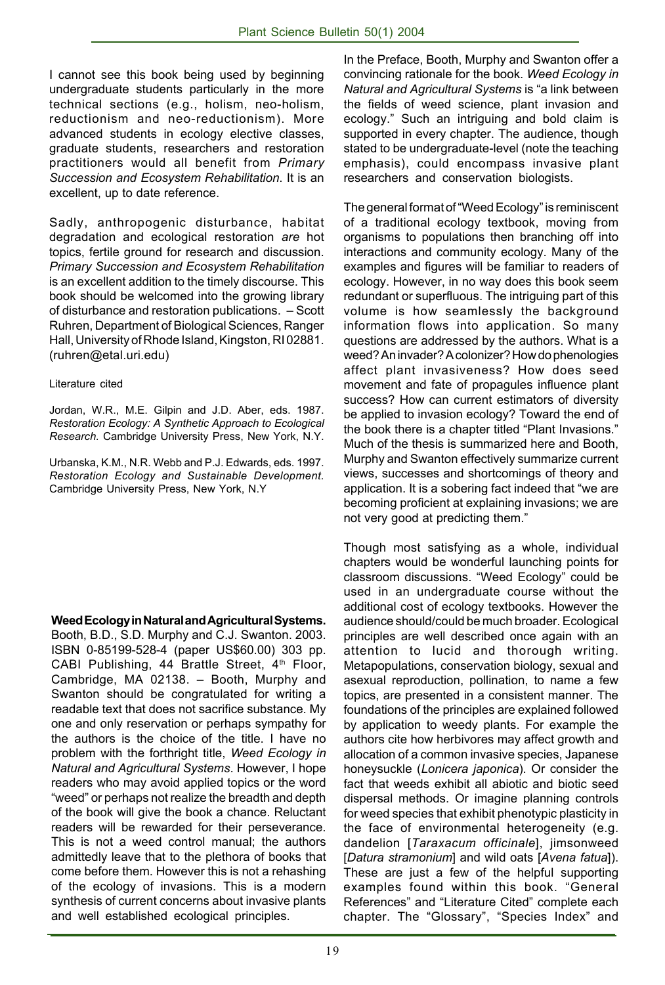I cannot see this book being used by beginning undergraduate students particularly in the more technical sections (e.g., holism, neo-holism, reductionism and neo-reductionism). More advanced students in ecology elective classes, graduate students, researchers and restoration practitioners would all benefit from *Primary Succession and Ecosystem Rehabilitation*. It is an excellent, up to date reference.

Sadly, anthropogenic disturbance, habitat degradation and ecological restoration *are* hot topics, fertile ground for research and discussion. *Primary Succession and Ecosystem Rehabilitation* is an excellent addition to the timely discourse. This book should be welcomed into the growing library of disturbance and restoration publications. – Scott Ruhren, Department of Biological Sciences, Ranger Hall, University of Rhode Island, Kingston, RI 02881. (ruhren@etal.uri.edu)

#### Literature cited

Jordan, W.R., M.E. Gilpin and J.D. Aber, eds. 1987. *Restoration Ecology: A Synthetic Approach to Ecological Research.* Cambridge University Press, New York, N.Y.

Urbanska, K.M., N.R. Webb and P.J. Edwards, eds. 1997. *Restoration Ecology and Sustainable Development.* Cambridge University Press, New York, N.Y

**Weed Ecology in Natural and Agricultural Systems.**

Booth, B.D., S.D. Murphy and C.J. Swanton. 2003. ISBN 0-85199-528-4 (paper US\$60.00) 303 pp. CABI Publishing, 44 Brattle Street, 4<sup>th</sup> Floor, Cambridge, MA 02138. – Booth, Murphy and Swanton should be congratulated for writing a readable text that does not sacrifice substance. My one and only reservation or perhaps sympathy for the authors is the choice of the title. I have no problem with the forthright title, *Weed Ecology in Natural and Agricultural Systems*. However, I hope readers who may avoid applied topics or the word "weed" or perhaps not realize the breadth and depth of the book will give the book a chance. Reluctant readers will be rewarded for their perseverance. This is not a weed control manual; the authors admittedly leave that to the plethora of books that come before them. However this is not a rehashing of the ecology of invasions. This is a modern synthesis of current concerns about invasive plants and well established ecological principles.

In the Preface, Booth, Murphy and Swanton offer a convincing rationale for the book. *Weed Ecology in Natural and Agricultural Systems* is "a link between the fields of weed science, plant invasion and ecology." Such an intriguing and bold claim is supported in every chapter. The audience, though stated to be undergraduate-level (note the teaching emphasis), could encompass invasive plant researchers and conservation biologists.

The general format of "Weed Ecology" is reminiscent of a traditional ecology textbook, moving from organisms to populations then branching off into interactions and community ecology. Many of the examples and figures will be familiar to readers of ecology. However, in no way does this book seem redundant or superfluous. The intriguing part of this volume is how seamlessly the background information flows into application. So many questions are addressed by the authors. What is a weed? An invader? A colonizer? How do phenologies affect plant invasiveness? How does seed movement and fate of propagules influence plant success? How can current estimators of diversity be applied to invasion ecology? Toward the end of the book there is a chapter titled "Plant Invasions." Much of the thesis is summarized here and Booth, Murphy and Swanton effectively summarize current views, successes and shortcomings of theory and application. It is a sobering fact indeed that "we are becoming proficient at explaining invasions; we are not very good at predicting them."

Though most satisfying as a whole, individual chapters would be wonderful launching points for classroom discussions. "Weed Ecology" could be used in an undergraduate course without the additional cost of ecology textbooks. However the audience should/could be much broader. Ecological principles are well described once again with an attention to lucid and thorough writing. Metapopulations, conservation biology, sexual and asexual reproduction, pollination, to name a few topics, are presented in a consistent manner. The foundations of the principles are explained followed by application to weedy plants. For example the authors cite how herbivores may affect growth and allocation of a common invasive species, Japanese honeysuckle (*Lonicera japonica*). Or consider the fact that weeds exhibit all abiotic and biotic seed dispersal methods. Or imagine planning controls for weed species that exhibit phenotypic plasticity in the face of environmental heterogeneity (e.g. dandelion [*Taraxacum officinale*], jimsonweed [*Datura stramonium*] and wild oats [*Avena fatua*]). These are just a few of the helpful supporting examples found within this book. "General References" and "Literature Cited" complete each chapter. The "Glossary", "Species Index" and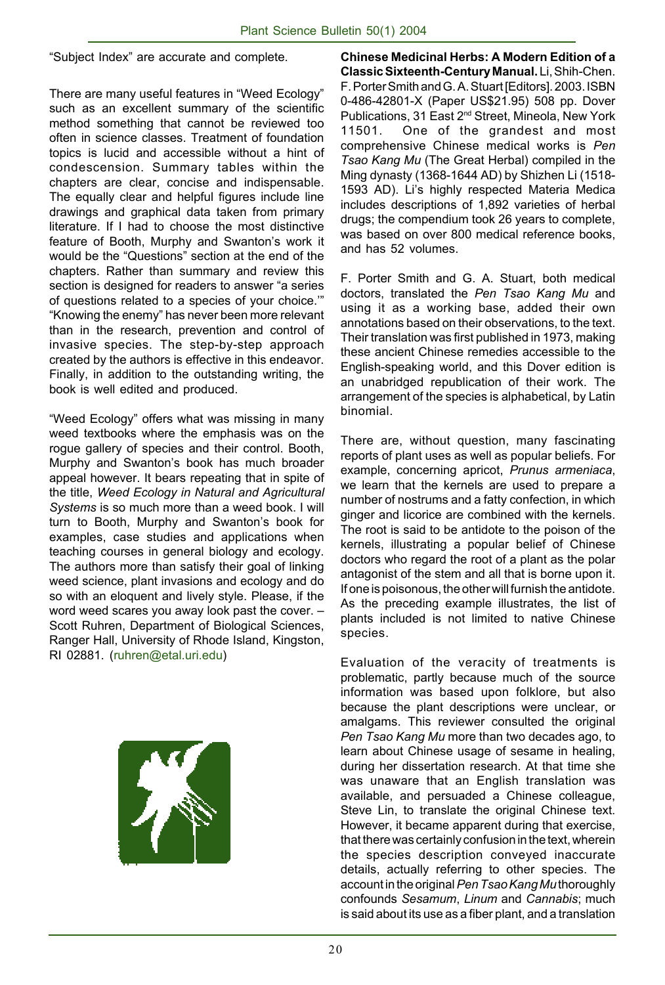"Subject Index" are accurate and complete.

There are many useful features in "Weed Ecology" such as an excellent summary of the scientific method something that cannot be reviewed too often in science classes. Treatment of foundation topics is lucid and accessible without a hint of condescension. Summary tables within the chapters are clear, concise and indispensable. The equally clear and helpful figures include line drawings and graphical data taken from primary literature. If I had to choose the most distinctive feature of Booth, Murphy and Swanton's work it would be the "Questions" section at the end of the chapters. Rather than summary and review this section is designed for readers to answer "a series of questions related to a species of your choice.'" "Knowing the enemy" has never been more relevant than in the research, prevention and control of invasive species. The step-by-step approach created by the authors is effective in this endeavor. Finally, in addition to the outstanding writing, the book is well edited and produced.

"Weed Ecology" offers what was missing in many weed textbooks where the emphasis was on the rogue gallery of species and their control. Booth, Murphy and Swanton's book has much broader appeal however. It bears repeating that in spite of the title, *Weed Ecology in Natural and Agricultural Systems* is so much more than a weed book. I will turn to Booth, Murphy and Swanton's book for examples, case studies and applications when teaching courses in general biology and ecology. The authors more than satisfy their goal of linking weed science, plant invasions and ecology and do so with an eloquent and lively style. Please, if the word weed scares you away look past the cover. – Scott Ruhren, Department of Biological Sciences, Ranger Hall, University of Rhode Island, Kingston, RI 02881. (ruhren@etal.uri.edu)



**Chinese Medicinal Herbs: A Modern Edition of a Classic Sixteenth-Century Manual.** Li, Shih-Chen. F. Porter Smith and G. A. Stuart [Editors]. 2003. ISBN 0-486-42801-X (Paper US\$21.95) 508 pp. Dover Publications, 31 East 2nd Street, Mineola, New York 11501. One of the grandest and most comprehensive Chinese medical works is *Pen Tsao Kang Mu* (The Great Herbal) compiled in the Ming dynasty (1368-1644 AD) by Shizhen Li (1518- 1593 AD). Li's highly respected Materia Medica includes descriptions of 1,892 varieties of herbal drugs; the compendium took 26 years to complete, was based on over 800 medical reference books, and has 52 volumes.

F. Porter Smith and G. A. Stuart, both medical doctors, translated the *Pen Tsao Kang Mu* and using it as a working base, added their own annotations based on their observations, to the text. Their translation was first published in 1973, making these ancient Chinese remedies accessible to the English-speaking world, and this Dover edition is an unabridged republication of their work. The arrangement of the species is alphabetical, by Latin binomial.

There are, without question, many fascinating reports of plant uses as well as popular beliefs. For example, concerning apricot, *Prunus armeniaca*, we learn that the kernels are used to prepare a number of nostrums and a fatty confection, in which ginger and licorice are combined with the kernels. The root is said to be antidote to the poison of the kernels, illustrating a popular belief of Chinese doctors who regard the root of a plant as the polar antagonist of the stem and all that is borne upon it. If one is poisonous, the other will furnish the antidote. As the preceding example illustrates, the list of plants included is not limited to native Chinese species.

Evaluation of the veracity of treatments is problematic, partly because much of the source information was based upon folklore, but also because the plant descriptions were unclear, or amalgams. This reviewer consulted the original *Pen Tsao Kang Mu* more than two decades ago, to learn about Chinese usage of sesame in healing, during her dissertation research. At that time she was unaware that an English translation was available, and persuaded a Chinese colleague, Steve Lin, to translate the original Chinese text. However, it became apparent during that exercise, that there was certainly confusion in the text, wherein the species description conveyed inaccurate details, actually referring to other species. The account in the original *Pen Tsao Kang Mu* thoroughly confounds *Sesamum*, *Linum* and *Cannabis*; much is said about its use as a fiber plant, and a translation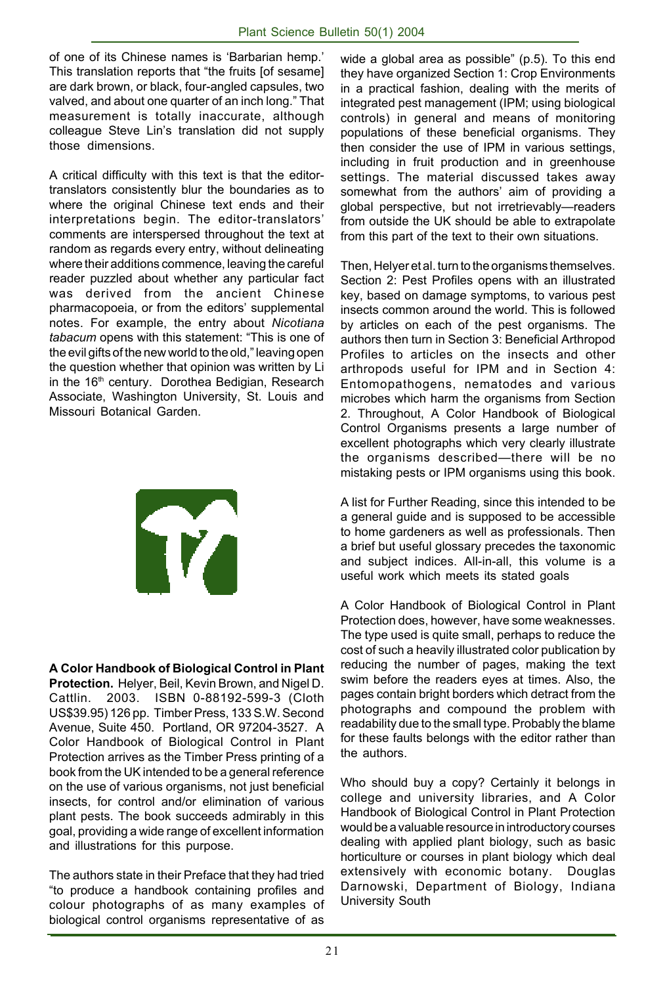of one of its Chinese names is 'Barbarian hemp.' This translation reports that "the fruits [of sesame] are dark brown, or black, four-angled capsules, two valved, and about one quarter of an inch long." That measurement is totally inaccurate, although colleague Steve Lin's translation did not supply those dimensions.

A critical difficulty with this text is that the editortranslators consistently blur the boundaries as to where the original Chinese text ends and their interpretations begin. The editor-translators' comments are interspersed throughout the text at random as regards every entry, without delineating where their additions commence, leaving the careful reader puzzled about whether any particular fact was derived from the ancient Chinese pharmacopoeia, or from the editors' supplemental notes. For example, the entry about *Nicotiana tabacum* opens with this statement: "This is one of the evil gifts of the new world to the old," leaving open the question whether that opinion was written by Li in the 16<sup>th</sup> century. Dorothea Bedigian, Research Associate, Washington University, St. Louis and Missouri Botanical Garden.



**A Color Handbook of Biological Control in Plant Protection.** Helyer, Beil, Kevin Brown, and Nigel D. Cattlin. 2003. ISBN 0-88192-599-3 (Cloth US\$39.95) 126 pp. Timber Press, 133 S.W. Second Avenue, Suite 450. Portland, OR 97204-3527. A Color Handbook of Biological Control in Plant Protection arrives as the Timber Press printing of a book from the UK intended to be a general reference on the use of various organisms, not just beneficial insects, for control and/or elimination of various plant pests. The book succeeds admirably in this goal, providing a wide range of excellent information and illustrations for this purpose.

The authors state in their Preface that they had tried "to produce a handbook containing profiles and colour photographs of as many examples of biological control organisms representative of as

wide a global area as possible" (p.5). To this end they have organized Section 1: Crop Environments in a practical fashion, dealing with the merits of integrated pest management (IPM; using biological controls) in general and means of monitoring populations of these beneficial organisms. They then consider the use of IPM in various settings, including in fruit production and in greenhouse settings. The material discussed takes away somewhat from the authors' aim of providing a global perspective, but not irretrievably—readers from outside the UK should be able to extrapolate from this part of the text to their own situations.

Then, Helyer et al. turn to the organisms themselves. Section 2: Pest Profiles opens with an illustrated key, based on damage symptoms, to various pest insects common around the world. This is followed by articles on each of the pest organisms. The authors then turn in Section 3: Beneficial Arthropod Profiles to articles on the insects and other arthropods useful for IPM and in Section 4: Entomopathogens, nematodes and various microbes which harm the organisms from Section 2. Throughout, A Color Handbook of Biological Control Organisms presents a large number of excellent photographs which very clearly illustrate the organisms described—there will be no mistaking pests or IPM organisms using this book.

A list for Further Reading, since this intended to be a general guide and is supposed to be accessible to home gardeners as well as professionals. Then a brief but useful glossary precedes the taxonomic and subject indices. All-in-all, this volume is a useful work which meets its stated goals

A Color Handbook of Biological Control in Plant Protection does, however, have some weaknesses. The type used is quite small, perhaps to reduce the cost of such a heavily illustrated color publication by reducing the number of pages, making the text swim before the readers eyes at times. Also, the pages contain bright borders which detract from the photographs and compound the problem with readability due to the small type. Probably the blame for these faults belongs with the editor rather than the authors.

Who should buy a copy? Certainly it belongs in college and university libraries, and A Color Handbook of Biological Control in Plant Protection would be a valuable resource in introductory courses dealing with applied plant biology, such as basic horticulture or courses in plant biology which deal extensively with economic botany. Douglas Darnowski, Department of Biology, Indiana University South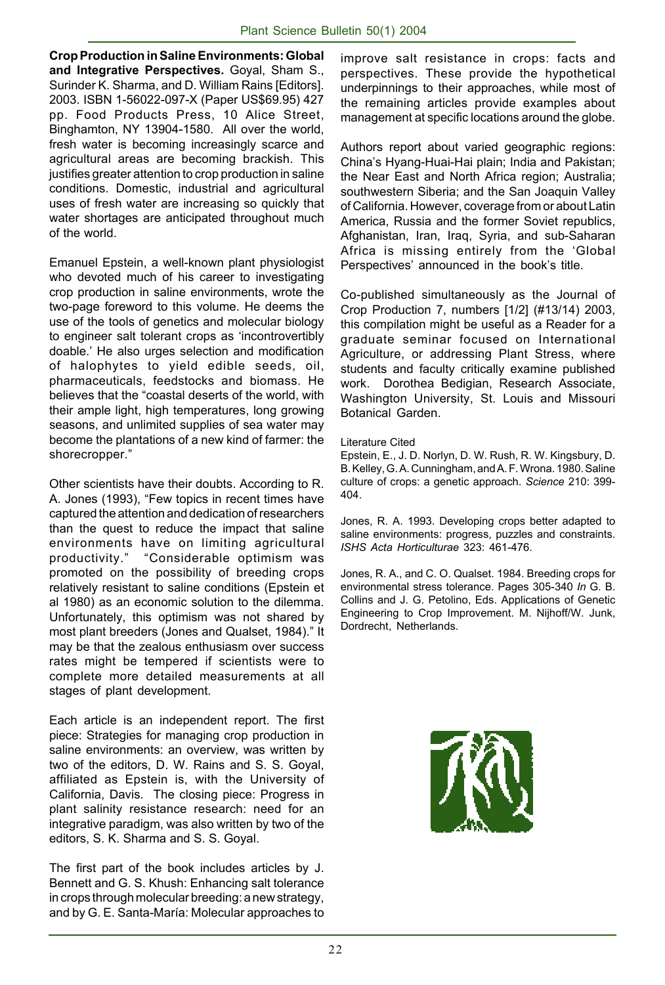**Crop Production in Saline Environments: Global and Integrative Perspectives.** Goyal, Sham S., Surinder K. Sharma, and D. William Rains [Editors]. 2003. ISBN 1-56022-097-X (Paper US\$69.95) 427 pp. Food Products Press, 10 Alice Street, Binghamton, NY 13904-1580. All over the world, fresh water is becoming increasingly scarce and agricultural areas are becoming brackish. This justifies greater attention to crop production in saline conditions. Domestic, industrial and agricultural uses of fresh water are increasing so quickly that water shortages are anticipated throughout much of the world.

Emanuel Epstein, a well-known plant physiologist who devoted much of his career to investigating crop production in saline environments, wrote the two-page foreword to this volume. He deems the use of the tools of genetics and molecular biology to engineer salt tolerant crops as 'incontrovertibly doable.' He also urges selection and modification of halophytes to yield edible seeds, oil, pharmaceuticals, feedstocks and biomass. He believes that the "coastal deserts of the world, with their ample light, high temperatures, long growing seasons, and unlimited supplies of sea water may become the plantations of a new kind of farmer: the shorecropper."

Other scientists have their doubts. According to R. A. Jones (1993), "Few topics in recent times have captured the attention and dedication of researchers than the quest to reduce the impact that saline environments have on limiting agricultural productivity." "Considerable optimism was promoted on the possibility of breeding crops relatively resistant to saline conditions (Epstein et al 1980) as an economic solution to the dilemma. Unfortunately, this optimism was not shared by most plant breeders (Jones and Qualset, 1984)." It may be that the zealous enthusiasm over success rates might be tempered if scientists were to complete more detailed measurements at all stages of plant development.

Each article is an independent report. The first piece: Strategies for managing crop production in saline environments: an overview, was written by two of the editors, D. W. Rains and S. S. Goyal, affiliated as Epstein is, with the University of California, Davis. The closing piece: Progress in plant salinity resistance research: need for an integrative paradigm, was also written by two of the editors, S. K. Sharma and S. S. Goyal.

The first part of the book includes articles by J. Bennett and G. S. Khush: Enhancing salt tolerance in crops through molecular breeding: a new strategy, and by G. E. Santa-María: Molecular approaches to improve salt resistance in crops: facts and perspectives. These provide the hypothetical underpinnings to their approaches, while most of the remaining articles provide examples about management at specific locations around the globe.

Authors report about varied geographic regions: China's Hyang-Huai-Hai plain; India and Pakistan; the Near East and North Africa region; Australia; southwestern Siberia; and the San Joaquin Valley of California. However, coverage from or about Latin America, Russia and the former Soviet republics, Afghanistan, Iran, Iraq, Syria, and sub-Saharan Africa is missing entirely from the 'Global Perspectives' announced in the book's title.

Co-published simultaneously as the Journal of Crop Production 7, numbers [1/2] (#13/14) 2003, this compilation might be useful as a Reader for a graduate seminar focused on International Agriculture, or addressing Plant Stress, where students and faculty critically examine published work. Dorothea Bedigian, Research Associate, Washington University, St. Louis and Missouri Botanical Garden.

Literature Cited

Epstein, E., J. D. Norlyn, D. W. Rush, R. W. Kingsbury, D. B. Kelley, G. A. Cunningham, and A. F. Wrona. 1980. Saline culture of crops: a genetic approach. *Science* 210: 399- 404.

Jones, R. A. 1993. Developing crops better adapted to saline environments: progress, puzzles and constraints. *ISHS Acta Horticulturae* 323: 461-476.

Jones, R. A., and C. O. Qualset. 1984. Breeding crops for environmental stress tolerance. Pages 305-340 *In* G. B. Collins and J. G. Petolino, Eds. Applications of Genetic Engineering to Crop Improvement. M. Nijhoff/W. Junk, Dordrecht, Netherlands.

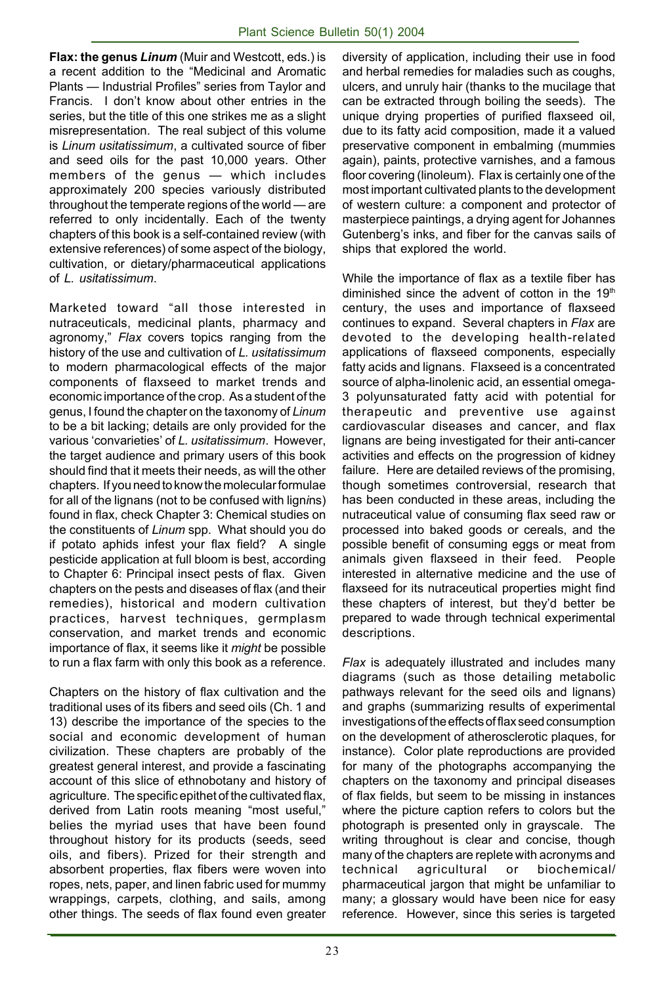**Flax: the genus** *Linum* (Muir and Westcott, eds.) is a recent addition to the "Medicinal and Aromatic Plants — Industrial Profiles" series from Taylor and Francis. I don't know about other entries in the series, but the title of this one strikes me as a slight misrepresentation. The real subject of this volume is *Linum usitatissimum*, a cultivated source of fiber and seed oils for the past 10,000 years. Other members of the genus — which includes approximately 200 species variously distributed throughout the temperate regions of the world — are referred to only incidentally. Each of the twenty chapters of this book is a self-contained review (with extensive references) of some aspect of the biology, cultivation, or dietary/pharmaceutical applications of *L. usitatissimum*.

Marketed toward "all those interested in nutraceuticals, medicinal plants, pharmacy and agronomy," *Flax* covers topics ranging from the history of the use and cultivation of *L. usitatissimum* to modern pharmacological effects of the major components of flaxseed to market trends and economic importance of the crop. As a student of the genus, I found the chapter on the taxonomy of *Linum* to be a bit lacking; details are only provided for the various 'convarieties' of *L. usitatissimum*. However, the target audience and primary users of this book should find that it meets their needs, as will the other chapters. If you need to know the molecular formulae for all of the lignans (not to be confused with lign*i*ns) found in flax, check Chapter 3: Chemical studies on the constituents of *Linum* spp. What should you do if potato aphids infest your flax field? A single pesticide application at full bloom is best, according to Chapter 6: Principal insect pests of flax. Given chapters on the pests and diseases of flax (and their remedies), historical and modern cultivation practices, harvest techniques, germplasm conservation, and market trends and economic importance of flax, it seems like it *might* be possible to run a flax farm with only this book as a reference.

Chapters on the history of flax cultivation and the traditional uses of its fibers and seed oils (Ch. 1 and 13) describe the importance of the species to the social and economic development of human civilization. These chapters are probably of the greatest general interest, and provide a fascinating account of this slice of ethnobotany and history of agriculture. The specific epithet of the cultivated flax, derived from Latin roots meaning "most useful," belies the myriad uses that have been found throughout history for its products (seeds, seed oils, and fibers). Prized for their strength and absorbent properties, flax fibers were woven into ropes, nets, paper, and linen fabric used for mummy wrappings, carpets, clothing, and sails, among other things. The seeds of flax found even greater diversity of application, including their use in food and herbal remedies for maladies such as coughs, ulcers, and unruly hair (thanks to the mucilage that can be extracted through boiling the seeds). The unique drying properties of purified flaxseed oil, due to its fatty acid composition, made it a valued preservative component in embalming (mummies again), paints, protective varnishes, and a famous floor covering (linoleum). Flax is certainly one of the most important cultivated plants to the development of western culture: a component and protector of masterpiece paintings, a drying agent for Johannes Gutenberg's inks, and fiber for the canvas sails of ships that explored the world.

While the importance of flax as a textile fiber has diminished since the advent of cotton in the  $19<sup>th</sup>$ century, the uses and importance of flaxseed continues to expand. Several chapters in *Flax* are devoted to the developing health-related applications of flaxseed components, especially fatty acids and lignans. Flaxseed is a concentrated source of alpha-linolenic acid, an essential omega-3 polyunsaturated fatty acid with potential for therapeutic and preventive use against cardiovascular diseases and cancer, and flax lignans are being investigated for their anti-cancer activities and effects on the progression of kidney failure. Here are detailed reviews of the promising, though sometimes controversial, research that has been conducted in these areas, including the nutraceutical value of consuming flax seed raw or processed into baked goods or cereals, and the possible benefit of consuming eggs or meat from animals given flaxseed in their feed. People interested in alternative medicine and the use of flaxseed for its nutraceutical properties might find these chapters of interest, but they'd better be prepared to wade through technical experimental descriptions.

*Flax* is adequately illustrated and includes many diagrams (such as those detailing metabolic pathways relevant for the seed oils and lignans) and graphs (summarizing results of experimental investigations of the effects of flax seed consumption on the development of atherosclerotic plaques, for instance). Color plate reproductions are provided for many of the photographs accompanying the chapters on the taxonomy and principal diseases of flax fields, but seem to be missing in instances where the picture caption refers to colors but the photograph is presented only in grayscale. The writing throughout is clear and concise, though many of the chapters are replete with acronyms and technical agricultural or biochemical/ pharmaceutical jargon that might be unfamiliar to many; a glossary would have been nice for easy reference. However, since this series is targeted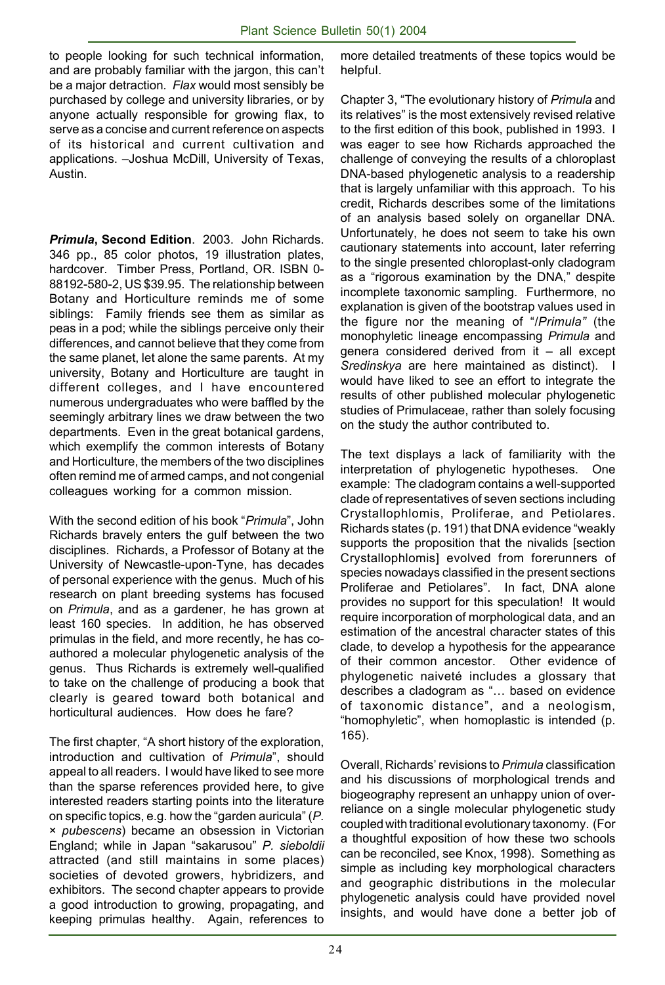to people looking for such technical information, and are probably familiar with the jargon, this can't be a major detraction*. Flax* would most sensibly be purchased by college and university libraries, or by anyone actually responsible for growing flax, to serve as a concise and current reference on aspects of its historical and current cultivation and applications. –Joshua McDill, University of Texas, Austin.

*Primula***, Second Edition**. 2003. John Richards. 346 pp., 85 color photos, 19 illustration plates, hardcover. Timber Press, Portland, OR. ISBN 0- 88192-580-2, US \$39.95. The relationship between Botany and Horticulture reminds me of some siblings: Family friends see them as similar as peas in a pod; while the siblings perceive only their differences, and cannot believe that they come from the same planet, let alone the same parents. At my university, Botany and Horticulture are taught in different colleges, and I have encountered numerous undergraduates who were baffled by the seemingly arbitrary lines we draw between the two departments. Even in the great botanical gardens, which exemplify the common interests of Botany and Horticulture, the members of the two disciplines often remind me of armed camps, and not congenial colleagues working for a common mission.

With the second edition of his book "*Primula*", John Richards bravely enters the gulf between the two disciplines. Richards, a Professor of Botany at the University of Newcastle-upon-Tyne, has decades of personal experience with the genus. Much of his research on plant breeding systems has focused on *Primula*, and as a gardener, he has grown at least 160 species. In addition, he has observed primulas in the field, and more recently, he has coauthored a molecular phylogenetic analysis of the genus. Thus Richards is extremely well-qualified to take on the challenge of producing a book that clearly is geared toward both botanical and horticultural audiences. How does he fare?

The first chapter, "A short history of the exploration, introduction and cultivation of *Primula*", should appeal to all readers. I would have liked to see more than the sparse references provided here, to give interested readers starting points into the literature on specific topics, e.g. how the "garden auricula" (*P.* × *pubescens*) became an obsession in Victorian England; while in Japan "sakarusou" *P. sieboldii* attracted (and still maintains in some places) societies of devoted growers, hybridizers, and exhibitors. The second chapter appears to provide a good introduction to growing, propagating, and keeping primulas healthy. Again, references to

more detailed treatments of these topics would be helpful.

Chapter 3, "The evolutionary history of *Primula* and its relatives" is the most extensively revised relative to the first edition of this book, published in 1993. I was eager to see how Richards approached the challenge of conveying the results of a chloroplast DNA-based phylogenetic analysis to a readership that is largely unfamiliar with this approach. To his credit, Richards describes some of the limitations of an analysis based solely on organellar DNA. Unfortunately, he does not seem to take his own cautionary statements into account, later referring to the single presented chloroplast-only cladogram as a "rigorous examination by the DNA," despite incomplete taxonomic sampling. Furthermore, no explanation is given of the bootstrap values used in the figure nor the meaning of "/*Primula"* (the monophyletic lineage encompassing *Primula* and genera considered derived from it – all except *Sredinskya* are here maintained as distinct). would have liked to see an effort to integrate the results of other published molecular phylogenetic studies of Primulaceae, rather than solely focusing on the study the author contributed to.

The text displays a lack of familiarity with the interpretation of phylogenetic hypotheses. One example: The cladogram contains a well-supported clade of representatives of seven sections including Crystallophlomis, Proliferae, and Petiolares. Richards states (p. 191) that DNA evidence "weakly supports the proposition that the nivalids [section Crystallophlomis] evolved from forerunners of species nowadays classified in the present sections Proliferae and Petiolares". In fact, DNA alone provides no support for this speculation! It would require incorporation of morphological data, and an estimation of the ancestral character states of this clade, to develop a hypothesis for the appearance of their common ancestor. Other evidence of phylogenetic naiveté includes a glossary that describes a cladogram as "… based on evidence of taxonomic distance", and a neologism, "homophyletic", when homoplastic is intended (p. 165).

Overall, Richards' revisions to *Primula* classification and his discussions of morphological trends and biogeography represent an unhappy union of overreliance on a single molecular phylogenetic study coupled with traditional evolutionary taxonomy. (For a thoughtful exposition of how these two schools can be reconciled, see Knox, 1998). Something as simple as including key morphological characters and geographic distributions in the molecular phylogenetic analysis could have provided novel insights, and would have done a better job of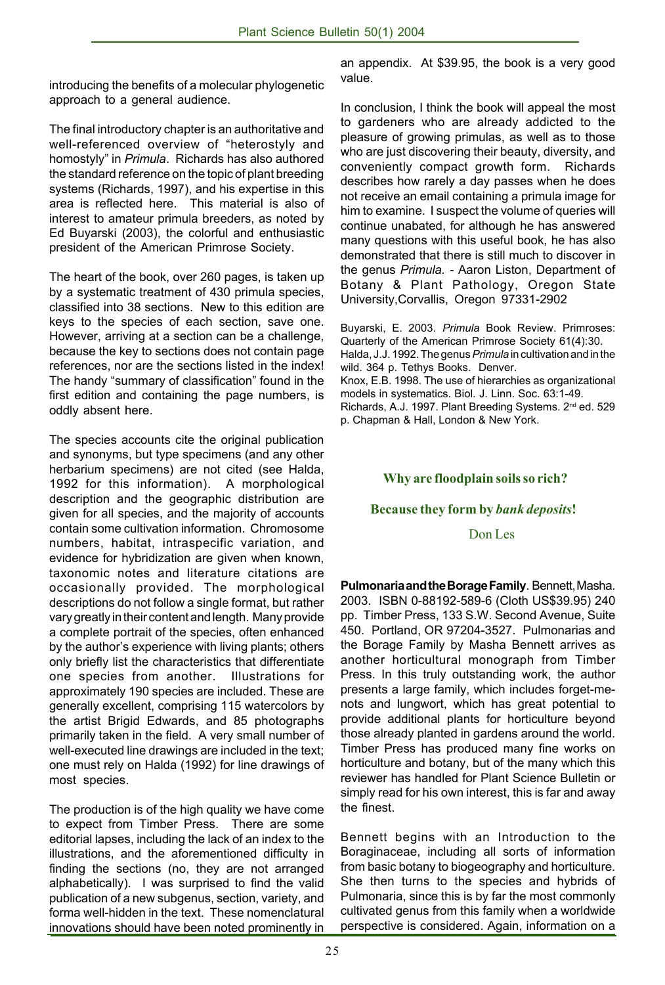introducing the benefits of a molecular phylogenetic approach to a general audience.

The final introductory chapter is an authoritative and well-referenced overview of "heterostyly and homostyly" in *Primula*. Richards has also authored the standard reference on the topic of plant breeding systems (Richards, 1997), and his expertise in this area is reflected here. This material is also of interest to amateur primula breeders, as noted by Ed Buyarski (2003), the colorful and enthusiastic president of the American Primrose Society.

The heart of the book, over 260 pages, is taken up by a systematic treatment of 430 primula species, classified into 38 sections. New to this edition are keys to the species of each section, save one. However, arriving at a section can be a challenge, because the key to sections does not contain page references, nor are the sections listed in the index! The handy "summary of classification" found in the first edition and containing the page numbers, is oddly absent here.

The species accounts cite the original publication and synonyms, but type specimens (and any other herbarium specimens) are not cited (see Halda, 1992 for this information). A morphological description and the geographic distribution are given for all species, and the majority of accounts contain some cultivation information. Chromosome numbers, habitat, intraspecific variation, and evidence for hybridization are given when known, taxonomic notes and literature citations are occasionally provided. The morphological descriptions do not follow a single format, but rather vary greatly in their content and length. Many provide a complete portrait of the species, often enhanced by the author's experience with living plants; others only briefly list the characteristics that differentiate one species from another. Illustrations for approximately 190 species are included. These are generally excellent, comprising 115 watercolors by the artist Brigid Edwards, and 85 photographs primarily taken in the field. A very small number of well-executed line drawings are included in the text; one must rely on Halda (1992) for line drawings of most species.

The production is of the high quality we have come to expect from Timber Press. There are some editorial lapses, including the lack of an index to the illustrations, and the aforementioned difficulty in finding the sections (no, they are not arranged alphabetically). I was surprised to find the valid publication of a new subgenus, section, variety, and forma well-hidden in the text. These nomenclatural innovations should have been noted prominently in an appendix. At \$39.95, the book is a very good value.

In conclusion, I think the book will appeal the most to gardeners who are already addicted to the pleasure of growing primulas, as well as to those who are just discovering their beauty, diversity, and conveniently compact growth form. Richards describes how rarely a day passes when he does not receive an email containing a primula image for him to examine. I suspect the volume of queries will continue unabated, for although he has answered many questions with this useful book, he has also demonstrated that there is still much to discover in the genus *Primula. -* Aaron Liston, Department of Botany & Plant Pathology, Oregon State University,Corvallis, Oregon 97331-2902

Buyarski, E. 2003. *Primula* Book Review. Primroses: Quarterly of the American Primrose Society 61(4):30. Halda, J.J. 1992. The genus *Primula* in cultivation and in the wild. 364 p. Tethys Books. Denver. Knox, E.B. 1998. The use of hierarchies as organizational models in systematics. Biol. J. Linn. Soc. 63:1-49. Richards, A.J. 1997. Plant Breeding Systems. 2<sup>nd</sup> ed. 529 p. Chapman & Hall, London & New York.

#### **Why are floodplain soils so rich?**

#### **Because they form by** *bank deposits***!**

Don Les

**Pulmonaria and the Borage Family**. Bennett, Masha. 2003. ISBN 0-88192-589-6 (Cloth US\$39.95) 240 pp. Timber Press, 133 S.W. Second Avenue, Suite 450. Portland, OR 97204-3527. Pulmonarias and the Borage Family by Masha Bennett arrives as another horticultural monograph from Timber Press. In this truly outstanding work, the author presents a large family, which includes forget-menots and lungwort, which has great potential to provide additional plants for horticulture beyond those already planted in gardens around the world. Timber Press has produced many fine works on horticulture and botany, but of the many which this reviewer has handled for Plant Science Bulletin or simply read for his own interest, this is far and away the finest.

Bennett begins with an Introduction to the Boraginaceae, including all sorts of information from basic botany to biogeography and horticulture. She then turns to the species and hybrids of Pulmonaria, since this is by far the most commonly cultivated genus from this family when a worldwide perspective is considered. Again, information on a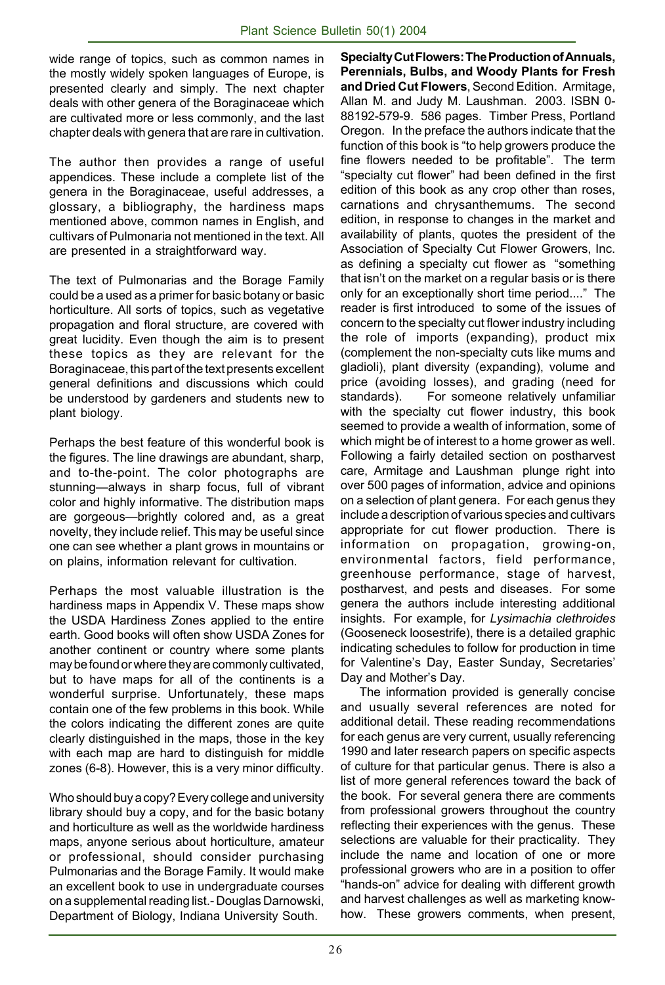wide range of topics, such as common names in the mostly widely spoken languages of Europe, is presented clearly and simply. The next chapter deals with other genera of the Boraginaceae which are cultivated more or less commonly, and the last chapter deals with genera that are rare in cultivation.

The author then provides a range of useful appendices. These include a complete list of the genera in the Boraginaceae, useful addresses, a glossary, a bibliography, the hardiness maps mentioned above, common names in English, and cultivars of Pulmonaria not mentioned in the text. All are presented in a straightforward way.

The text of Pulmonarias and the Borage Family could be a used as a primer for basic botany or basic horticulture. All sorts of topics, such as vegetative propagation and floral structure, are covered with great lucidity. Even though the aim is to present these topics as they are relevant for the Boraginaceae, this part of the text presents excellent general definitions and discussions which could be understood by gardeners and students new to plant biology.

Perhaps the best feature of this wonderful book is the figures. The line drawings are abundant, sharp, and to-the-point. The color photographs are stunning—always in sharp focus, full of vibrant color and highly informative. The distribution maps are gorgeous—brightly colored and, as a great novelty, they include relief. This may be useful since one can see whether a plant grows in mountains or on plains, information relevant for cultivation.

Perhaps the most valuable illustration is the hardiness maps in Appendix V. These maps show the USDA Hardiness Zones applied to the entire earth. Good books will often show USDA Zones for another continent or country where some plants may be found or where they are commonly cultivated, but to have maps for all of the continents is a wonderful surprise. Unfortunately, these maps contain one of the few problems in this book. While the colors indicating the different zones are quite clearly distinguished in the maps, those in the key with each map are hard to distinguish for middle zones (6-8). However, this is a very minor difficulty.

Who should buy a copy? Every college and university library should buy a copy, and for the basic botany and horticulture as well as the worldwide hardiness maps, anyone serious about horticulture, amateur or professional, should consider purchasing Pulmonarias and the Borage Family. It would make an excellent book to use in undergraduate courses on a supplemental reading list.- Douglas Darnowski, Department of Biology, Indiana University South.

**Specialty Cut Flowers: The Production of Annuals, Perennials, Bulbs, and Woody Plants for Fresh and Dried Cut Flowers**, Second Edition. Armitage, Allan M. and Judy M. Laushman. 2003. ISBN 0- 88192-579-9. 586 pages. Timber Press, Portland Oregon. In the preface the authors indicate that the function of this book is "to help growers produce the fine flowers needed to be profitable". The term "specialty cut flower" had been defined in the first edition of this book as any crop other than roses, carnations and chrysanthemums. The second edition, in response to changes in the market and availability of plants, quotes the president of the Association of Specialty Cut Flower Growers, Inc. as defining a specialty cut flower as "something that isn't on the market on a regular basis or is there only for an exceptionally short time period...." The reader is first introduced to some of the issues of concern to the specialty cut flower industry including the role of imports (expanding), product mix (complement the non-specialty cuts like mums and gladioli), plant diversity (expanding), volume and price (avoiding losses), and grading (need for standards). For someone relatively unfamiliar with the specialty cut flower industry, this book seemed to provide a wealth of information, some of which might be of interest to a home grower as well. Following a fairly detailed section on postharvest care, Armitage and Laushman plunge right into over 500 pages of information, advice and opinions on a selection of plant genera. For each genus they include a description of various species and cultivars appropriate for cut flower production. There is information on propagation, growing-on, environmental factors, field performance, greenhouse performance, stage of harvest, postharvest, and pests and diseases. For some genera the authors include interesting additional insights. For example, for *Lysimachia clethroides* (Gooseneck loosestrife), there is a detailed graphic indicating schedules to follow for production in time for Valentine's Day, Easter Sunday, Secretaries' Day and Mother's Day.

 The information provided is generally concise and usually several references are noted for additional detail. These reading recommendations for each genus are very current, usually referencing 1990 and later research papers on specific aspects of culture for that particular genus. There is also a list of more general references toward the back of the book. For several genera there are comments from professional growers throughout the country reflecting their experiences with the genus. These selections are valuable for their practicality. They include the name and location of one or more professional growers who are in a position to offer "hands-on" advice for dealing with different growth and harvest challenges as well as marketing knowhow. These growers comments, when present,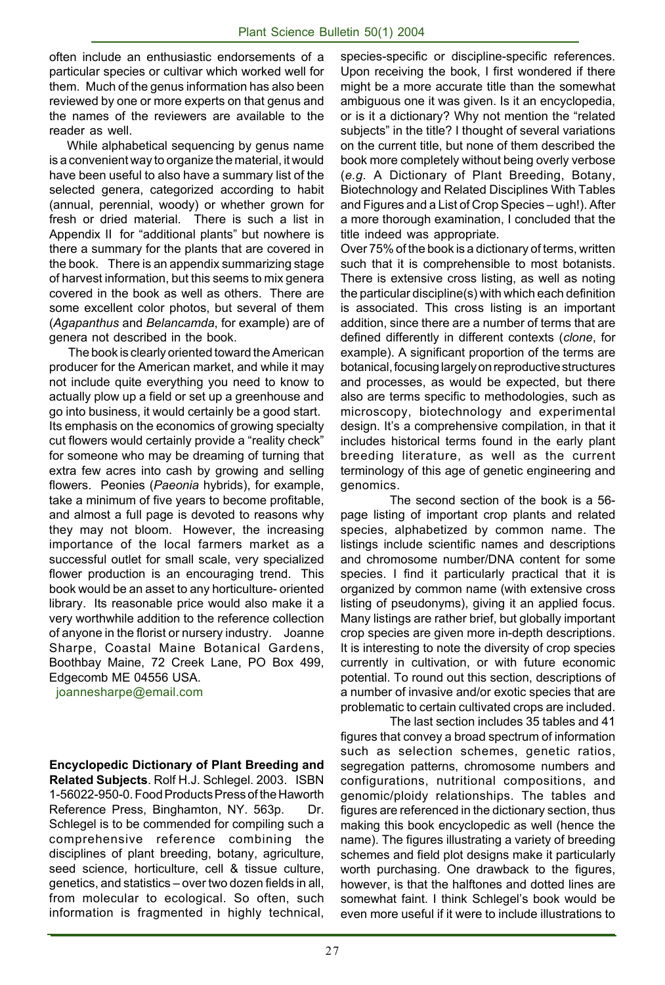often include an enthusiastic endorsements of a particular species or cultivar which worked well for them. Much of the genus information has also been reviewed by one or more experts on that genus and the names of the reviewers are available to the reader as well.

 While alphabetical sequencing by genus name is a convenient way to organize the material, it would have been useful to also have a summary list of the selected genera, categorized according to habit (annual, perennial, woody) or whether grown for fresh or dried material. There is such a list in Appendix II for "additional plants" but nowhere is there a summary for the plants that are covered in the book. There is an appendix summarizing stage of harvest information, but this seems to mix genera covered in the book as well as others. There are some excellent color photos, but several of them (*Agapanthus* and *Belancamda*, for example) are of genera not described in the book.

 The book is clearly oriented toward the American producer for the American market, and while it may not include quite everything you need to know to actually plow up a field or set up a greenhouse and go into business, it would certainly be a good start. Its emphasis on the economics of growing specialty cut flowers would certainly provide a "reality check" for someone who may be dreaming of turning that extra few acres into cash by growing and selling flowers. Peonies (*Paeonia* hybrids), for example, take a minimum of five years to become profitable, and almost a full page is devoted to reasons why they may not bloom. However, the increasing importance of the local farmers market as a successful outlet for small scale, very specialized flower production is an encouraging trend. This book would be an asset to any horticulture- oriented library. Its reasonable price would also make it a very worthwhile addition to the reference collection of anyone in the florist or nursery industry. Joanne Sharpe, Coastal Maine Botanical Gardens, Boothbay Maine, 72 Creek Lane, PO Box 499, Edgecomb ME 04556 USA.

joannesharpe@email.com

**Encyclopedic Dictionary of Plant Breeding and Related Subjects**. Rolf H.J. Schlegel. 2003. ISBN 1-56022-950-0. Food Products Press of the Haworth Reference Press, Binghamton, NY. 563p. Dr. Schlegel is to be commended for compiling such a comprehensive reference combining the disciplines of plant breeding, botany, agriculture, seed science, horticulture, cell & tissue culture, genetics, and statistics – over two dozen fields in all, from molecular to ecological. So often, such information is fragmented in highly technical,

species-specific or discipline-specific references. Upon receiving the book, I first wondered if there might be a more accurate title than the somewhat ambiguous one it was given. Is it an encyclopedia, or is it a dictionary? Why not mention the "related subjects" in the title? I thought of several variations on the current title, but none of them described the book more completely without being overly verbose (*e.g.* A Dictionary of Plant Breeding, Botany, Biotechnology and Related Disciplines With Tables and Figures and a List of Crop Species – ugh!). After a more thorough examination, I concluded that the title indeed was appropriate.

Over 75% of the book is a dictionary of terms, written such that it is comprehensible to most botanists. There is extensive cross listing, as well as noting the particular discipline(s) with which each definition is associated. This cross listing is an important addition, since there are a number of terms that are defined differently in different contexts (*clone*, for example). A significant proportion of the terms are botanical, focusing largely on reproductive structures and processes, as would be expected, but there also are terms specific to methodologies, such as microscopy, biotechnology and experimental design. It's a comprehensive compilation, in that it includes historical terms found in the early plant breeding literature, as well as the current terminology of this age of genetic engineering and genomics.

The second section of the book is a 56 page listing of important crop plants and related species, alphabetized by common name. The listings include scientific names and descriptions and chromosome number/DNA content for some species. I find it particularly practical that it is organized by common name (with extensive cross listing of pseudonyms), giving it an applied focus. Many listings are rather brief, but globally important crop species are given more in-depth descriptions. It is interesting to note the diversity of crop species currently in cultivation, or with future economic potential. To round out this section, descriptions of a number of invasive and/or exotic species that are problematic to certain cultivated crops are included.

The last section includes 35 tables and 41 figures that convey a broad spectrum of information such as selection schemes, genetic ratios, segregation patterns, chromosome numbers and configurations, nutritional compositions, and genomic/ploidy relationships. The tables and figures are referenced in the dictionary section, thus making this book encyclopedic as well (hence the name). The figures illustrating a variety of breeding schemes and field plot designs make it particularly worth purchasing. One drawback to the figures, however, is that the halftones and dotted lines are somewhat faint. I think Schlegel's book would be even more useful if it were to include illustrations to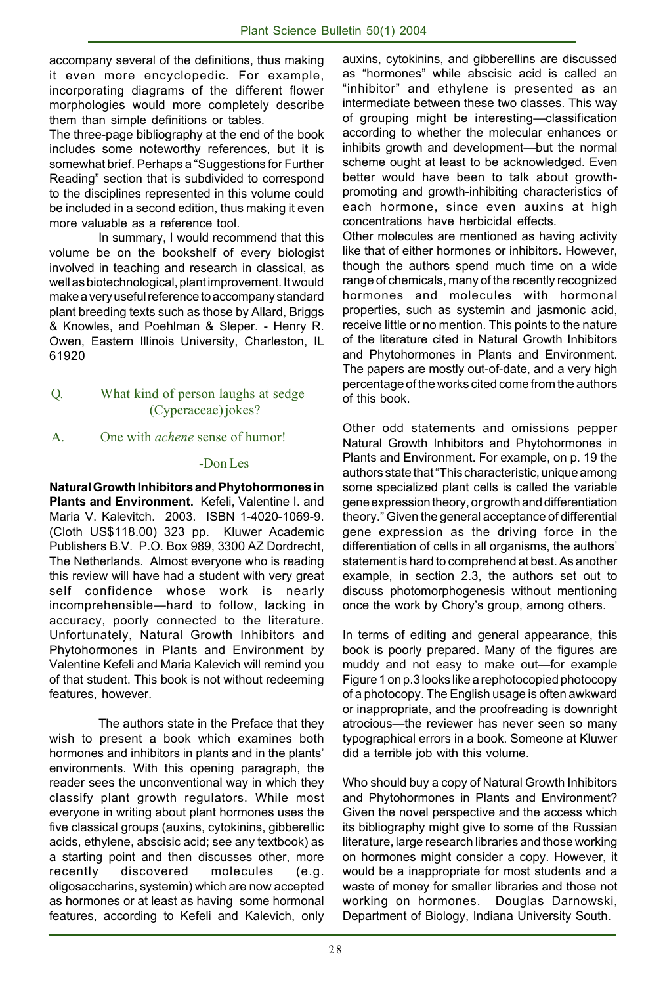accompany several of the definitions, thus making it even more encyclopedic. For example, incorporating diagrams of the different flower morphologies would more completely describe them than simple definitions or tables.

The three-page bibliography at the end of the book includes some noteworthy references, but it is somewhat brief. Perhaps a "Suggestions for Further Reading" section that is subdivided to correspond to the disciplines represented in this volume could be included in a second edition, thus making it even more valuable as a reference tool.

In summary, I would recommend that this volume be on the bookshelf of every biologist involved in teaching and research in classical, as well as biotechnological, plant improvement. It would make a very useful reference to accompany standard plant breeding texts such as those by Allard, Briggs & Knowles, and Poehlman & Sleper. - Henry R. Owen, Eastern Illinois University, Charleston, IL 61920

#### Q. What kind of person laughs at sedge (Cyperaceae) jokes?

#### A. One with *achene* sense of humor!

#### -Don Les

**Natural Growth Inhibitors and Phytohormones in Plants and Environment.** Kefeli, Valentine I. and Maria V. Kalevitch. 2003. ISBN 1-4020-1069-9. (Cloth US\$118.00) 323 pp. Kluwer Academic Publishers B.V. P.O. Box 989, 3300 AZ Dordrecht, The Netherlands. Almost everyone who is reading this review will have had a student with very great self confidence whose work is nearly incomprehensible—hard to follow, lacking in accuracy, poorly connected to the literature. Unfortunately, Natural Growth Inhibitors and Phytohormones in Plants and Environment by Valentine Kefeli and Maria Kalevich will remind you of that student. This book is not without redeeming features, however.

The authors state in the Preface that they wish to present a book which examines both hormones and inhibitors in plants and in the plants' environments. With this opening paragraph, the reader sees the unconventional way in which they classify plant growth regulators. While most everyone in writing about plant hormones uses the five classical groups (auxins, cytokinins, gibberellic acids, ethylene, abscisic acid; see any textbook) as a starting point and then discusses other, more recently discovered molecules (e.g. oligosaccharins, systemin) which are now accepted as hormones or at least as having some hormonal features, according to Kefeli and Kalevich, only

auxins, cytokinins, and gibberellins are discussed as "hormones" while abscisic acid is called an "inhibitor" and ethylene is presented as an intermediate between these two classes. This way of grouping might be interesting—classification according to whether the molecular enhances or inhibits growth and development—but the normal scheme ought at least to be acknowledged. Even better would have been to talk about growthpromoting and growth-inhibiting characteristics of each hormone, since even auxins at high concentrations have herbicidal effects.

Other molecules are mentioned as having activity like that of either hormones or inhibitors. However, though the authors spend much time on a wide range of chemicals, many of the recently recognized hormones and molecules with hormonal properties, such as systemin and jasmonic acid, receive little or no mention. This points to the nature of the literature cited in Natural Growth Inhibitors and Phytohormones in Plants and Environment. The papers are mostly out-of-date, and a very high percentage of the works cited come from the authors of this book.

Other odd statements and omissions pepper Natural Growth Inhibitors and Phytohormones in Plants and Environment. For example, on p. 19 the authors state that "This characteristic, unique among some specialized plant cells is called the variable gene expression theory, or growth and differentiation theory." Given the general acceptance of differential gene expression as the driving force in the differentiation of cells in all organisms, the authors' statement is hard to comprehend at best. As another example, in section 2.3, the authors set out to discuss photomorphogenesis without mentioning once the work by Chory's group, among others.

In terms of editing and general appearance, this book is poorly prepared. Many of the figures are muddy and not easy to make out—for example Figure 1 on p.3 looks like a rephotocopied photocopy of a photocopy. The English usage is often awkward or inappropriate, and the proofreading is downright atrocious—the reviewer has never seen so many typographical errors in a book. Someone at Kluwer did a terrible job with this volume.

Who should buy a copy of Natural Growth Inhibitors and Phytohormones in Plants and Environment? Given the novel perspective and the access which its bibliography might give to some of the Russian literature, large research libraries and those working on hormones might consider a copy. However, it would be a inappropriate for most students and a waste of money for smaller libraries and those not working on hormones. Douglas Darnowski, Department of Biology, Indiana University South.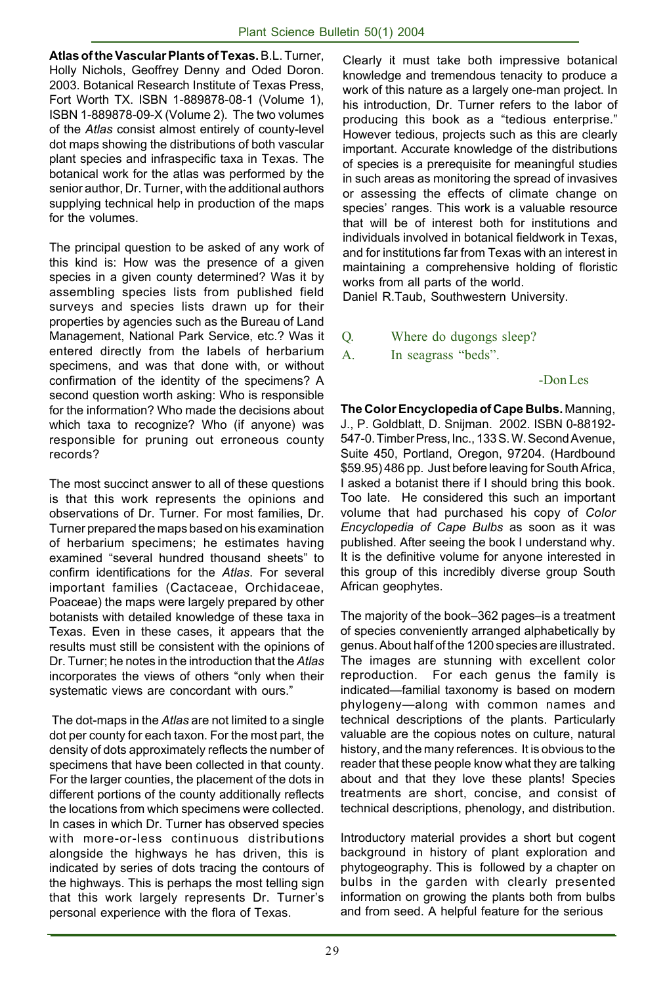**Atlas of the Vascular Plants of Texas.** B.L. Turner, Holly Nichols, Geoffrey Denny and Oded Doron. 2003. Botanical Research Institute of Texas Press, Fort Worth TX. ISBN 1-889878-08-1 (Volume 1), ISBN 1-889878-09-X (Volume 2). The two volumes of the *Atlas* consist almost entirely of county-level dot maps showing the distributions of both vascular plant species and infraspecific taxa in Texas. The botanical work for the atlas was performed by the senior author, Dr. Turner, with the additional authors supplying technical help in production of the maps for the volumes.

The principal question to be asked of any work of this kind is: How was the presence of a given species in a given county determined? Was it by assembling species lists from published field surveys and species lists drawn up for their properties by agencies such as the Bureau of Land Management, National Park Service, etc.? Was it entered directly from the labels of herbarium specimens, and was that done with, or without confirmation of the identity of the specimens? A second question worth asking: Who is responsible for the information? Who made the decisions about which taxa to recognize? Who (if anyone) was responsible for pruning out erroneous county records?

The most succinct answer to all of these questions is that this work represents the opinions and observations of Dr. Turner. For most families, Dr. Turner prepared the maps based on his examination of herbarium specimens; he estimates having examined "several hundred thousand sheets" to confirm identifications for the *Atlas*. For several important families (Cactaceae, Orchidaceae, Poaceae) the maps were largely prepared by other botanists with detailed knowledge of these taxa in Texas. Even in these cases, it appears that the results must still be consistent with the opinions of Dr. Turner; he notes in the introduction that the *Atlas* incorporates the views of others "only when their systematic views are concordant with ours."

 The dot-maps in the *Atlas* are not limited to a single dot per county for each taxon. For the most part, the density of dots approximately reflects the number of specimens that have been collected in that county. For the larger counties, the placement of the dots in different portions of the county additionally reflects the locations from which specimens were collected. In cases in which Dr. Turner has observed species with more-or-less continuous distributions alongside the highways he has driven, this is indicated by series of dots tracing the contours of the highways. This is perhaps the most telling sign that this work largely represents Dr. Turner's personal experience with the flora of Texas.

Clearly it must take both impressive botanical knowledge and tremendous tenacity to produce a work of this nature as a largely one-man project. In his introduction, Dr. Turner refers to the labor of producing this book as a "tedious enterprise." However tedious, projects such as this are clearly important. Accurate knowledge of the distributions of species is a prerequisite for meaningful studies in such areas as monitoring the spread of invasives or assessing the effects of climate change on species' ranges. This work is a valuable resource that will be of interest both for institutions and individuals involved in botanical fieldwork in Texas, and for institutions far from Texas with an interest in maintaining a comprehensive holding of floristic works from all parts of the world.

Daniel R.Taub, Southwestern University.

- Q. Where do dugongs sleep?
- A. In seagrass "beds".

#### -Don Les

**The Color Encyclopedia of Cape Bulbs.** Manning, J., P. Goldblatt, D. Snijman. 2002. ISBN 0-88192- 547-0. Timber Press, Inc., 133 S. W. Second Avenue, Suite 450, Portland, Oregon, 97204. (Hardbound \$59.95) 486 pp. Just before leaving for South Africa, I asked a botanist there if I should bring this book. Too late. He considered this such an important volume that had purchased his copy of *Color Encyclopedia of Cape Bulbs* as soon as it was published. After seeing the book I understand why. It is the definitive volume for anyone interested in this group of this incredibly diverse group South African geophytes.

The majority of the book–362 pages–is a treatment of species conveniently arranged alphabetically by genus. About half of the 1200 species are illustrated. The images are stunning with excellent color reproduction. For each genus the family is indicated—familial taxonomy is based on modern phylogeny—along with common names and technical descriptions of the plants. Particularly valuable are the copious notes on culture, natural history, and the many references. It is obvious to the reader that these people know what they are talking about and that they love these plants! Species treatments are short, concise, and consist of technical descriptions, phenology, and distribution.

Introductory material provides a short but cogent background in history of plant exploration and phytogeography. This is followed by a chapter on bulbs in the garden with clearly presented information on growing the plants both from bulbs and from seed. A helpful feature for the serious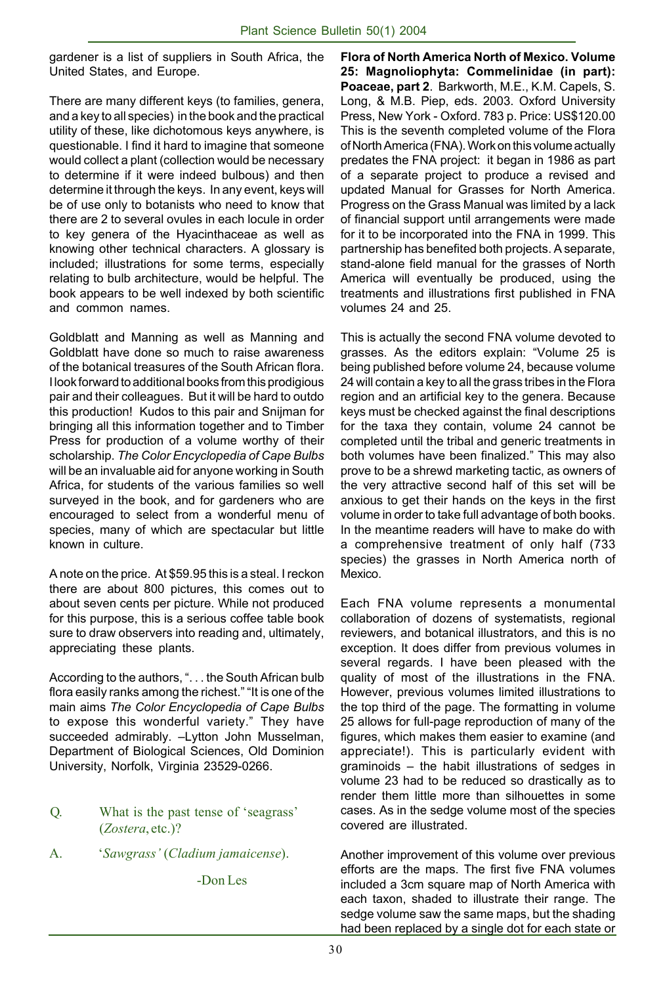gardener is a list of suppliers in South Africa, the United States, and Europe.

There are many different keys (to families, genera, and a key to all species) in the book and the practical utility of these, like dichotomous keys anywhere, is questionable. I find it hard to imagine that someone would collect a plant (collection would be necessary to determine if it were indeed bulbous) and then determine it through the keys. In any event, keys will be of use only to botanists who need to know that there are 2 to several ovules in each locule in order to key genera of the Hyacinthaceae as well as knowing other technical characters. A glossary is included; illustrations for some terms, especially relating to bulb architecture, would be helpful. The book appears to be well indexed by both scientific and common names.

Goldblatt and Manning as well as Manning and Goldblatt have done so much to raise awareness of the botanical treasures of the South African flora. I look forward to additional books from this prodigious pair and their colleagues. But it will be hard to outdo this production! Kudos to this pair and Snijman for bringing all this information together and to Timber Press for production of a volume worthy of their scholarship. *The Color Encyclopedia of Cape Bulbs* will be an invaluable aid for anyone working in South Africa, for students of the various families so well surveyed in the book, and for gardeners who are encouraged to select from a wonderful menu of species, many of which are spectacular but little known in culture.

A note on the price. At \$59.95 this is a steal. I reckon there are about 800 pictures, this comes out to about seven cents per picture. While not produced for this purpose, this is a serious coffee table book sure to draw observers into reading and, ultimately, appreciating these plants.

According to the authors, ". . . the South African bulb flora easily ranks among the richest." "It is one of the main aims *The Color Encyclopedia of Cape Bulbs* to expose this wonderful variety." They have succeeded admirably. –Lytton John Musselman, Department of Biological Sciences, Old Dominion University, Norfolk, Virginia 23529-0266.

- Q. What is the past tense of 'seagrass' (*Zostera*, etc.)?
- A. '*Sawgrass'* (*Cladium jamaicense*).

-Don Les

**Flora of North America North of Mexico. Volume 25: Magnoliophyta: Commelinidae (in part): Poaceae, part 2**. Barkworth, M.E., K.M. Capels, S. Long, & M.B. Piep, eds. 2003. Oxford University Press, New York - Oxford. 783 p. Price: US\$120.00 This is the seventh completed volume of the Flora of North America (FNA). Work on this volume actually predates the FNA project: it began in 1986 as part of a separate project to produce a revised and updated Manual for Grasses for North America. Progress on the Grass Manual was limited by a lack of financial support until arrangements were made for it to be incorporated into the FNA in 1999. This partnership has benefited both projects. A separate, stand-alone field manual for the grasses of North America will eventually be produced, using the treatments and illustrations first published in FNA volumes 24 and 25.

This is actually the second FNA volume devoted to grasses. As the editors explain: "Volume 25 is being published before volume 24, because volume 24 will contain a key to all the grass tribes in the Flora region and an artificial key to the genera. Because keys must be checked against the final descriptions for the taxa they contain, volume 24 cannot be completed until the tribal and generic treatments in both volumes have been finalized." This may also prove to be a shrewd marketing tactic, as owners of the very attractive second half of this set will be anxious to get their hands on the keys in the first volume in order to take full advantage of both books. In the meantime readers will have to make do with a comprehensive treatment of only half (733 species) the grasses in North America north of Mexico.

Each FNA volume represents a monumental collaboration of dozens of systematists, regional reviewers, and botanical illustrators, and this is no exception. It does differ from previous volumes in several regards. I have been pleased with the quality of most of the illustrations in the FNA. However, previous volumes limited illustrations to the top third of the page. The formatting in volume 25 allows for full-page reproduction of many of the figures, which makes them easier to examine (and appreciate!). This is particularly evident with graminoids – the habit illustrations of sedges in volume 23 had to be reduced so drastically as to render them little more than silhouettes in some cases. As in the sedge volume most of the species covered are illustrated.

Another improvement of this volume over previous efforts are the maps. The first five FNA volumes included a 3cm square map of North America with each taxon, shaded to illustrate their range. The sedge volume saw the same maps, but the shading had been replaced by a single dot for each state or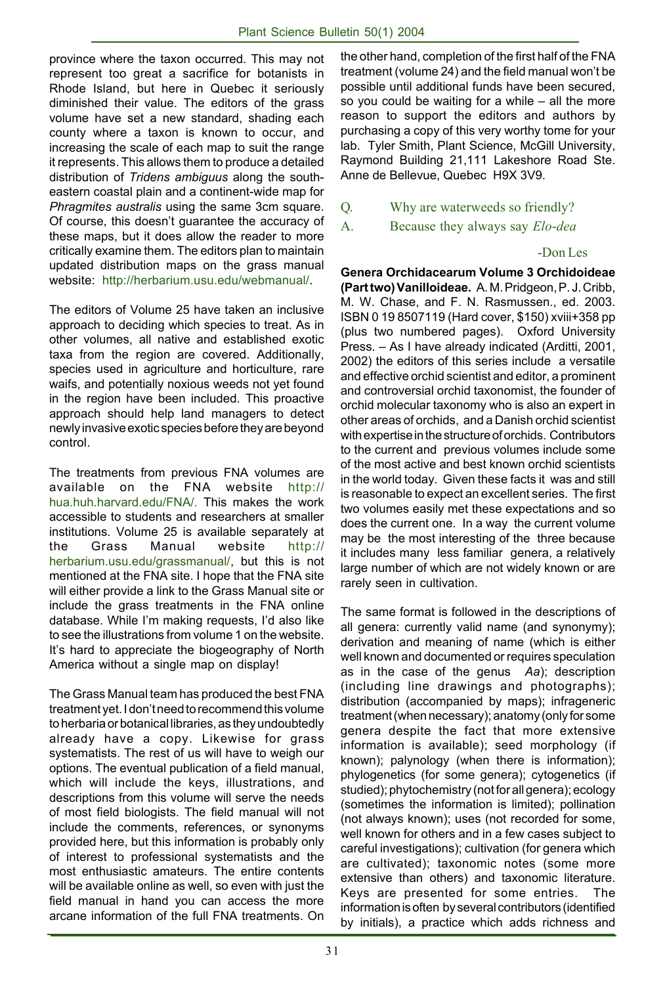province where the taxon occurred. This may not represent too great a sacrifice for botanists in Rhode Island, but here in Quebec it seriously diminished their value. The editors of the grass volume have set a new standard, shading each county where a taxon is known to occur, and increasing the scale of each map to suit the range it represents. This allows them to produce a detailed distribution of *Tridens ambiguus* along the southeastern coastal plain and a continent-wide map for *Phragmites australis* using the same 3cm square. Of course, this doesn't guarantee the accuracy of these maps, but it does allow the reader to more critically examine them. The editors plan to maintain updated distribution maps on the grass manual website: http://herbarium.usu.edu/webmanual/.

The editors of Volume 25 have taken an inclusive approach to deciding which species to treat. As in other volumes, all native and established exotic taxa from the region are covered. Additionally, species used in agriculture and horticulture, rare waifs, and potentially noxious weeds not yet found in the region have been included. This proactive approach should help land managers to detect newly invasive exotic species before they are beyond control.

The treatments from previous FNA volumes are available on the FNA website http:// hua.huh.harvard.edu/FNA/. This makes the work accessible to students and researchers at smaller institutions. Volume 25 is available separately at the Grass Manual website http:// herbarium.usu.edu/grassmanual/, but this is not mentioned at the FNA site. I hope that the FNA site will either provide a link to the Grass Manual site or include the grass treatments in the FNA online database. While I'm making requests, I'd also like to see the illustrations from volume 1 on the website. It's hard to appreciate the biogeography of North America without a single map on display!

The Grass Manual team has produced the best FNA treatment yet. I don't need to recommend this volume to herbaria or botanical libraries, as they undoubtedly already have a copy. Likewise for grass systematists. The rest of us will have to weigh our options. The eventual publication of a field manual, which will include the keys, illustrations, and descriptions from this volume will serve the needs of most field biologists. The field manual will not include the comments, references, or synonyms provided here, but this information is probably only of interest to professional systematists and the most enthusiastic amateurs. The entire contents will be available online as well, so even with just the field manual in hand you can access the more arcane information of the full FNA treatments. On

the other hand, completion of the first half of the FNA treatment (volume 24) and the field manual won't be possible until additional funds have been secured, so you could be waiting for a while – all the more reason to support the editors and authors by purchasing a copy of this very worthy tome for your lab. Tyler Smith, Plant Science, McGill University, Raymond Building 21,111 Lakeshore Road Ste. Anne de Bellevue, Quebec H9X 3V9.

- Q. Why are waterweeds so friendly?
- A. Because they always say *Elo*-*dea*

#### -Don Les

**Genera Orchidacearum Volume 3 Orchidoideae (Part two) Vanilloideae.** A. M. Pridgeon, P. J. Cribb, M. W. Chase, and F. N. Rasmussen., ed. 2003. ISBN 0 19 8507119 (Hard cover, \$150) xviii+358 pp (plus two numbered pages). Oxford University Press. – As I have already indicated (Arditti, 2001, 2002) the editors of this series include a versatile and effective orchid scientist and editor, a prominent and controversial orchid taxonomist, the founder of orchid molecular taxonomy who is also an expert in other areas of orchids, and a Danish orchid scientist with expertise in the structure of orchids. Contributors to the current and previous volumes include some of the most active and best known orchid scientists in the world today. Given these facts it was and still is reasonable to expect an excellent series. The first two volumes easily met these expectations and so does the current one. In a way the current volume may be the most interesting of the three because it includes many less familiar genera, a relatively large number of which are not widely known or are rarely seen in cultivation.

The same format is followed in the descriptions of all genera: currently valid name (and synonymy); derivation and meaning of name (which is either well known and documented or requires speculation as in the case of the genus *Aa*); description (including line drawings and photographs); distribution (accompanied by maps); infrageneric treatment (when necessary); anatomy (only for some genera despite the fact that more extensive information is available); seed morphology (if known); palynology (when there is information); phylogenetics (for some genera); cytogenetics (if studied); phytochemistry (not for all genera); ecology (sometimes the information is limited); pollination (not always known); uses (not recorded for some, well known for others and in a few cases subject to careful investigations); cultivation (for genera which are cultivated); taxonomic notes (some more extensive than others) and taxonomic literature. Keys are presented for some entries. The information is often by several contributors (identified by initials), a practice which adds richness and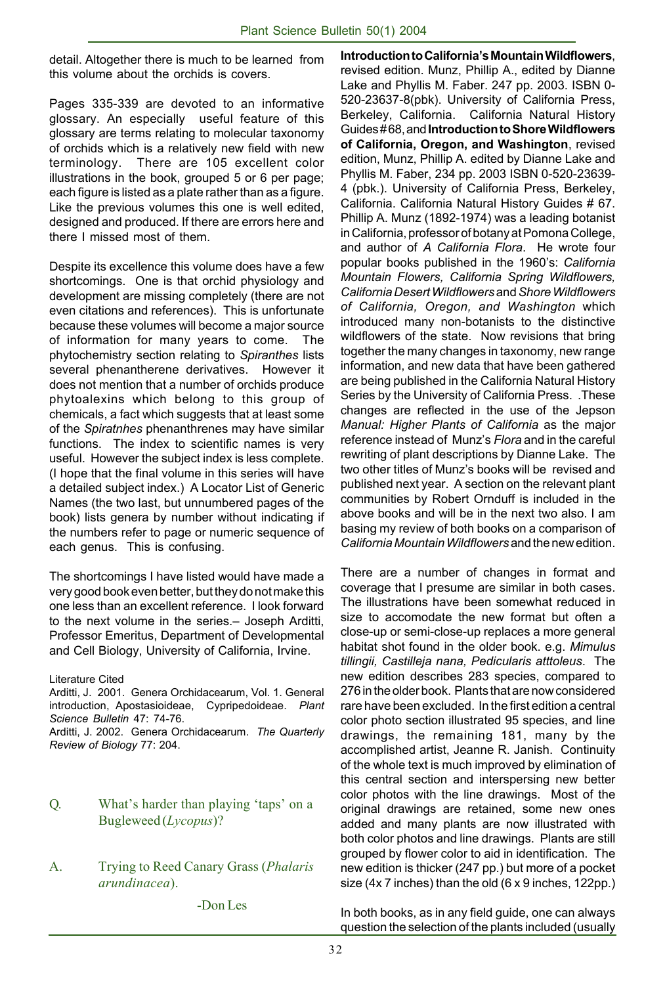detail. Altogether there is much to be learned from this volume about the orchids is covers.

Pages 335-339 are devoted to an informative glossary. An especially useful feature of this glossary are terms relating to molecular taxonomy of orchids which is a relatively new field with new terminology. There are 105 excellent color illustrations in the book, grouped 5 or 6 per page; each figure is listed as a plate rather than as a figure. Like the previous volumes this one is well edited, designed and produced. If there are errors here and there I missed most of them.

Despite its excellence this volume does have a few shortcomings. One is that orchid physiology and development are missing completely (there are not even citations and references). This is unfortunate because these volumes will become a major source of information for many years to come. The phytochemistry section relating to *Spiranthes* lists several phenantherene derivatives. However it does not mention that a number of orchids produce phytoalexins which belong to this group of chemicals, a fact which suggests that at least some of the *Spiratnhes* phenanthrenes may have similar functions. The index to scientific names is very useful. However the subject index is less complete. (I hope that the final volume in this series will have a detailed subject index.) A Locator List of Generic Names (the two last, but unnumbered pages of the book) lists genera by number without indicating if the numbers refer to page or numeric sequence of each genus. This is confusing.

The shortcomings I have listed would have made a very good book even better, but they do not make this one less than an excellent reference. I look forward to the next volume in the series.– Joseph Arditti, Professor Emeritus, Department of Developmental and Cell Biology, University of California, Irvine.

Literature Cited

Arditti, J. 2001. Genera Orchidacearum, Vol. 1. General introduction, Apostasioideae, Cypripedoideae. *Plant Science Bulletin* 47: 74-76.

Arditti, J. 2002. Genera Orchidacearum. *The Quarterly Review of Biology* 77: 204.

#### Q. What's harder than playing 'taps' on a Bugleweed (*Lycopus*)?

A. Trying to Reed Canary Grass (*Phalaris arundinacea*).

**Introduction to California's Mountain Wildflowers**, revised edition. Munz, Phillip A., edited by Dianne Lake and Phyllis M. Faber. 247 pp. 2003. ISBN 0- 520-23637-8(pbk). University of California Press, Berkeley, California. California Natural History Guides # 68, and **Introduction to Shore Wildflowers of California, Oregon, and Washington**, revised edition, Munz, Phillip A. edited by Dianne Lake and Phyllis M. Faber, 234 pp. 2003 ISBN 0-520-23639- 4 (pbk.). University of California Press, Berkeley, California. California Natural History Guides # 67. Phillip A. Munz (1892-1974) was a leading botanist in California, professor of botany at Pomona College, and author of *A California Flora*. He wrote four popular books published in the 1960's: *California Mountain Flowers, California Spring Wildflowers, California Desert Wildflowers* and *Shore Wildflowers of California, Oregon, and Washington* which introduced many non-botanists to the distinctive wildflowers of the state. Now revisions that bring together the many changes in taxonomy, new range information, and new data that have been gathered are being published in the California Natural History Series by the University of California Press. .These changes are reflected in the use of the Jepson *Manual: Higher Plants of California* as the major reference instead of Munz's *Flora* and in the careful rewriting of plant descriptions by Dianne Lake. The two other titles of Munz's books will be revised and published next year. A section on the relevant plant communities by Robert Ornduff is included in the above books and will be in the next two also. I am basing my review of both books on a comparison of *California Mountain Wildflowers* and the new edition.

There are a number of changes in format and coverage that I presume are similar in both cases. The illustrations have been somewhat reduced in size to accomodate the new format but often a close-up or semi-close-up replaces a more general habitat shot found in the older book. e.g. *Mimulus tillingii, Castilleja nana, Pedicularis atttoleus*. The new edition describes 283 species, compared to 276 in the older book. Plants that are now considered rare have been excluded. In the first edition a central color photo section illustrated 95 species, and line drawings, the remaining 181, many by the accomplished artist, Jeanne R. Janish. Continuity of the whole text is much improved by elimination of this central section and interspersing new better color photos with the line drawings. Most of the original drawings are retained, some new ones added and many plants are now illustrated with both color photos and line drawings. Plants are still grouped by flower color to aid in identification. The new edition is thicker (247 pp.) but more of a pocket size (4x 7 inches) than the old (6 x 9 inches, 122pp.)

In both books, as in any field guide, one can always question the selection of the plants included (usually

-Don Les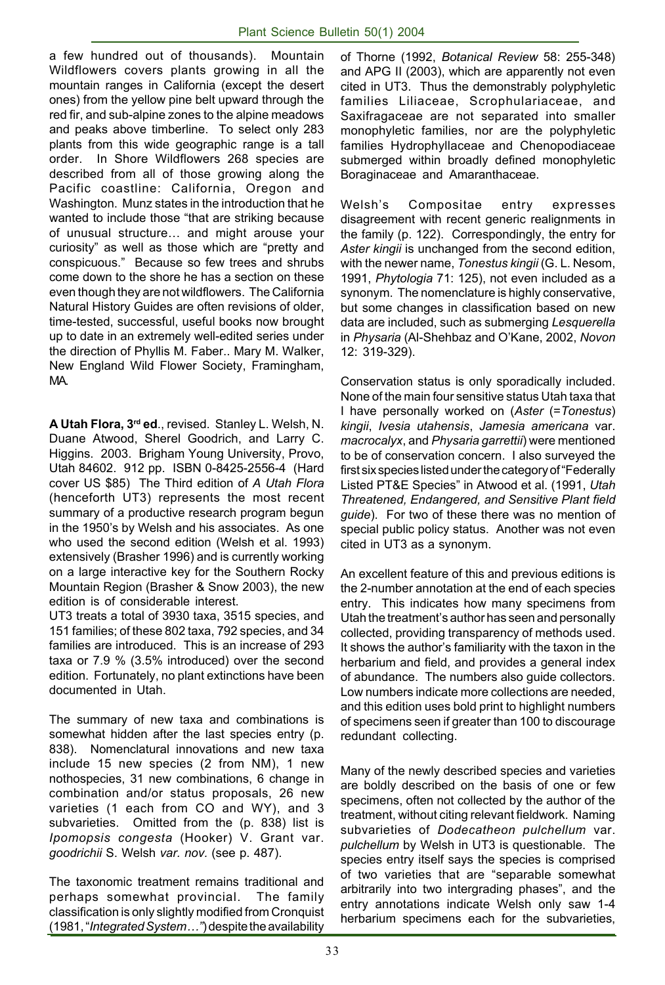a few hundred out of thousands). Mountain Wildflowers covers plants growing in all the mountain ranges in California (except the desert ones) from the yellow pine belt upward through the red fir, and sub-alpine zones to the alpine meadows and peaks above timberline. To select only 283 plants from this wide geographic range is a tall order. In Shore Wildflowers 268 species are described from all of those growing along the Pacific coastline: California, Oregon and Washington. Munz states in the introduction that he wanted to include those "that are striking because of unusual structure… and might arouse your curiosity" as well as those which are "pretty and conspicuous." Because so few trees and shrubs come down to the shore he has a section on these even though they are not wildflowers. The California Natural History Guides are often revisions of older, time-tested, successful, useful books now brought up to date in an extremely well-edited series under the direction of Phyllis M. Faber.. Mary M. Walker, New England Wild Flower Society, Framingham, MA.

**A Utah Flora, 3rd ed**., revised. Stanley L. Welsh, N. Duane Atwood, Sherel Goodrich, and Larry C. Higgins. 2003. Brigham Young University, Provo, Utah 84602. 912 pp. ISBN 0-8425-2556-4 (Hard cover US \$85) The Third edition of *A Utah Flora* (henceforth UT3) represents the most recent summary of a productive research program begun in the 1950's by Welsh and his associates. As one who used the second edition (Welsh et al. 1993) extensively (Brasher 1996) and is currently working on a large interactive key for the Southern Rocky Mountain Region (Brasher & Snow 2003), the new edition is of considerable interest.

UT3 treats a total of 3930 taxa, 3515 species, and 151 families; of these 802 taxa, 792 species, and 34 families are introduced. This is an increase of 293 taxa or 7.9 % (3.5% introduced) over the second edition. Fortunately, no plant extinctions have been documented in Utah.

The summary of new taxa and combinations is somewhat hidden after the last species entry (p. 838). Nomenclatural innovations and new taxa include 15 new species (2 from NM), 1 new nothospecies, 31 new combinations, 6 change in combination and/or status proposals, 26 new varieties (1 each from CO and WY), and 3 subvarieties. Omitted from the (p. 838) list is *Ipomopsis congesta* (Hooker) V. Grant var. *goodrichii* S. Welsh *var. nov.* (see p. 487).

The taxonomic treatment remains traditional and perhaps somewhat provincial. The family classification is only slightly modified from Cronquist (1981, "*Integrated System…"*) despite the availability

of Thorne (1992, *Botanical Review* 58: 255-348) and APG II (2003), which are apparently not even cited in UT3. Thus the demonstrably polyphyletic families Liliaceae, Scrophulariaceae, and Saxifragaceae are not separated into smaller monophyletic families, nor are the polyphyletic families Hydrophyllaceae and Chenopodiaceae submerged within broadly defined monophyletic Boraginaceae and Amaranthaceae.

Welsh's Compositae entry expresses disagreement with recent generic realignments in the family (p. 122). Correspondingly, the entry for *Aster kingii* is unchanged from the second edition, with the newer name, *Tonestus kingii* (G. L. Nesom, 1991, *Phytologia* 71: 125), not even included as a synonym. The nomenclature is highly conservative, but some changes in classification based on new data are included, such as submerging *Lesquerella* in *Physaria* (Al-Shehbaz and O'Kane, 2002, *Novon* 12: 319-329).

Conservation status is only sporadically included. None of the main four sensitive status Utah taxa that I have personally worked on (*Aster* (=*Tonestus*) *kingii*, *Ivesia utahensis*, *Jamesia americana* var. *macrocalyx*, and *Physaria garrettii*) were mentioned to be of conservation concern. I also surveyed the first six species listed under the category of "Federally Listed PT&E Species" in Atwood et al. (1991, *Utah Threatened, Endangered, and Sensitive Plant field guide*). For two of these there was no mention of special public policy status. Another was not even cited in UT3 as a synonym.

An excellent feature of this and previous editions is the 2-number annotation at the end of each species entry. This indicates how many specimens from Utah the treatment's author has seen and personally collected, providing transparency of methods used. It shows the author's familiarity with the taxon in the herbarium and field, and provides a general index of abundance. The numbers also guide collectors. Low numbers indicate more collections are needed, and this edition uses bold print to highlight numbers of specimens seen if greater than 100 to discourage redundant collecting.

Many of the newly described species and varieties are boldly described on the basis of one or few specimens, often not collected by the author of the treatment, without citing relevant fieldwork. Naming subvarieties of *Dodecatheon pulchellum* var. *pulchellum* by Welsh in UT3 is questionable. The species entry itself says the species is comprised of two varieties that are "separable somewhat arbitrarily into two intergrading phases", and the entry annotations indicate Welsh only saw 1-4 herbarium specimens each for the subvarieties,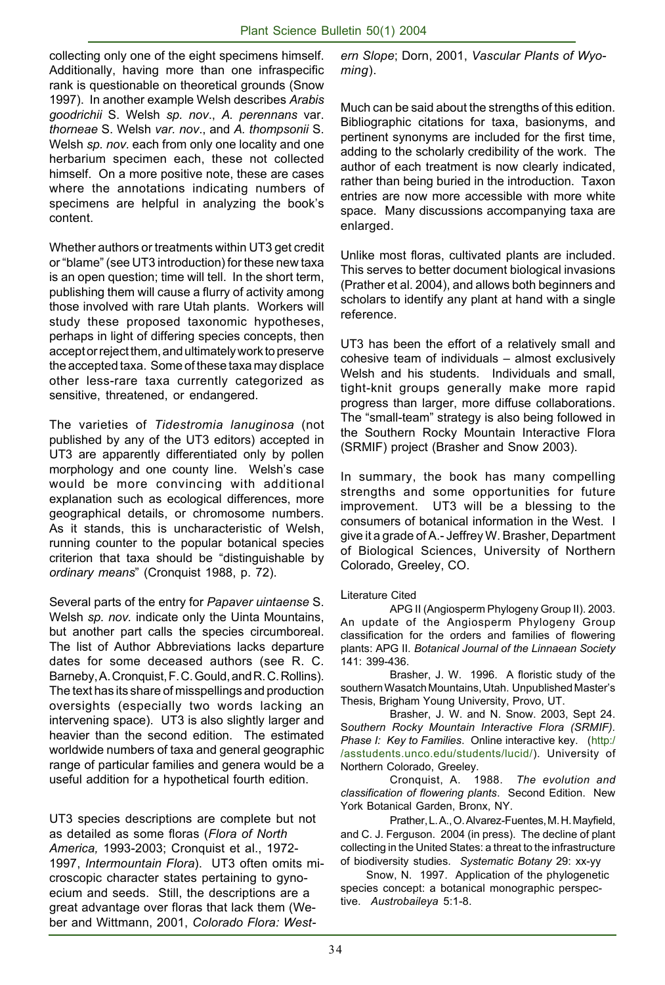collecting only one of the eight specimens himself. Additionally, having more than one infraspecific rank is questionable on theoretical grounds (Snow 1997). In another example Welsh describes *Arabis goodrichii* S. Welsh *sp. nov*., *A. perennans* var. *thorneae* S. Welsh *var. nov*., and *A. thompsonii* S. Welsh *sp. nov.* each from only one locality and one herbarium specimen each, these not collected himself. On a more positive note, these are cases where the annotations indicating numbers of specimens are helpful in analyzing the book's content.

Whether authors or treatments within UT3 get credit or "blame" (see UT3 introduction) for these new taxa is an open question; time will tell. In the short term, publishing them will cause a flurry of activity among those involved with rare Utah plants. Workers will study these proposed taxonomic hypotheses, perhaps in light of differing species concepts, then accept or reject them, and ultimately work to preserve the accepted taxa. Some of these taxa may displace other less-rare taxa currently categorized as sensitive, threatened, or endangered.

The varieties of *Tidestromia lanuginosa* (not published by any of the UT3 editors) accepted in UT3 are apparently differentiated only by pollen morphology and one county line. Welsh's case would be more convincing with additional explanation such as ecological differences, more geographical details, or chromosome numbers. As it stands, this is uncharacteristic of Welsh, running counter to the popular botanical species criterion that taxa should be "distinguishable by *ordinary means*" (Cronquist 1988, p. 72).

Several parts of the entry for *Papaver uintaense* S. Welsh *sp. nov.* indicate only the Uinta Mountains, but another part calls the species circumboreal. The list of Author Abbreviations lacks departure dates for some deceased authors (see R. C. Barneby, A. Cronquist, F. C. Gould, and R. C. Rollins). The text has its share of misspellings and production oversights (especially two words lacking an intervening space). UT3 is also slightly larger and heavier than the second edition. The estimated worldwide numbers of taxa and general geographic range of particular families and genera would be a useful addition for a hypothetical fourth edition.

UT3 species descriptions are complete but not as detailed as some floras (*Flora of North America,* 1993-2003; Cronquist et al., 1972- 1997, *Intermountain Flora*). UT3 often omits microscopic character states pertaining to gynoecium and seeds. Still, the descriptions are a great advantage over floras that lack them (Weber and Wittmann, 2001, *Colorado Flora: West-* *ern Slope*; Dorn, 2001, *Vascular Plants of Wyoming*).

Much can be said about the strengths of this edition. Bibliographic citations for taxa, basionyms, and pertinent synonyms are included for the first time, adding to the scholarly credibility of the work. The author of each treatment is now clearly indicated, rather than being buried in the introduction. Taxon entries are now more accessible with more white space. Many discussions accompanying taxa are enlarged.

Unlike most floras, cultivated plants are included. This serves to better document biological invasions (Prather et al. 2004), and allows both beginners and scholars to identify any plant at hand with a single reference.

UT3 has been the effort of a relatively small and cohesive team of individuals – almost exclusively Welsh and his students. Individuals and small, tight-knit groups generally make more rapid progress than larger, more diffuse collaborations. The "small-team" strategy is also being followed in the Southern Rocky Mountain Interactive Flora (SRMIF) project (Brasher and Snow 2003).

In summary, the book has many compelling strengths and some opportunities for future improvement. UT3 will be a blessing to the consumers of botanical information in the West. I give it a grade of A.- Jeffrey W. Brasher, Department of Biological Sciences, University of Northern Colorado, Greeley, CO.

#### Literature Cited

APG II (Angiosperm Phylogeny Group II). 2003. An update of the Angiosperm Phylogeny Group classification for the orders and families of flowering plants: APG II. *Botanical Journal of the Linnaean Society* 141: 399-436.

Brasher, J. W. 1996. A floristic study of the southern Wasatch Mountains, Utah. Unpublished Master's Thesis, Brigham Young University, Provo, UT.

Brasher, J. W. and N. Snow. 2003, Sept 24. S*outhern Rocky Mountain Interactive Flora (SRMIF). Phase I: Key to Families*. Online interactive key. (http:/ /asstudents.unco.edu/students/lucid/). University of Northern Colorado, Greeley.

Cronquist, A. 1988. *The evolution and classification of flowering plants*. Second Edition. New York Botanical Garden, Bronx, NY.

Prather, L. A., O. Alvarez-Fuentes, M. H. Mayfield, and C. J. Ferguson. 2004 (in press). The decline of plant collecting in the United States: a threat to the infrastructure of biodiversity studies. *Systematic Botany* 29: xx-yy

Snow, N. 1997. Application of the phylogenetic species concept: a botanical monographic perspective. *Austrobaileya* 5:1-8.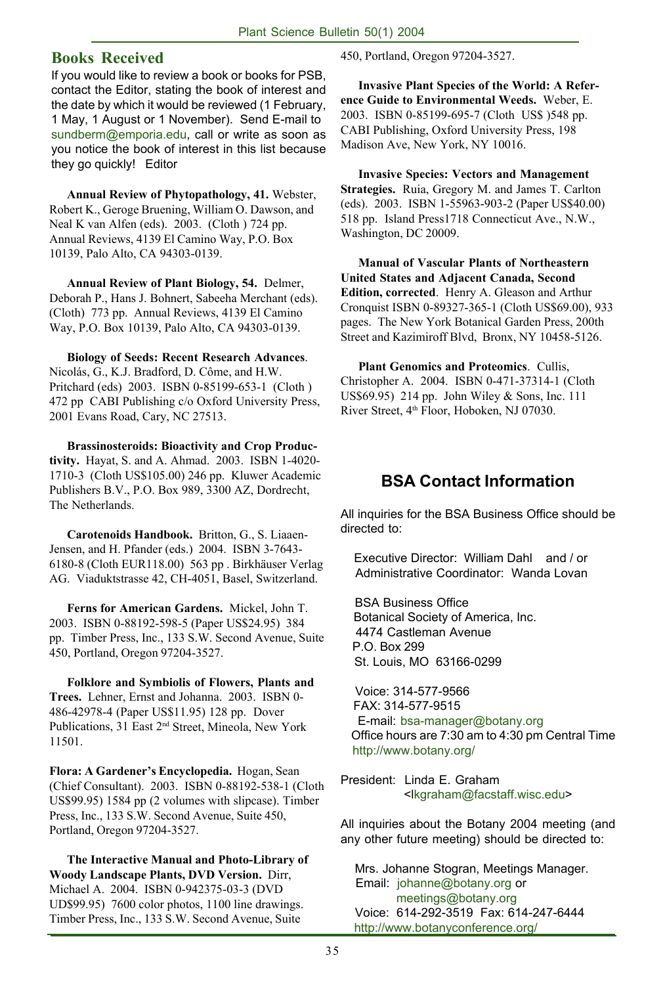#### **Books Received**

If you would like to review a book or books for PSB, contact the Editor, stating the book of interest and the date by which it would be reviewed (1 February, 1 May, 1 August or 1 November). Send E-mail to sundberm@emporia.edu, call or write as soon as you notice the book of interest in this list because they go quickly! Editor

**Annual Review of Phytopathology, 41.** Webster, Robert K., Geroge Bruening, William O. Dawson, and Neal K van Alfen (eds). 2003. (Cloth ) 724 pp. Annual Reviews, 4139 El Camino Way, P.O. Box 10139, Palo Alto, CA 94303-0139.

**Annual Review of Plant Biology, 54.** Delmer, Deborah P., Hans J. Bohnert, Sabeeha Merchant (eds). (Cloth) 773 pp. Annual Reviews, 4139 El Camino Way, P.O. Box 10139, Palo Alto, CA 94303-0139.

**Biology of Seeds: Recent Research Advances**. Nicolás, G., K.J. Bradford, D. Côme, and H.W. Pritchard (eds) 2003. ISBN 0-85199-653-1 (Cloth ) 472 pp CABI Publishing c/o Oxford University Press, 2001 Evans Road, Cary, NC 27513.

**Brassinosteroids: Bioactivity and Crop Productivity.** Hayat, S. and A. Ahmad. 2003. ISBN 1-4020- 1710-3 (Cloth US\$105.00) 246 pp. Kluwer Academic Publishers B.V., P.O. Box 989, 3300 AZ, Dordrecht, The Netherlands.

**Carotenoids Handbook.** Britton, G., S. Liaaen-Jensen, and H. Pfander (eds.) 2004. ISBN 3-7643- 6180-8 (Cloth EUR118.00) 563 pp . Birkhäuser Verlag AG. Viaduktstrasse 42, CH-4051, Basel, Switzerland.

**Ferns for American Gardens.** Mickel, John T. 2003. ISBN 0-88192-598-5 (Paper US\$24.95) 384 pp. Timber Press, Inc., 133 S.W. Second Avenue, Suite 450, Portland, Oregon 97204-3527.

**Folklore and Symbiolis of Flowers, Plants and Trees.** Lehner, Ernst and Johanna. 2003. ISBN 0- 486-42978-4 (Paper US\$11.95) 128 pp. Dover Publications, 31 East 2nd Street, Mineola, New York 11501.

**Flora: A Gardener's Encyclopedia.** Hogan, Sean (Chief Consultant). 2003. ISBN 0-88192-538-1 (Cloth US\$99.95) 1584 pp (2 volumes with slipcase). Timber Press, Inc., 133 S.W. Second Avenue, Suite 450, Portland, Oregon 97204-3527.

**The Interactive Manual and Photo-Library of Woody Landscape Plants, DVD Version.** Dirr, Michael A. 2004. ISBN 0-942375-03-3 (DVD UD\$99.95) 7600 color photos, 1100 line drawings. Timber Press, Inc., 133 S.W. Second Avenue, Suite

450, Portland, Oregon 97204-3527.

**Invasive Plant Species of the World: A Reference Guide to Environmental Weeds.** Weber, E. 2003. ISBN 0-85199-695-7 (Cloth US\$ )548 pp. CABI Publishing, Oxford University Press, 198 Madison Ave, New York, NY 10016.

**Invasive Species: Vectors and Management Strategies.** Ruia, Gregory M. and James T. Carlton (eds). 2003. ISBN 1-55963-903-2 (Paper US\$40.00) 518 pp. Island Press1718 Connecticut Ave., N.W., Washington, DC 20009.

**Manual of Vascular Plants of Northeastern United States and Adjacent Canada, Second Edition, corrected**. Henry A. Gleason and Arthur Cronquist ISBN 0-89327-365-1 (Cloth US\$69.00), 933 pages. The New York Botanical Garden Press, 200th Street and Kazimiroff Blvd, Bronx, NY 10458-5126.

**Plant Genomics and Proteomics**. Cullis, Christopher A. 2004. ISBN 0-471-37314-1 (Cloth US\$69.95) 214 pp. John Wiley & Sons, Inc. 111 River Street, 4th Floor, Hoboken, NJ 07030.

#### **BSA Contact Information**

All inquiries for the BSA Business Office should be directed to:

 Executive Director: William Dahl and / or Administrative Coordinator: Wanda Lovan

 BSA Business Office Botanical Society of America, Inc. 4474 Castleman Avenue P.O. Box 299 St. Louis, MO 63166-0299

 Voice: 314-577-9566 FAX: 314-577-9515 E-mail: bsa-manager@botany.org Office hours are 7:30 am to 4:30 pm Central Time http://www.botany.org/

President: Linda E. Graham <lkgraham@facstaff.wisc.edu>

All inquiries about the Botany 2004 meeting (and any other future meeting) should be directed to:

 Mrs. Johanne Stogran, Meetings Manager. Email: johanne@botany.org or meetings@botany.org Voice: 614-292-3519 Fax: 614-247-6444 http://www.botanyconference.org/